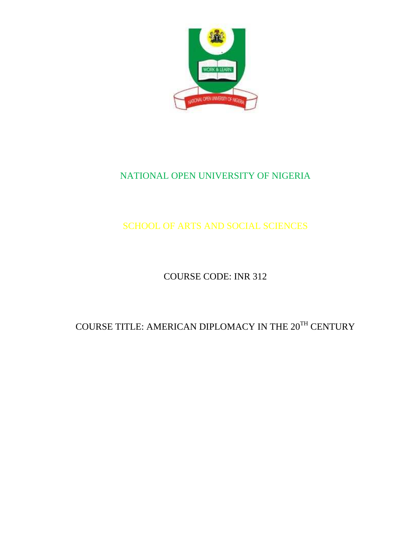

# NATIONAL OPEN UNIVERSITY OF NIGERIA

SCHOOL OF ARTS AND SOCIAL SCIENCES

COURSE CODE: INR 312

# COURSE TITLE: AMERICAN DIPLOMACY IN THE  $20^\mathrm{TH}$  CENTURY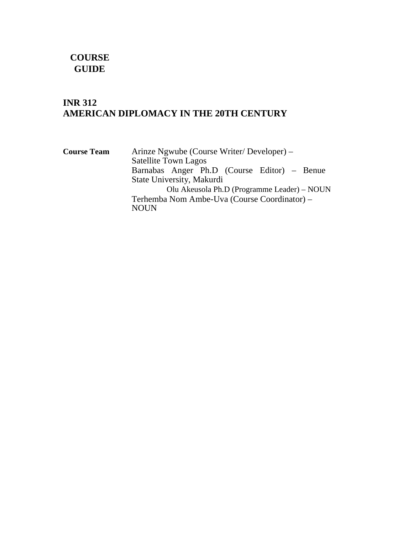# **COURSE GUIDE**

# **INR 312 AMERICAN DIPLOMACY IN THE 20TH CENTURY**

| <b>Course Team</b> | Arinze Ngwube (Course Writer/Developer) –    |
|--------------------|----------------------------------------------|
|                    | <b>Satellite Town Lagos</b>                  |
|                    | Barnabas Anger Ph.D (Course Editor) – Benue  |
|                    | State University, Makurdi                    |
|                    | Olu Akeusola Ph.D (Programme Leader) – NOUN  |
|                    | Terhemba Nom Ambe-Uva (Course Coordinator) – |
|                    | <b>NOUN</b>                                  |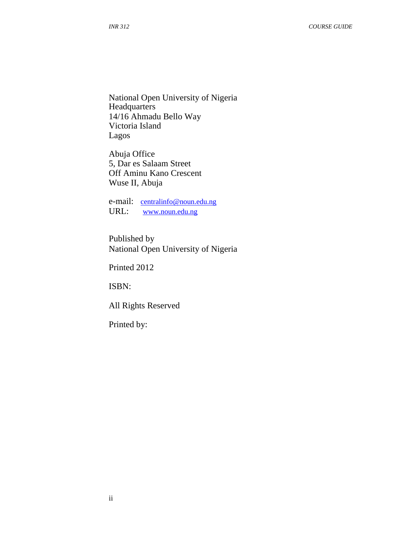National Open University of Nigeria **Headquarters** 14/16 Ahmadu Bello Way Victoria Island Lagos

Abuja Office 5, Dar es Salaam Street Off Aminu Kano Crescent Wuse II, Abuja

e-mail: centralinfo@noun.edu.ng URL: www.noun.edu.ng

Published by National Open University of Nigeria

Printed 2012

ISBN:

All Rights Reserved

Printed by: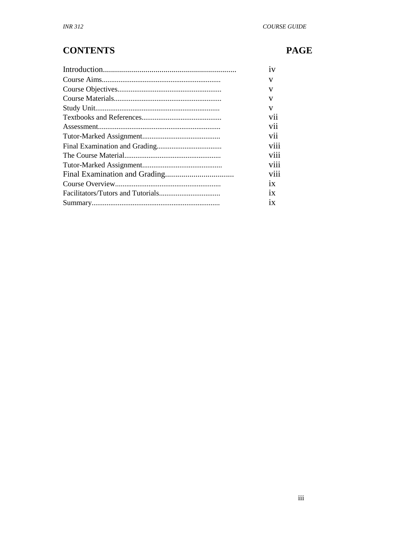# **CONTENTS**

# **PAGE**

|  | v   |
|--|-----|
|  | v   |
|  | V   |
|  | V   |
|  | V11 |
|  | vii |
|  |     |
|  |     |
|  |     |
|  |     |
|  |     |
|  |     |
|  |     |
|  | 1X  |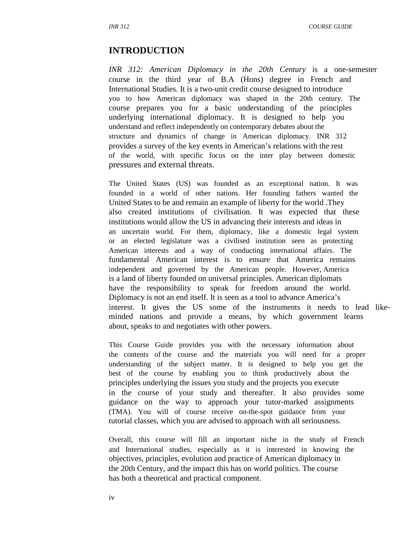### **INTRODUCTION**

*INR 312: American Diplomacy in the 20th Century* is a one-semester course in the third year of B.A (Hons) degree in French and International Studies. It is a two-unit credit course designed to introduce you to how American diplomacy was shaped in the 20th century. The course prepares you for a basic understanding of the principles underlying international diplomacy. It is designed to help you understand and reflect independently on contemporary debates about the structure and dynamics of change in American diplomacy. INR 312 provides a survey of the key events in American's relations with the rest of the world, with specific focus on the inter play between domestic pressures and external threats.

The United States (US) was founded as an exceptional nation. It was founded in a world of other nations. Her founding fathers wanted the United States to be and remain an example of liberty for the world .They also created institutions of civilisation. It was expected that these institutions would allow the US in advancing their interests and ideas in an uncertain world. For them, diplomacy, like a domestic legal system or an elected legislature was a civilised institution seen as protecting American interests and a way of conducting international affairs. The fundamental American interest is to ensure that America remains independent and governed by the American people. However, America is a land of liberty founded on universal principles. American diplomats have the responsibility to speak for freedom around the world. Diplomacy is not an end itself. It is seen as a tool to advance America's interest. It gives the US some of the instruments it needs to lead likeminded nations and provide a means, by which government learns about, speaks to and negotiates with other powers.

This Course Guide provides you with the necessary information about the contents of the course and the materials you will need for a proper understanding of the subject matter. It is designed to help you get the best of the course by enabling you to think productively about the principles underlying the issues you study and the projects you execute in the course of your study and thereafter. It also provides some guidance on the way to approach your tutor-marked assignments (TMA). You will of course receive on-the-spot guidance from your tutorial classes, which you are advised to approach with all seriousness.

Overall, this course will fill an important niche in the study of French and International studies, especially as it is interested in knowing the objectives, principles, evolution and practice of American diplomacy in the 20th Century, and the impact this has on world politics. The course has both a theoretical and practical component.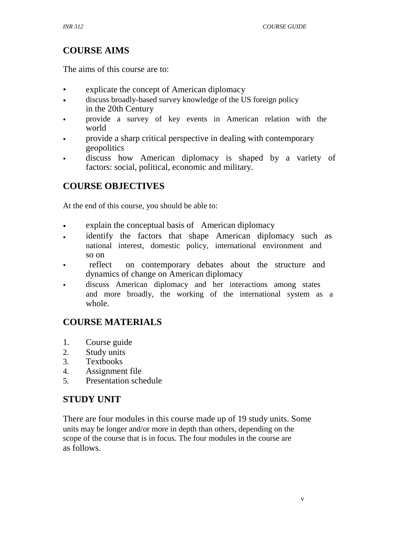# **COURSE AIMS**

The aims of this course are to:

- explicate the concept of American diplomacy
- discuss broadly-based survey knowledge of the US foreign policy in the 20th Century
- provide a survey of key events in American relation with the world
- provide a sharp critical perspective in dealing with contemporary geopolitics
- discuss how American diplomacy is shaped by a variety of factors: social, political, economic and military.

# **COURSE OBJECTIVES**

At the end of this course, you should be able to:

- explain the conceptual basis of American diplomacy
- identify the factors that shape American diplomacy such as national interest, domestic policy, international environment and so on
- reflect on contemporary debates about the structure and dynamics of change on American diplomacy
- discuss American diplomacy and her interactions among states and more broadly, the working of the international system as a whole.

# **COURSE MATERIALS**

- 1. Course guide
- 2. Study units
- 3. Textbooks
- 4. Assignment file
- 5. Presentation schedule

# **STUDY UNIT**

There are four modules in this course made up of 19 study units. Some units may be longer and/or more in depth than others, depending on the scope of the course that is in focus. The four modules in the course are as follows.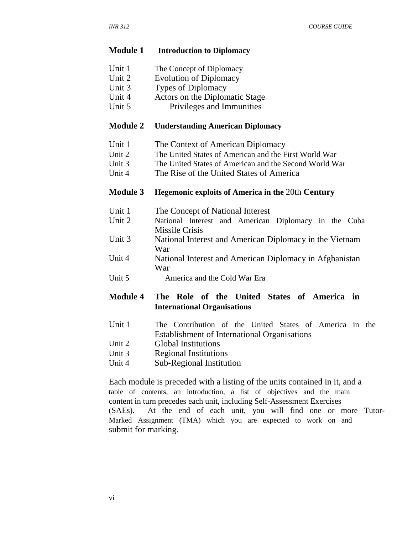#### **Module 1 Introduction to Diplomacy**

- Unit 1 The Concept of Diplomacy
- Unit 2 Evolution of Diplomacy
- Unit 3 Types of Diplomacy
- Unit 4 Actors on the Diplomatic Stage
- Unit 5 Privileges and Immunities

### **Module 2 Understanding American Diplomacy**

- Unit 1 The Context of American Diplomacy
- Unit 2 The United States of American and the First World War
- Unit 3 The United States of American and the Second World War
- Unit 4 The Rise of the United States of America

### **Module 3 Hegemonic exploits of America in the** 20th **Century**

- Unit 1 The Concept of National Interest
- Unit 2 National Interest and American Diplomacy in the Cuba Missile Crisis
- Unit 3 National Interest and American Diplomacy in the Vietnam War
- Unit 4 National Interest and American Diplomacy in Afghanistan War
- Unit 5 America and the Cold War Era

# **Module 4 The Role of the United States of America in International Organisations**

- Unit 1 The Contribution of the United States of America in the Establishment of International Organisations
- Unit 2 Global Institutions
- Unit 3 Regional Institutions
- Unit 4 Sub-Regional Institution

Each module is preceded with a listing of the units contained in it, and a table of contents, an introduction, a list of objectives and the main content in turn precedes each unit, including Self-Assessment Exercises (SAEs). At the end of each unit, you will find one or more Tutor-Marked Assignment (TMA) which you are expected to work on and submit for marking.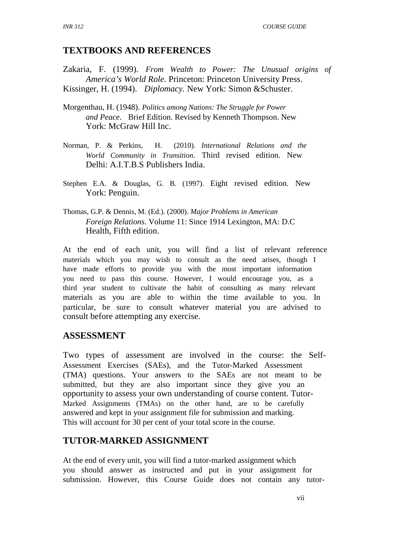### **TEXTBOOKS AND REFERENCES**

Zakaria, F. (1999). *From Wealth to Power: The Unusual origins of America's World Role.* Princeton: Princeton University Press. Kissinger, H. (1994). *Diplomacy.* New York: Simon &Schuster.

- Morgenthau, H. (1948). *Politics among Nations: The Struggle for Power and Peace*. Brief Edition. Revised by Kenneth Thompson. New York: McGraw Hill Inc.
- Norman, P. & Perkins, H. (2010). *International Relations and the World Community in Transition*. Third revised edition. New Delhi: A.I.T.B.S Publishers India.
- Stephen E.A. & Douglas, G. B. (1997). Eight revised edition. New York: Penguin.
- Thomas, G.P. & Dennis, M. (Ed.). (2000). *Major Problems in American Foreign Relations*. Volume 11: Since 1914 Lexington, MA: D.C Health, Fifth edition.

At the end of each unit, you will find a list of relevant reference materials which you may wish to consult as the need arises, though I have made efforts to provide you with the most important information you need to pass this course. However, I would encourage you, as a third year student to cultivate the habit of consulting as many relevant materials as you are able to within the time available to you. In particular, be sure to consult whatever material you are advised to consult before attempting any exercise.

### **ASSESSMENT**

Two types of assessment are involved in the course: the Self-Assessment Exercises (SAEs), and the Tutor-Marked Assessment (TMA) questions. Your answers to the SAEs are not meant to be submitted, but they are also important since they give you an opportunity to assess your own understanding of course content. Tutor-Marked Assignments (TMAs) on the other hand, are to be carefully answered and kept in your assignment file for submission and marking. This will account for 30 per cent of your total score in the course.

### **TUTOR-MARKED ASSIGNMENT**

At the end of every unit, you will find a tutor-marked assignment which you should answer as instructed and put in your assignment for submission. However, this Course Guide does not contain any tutor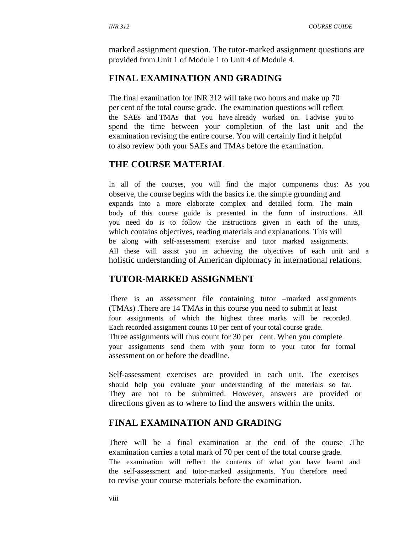marked assignment question. The tutor-marked assignment questions are provided from Unit 1 of Module 1 to Unit 4 of Module 4.

# **FINAL EXAMINATION AND GRADING**

The final examination for INR 312 will take two hours and make up 70 per cent of the total course grade. The examination questions will reflect the SAEs and TMAs that you have already worked on. I advise you to spend the time between your completion of the last unit and the examination revising the entire course. You will certainly find it helpful to also review both your SAEs and TMAs before the examination.

### **THE COURSE MATERIAL**

In all of the courses, you will find the major components thus: As you observe, the course begins with the basics i.e. the simple grounding and expands into a more elaborate complex and detailed form. The main body of this course guide is presented in the form of instructions. All you need do is to follow the instructions given in each of the units, which contains objectives, reading materials and explanations. This will be along with self-assessment exercise and tutor marked assignments. All these will assist you in achieving the objectives of each unit and a holistic understanding of American diplomacy in international relations.

### **TUTOR-MARKED ASSIGNMENT**

There is an assessment file containing tutor –marked assignments (TMAs) .There are 14 TMAs in this course you need to submit at least four assignments of which the highest three marks will be recorded. Each recorded assignment counts 10 per cent of your total course grade. Three assignments will thus count for 30 per cent. When you complete your assignments send them with your form to your tutor for formal assessment on or before the deadline.

Self-assessment exercises are provided in each unit. The exercises should help you evaluate your understanding of the materials so far. They are not to be submitted. However, answers are provided or directions given as to where to find the answers within the units.

### **FINAL EXAMINATION AND GRADING**

There will be a final examination at the end of the course .The examination carries a total mark of 70 per cent of the total course grade. The examination will reflect the contents of what you have learnt and the self-assessment and tutor-marked assignments. You therefore need to revise your course materials before the examination.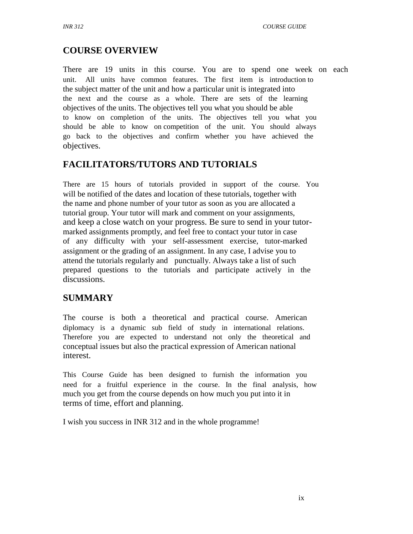# **COURSE OVERVIEW**

There are 19 units in this course. You are to spend one week on each unit. All units have common features. The first item is introduction to the subject matter of the unit and how a particular unit is integrated into the next and the course as a whole. There are sets of the learning objectives of the units. The objectives tell you what you should be able to know on completion of the units. The objectives tell you what you should be able to know on competition of the unit. You should always go back to the objectives and confirm whether you have achieved the objectives.

# **FACILITATORS/TUTORS AND TUTORIALS**

There are 15 hours of tutorials provided in support of the course. You will be notified of the dates and location of these tutorials, together with the name and phone number of your tutor as soon as you are allocated a tutorial group. Your tutor will mark and comment on your assignments, and keep a close watch on your progress. Be sure to send in your tutormarked assignments promptly, and feel free to contact your tutor in case of any difficulty with your self-assessment exercise, tutor-marked assignment or the grading of an assignment. In any case, I advise you to attend the tutorials regularly and punctually. Always take a list of such prepared questions to the tutorials and participate actively in the discussions.

# **SUMMARY**

The course is both a theoretical and practical course. American diplomacy is a dynamic sub field of study in international relations. Therefore you are expected to understand not only the theoretical and conceptual issues but also the practical expression of American national interest.

This Course Guide has been designed to furnish the information you need for a fruitful experience in the course. In the final analysis, how much you get from the course depends on how much you put into it in terms of time, effort and planning.

I wish you success in INR 312 and in the whole programme!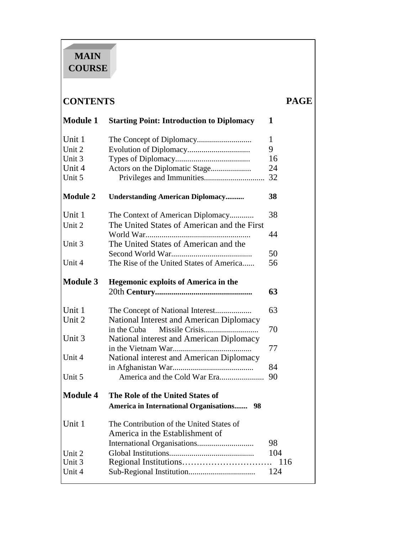# **MAIN COURSE**

# **CONTENTS PAGE**

| <b>Module 1</b> | <b>Starting Point: Introduction to Diplomacy</b>    | 1   |
|-----------------|-----------------------------------------------------|-----|
| Unit 1          |                                                     | 1   |
| Unit 2          |                                                     | 9   |
| Unit 3          |                                                     | 16  |
| Unit 4          | Actors on the Diplomatic Stage                      | 24  |
| Unit 5          |                                                     | 32  |
| <b>Module 2</b> | <b>Understanding American Diplomacy</b>             | 38  |
| Unit 1          | The Context of American Diplomacy                   | 38  |
| Unit 2          | The United States of American and the First         |     |
|                 |                                                     | 44  |
| Unit 3          | The United States of American and the               |     |
|                 |                                                     | 50  |
| Unit 4          | The Rise of the United States of America            | 56  |
| <b>Module 3</b> | <b>Hegemonic exploits of America in the</b>         |     |
|                 |                                                     | 63  |
| Unit 1          | The Concept of National Interest                    | 63  |
| Unit 2          | National Interest and American Diplomacy            |     |
|                 | Missile Crisis<br>in the Cuba                       | 70  |
| Unit 3          | National interest and American Diplomacy            |     |
|                 |                                                     | 77  |
| Unit 4          | National interest and American Diplomacy            |     |
|                 |                                                     | 84  |
| Unit 5          |                                                     | 90  |
| <b>Module 4</b> | The Role of the United States of                    |     |
|                 | <b>America in International Organisations</b><br>98 |     |
| Unit 1          | The Contribution of the United States of            |     |
|                 | America in the Establishment of                     |     |
|                 | International Organisations                         | 98  |
| Unit 2          |                                                     | 104 |
| Unit 3          |                                                     | 116 |
| Unit 4          |                                                     | 124 |
|                 |                                                     |     |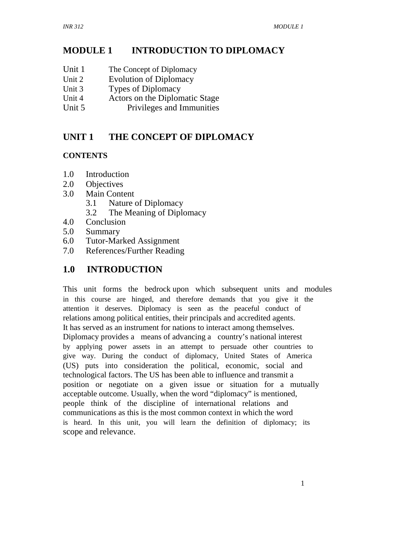#### **MODULE 1 INTRODUCTION TO DIPLOMACY**

- Unit 1 The Concept of Diplomacy
- Unit 2 Evolution of Diplomacy
- Unit 3 Types of Diplomacy
- Unit 4 Actors on the Diplomatic Stage
- Unit 5 Privileges and Immunities

# **UNIT 1 THE CONCEPT OF DIPLOMACY**

# **CONTENTS**

- 1.0 Introduction
- 2.0 Objectives
- 3.0 Main Content
	- 3.1 Nature of Diplomacy
	- 3.2 The Meaning of Diplomacy
- 4.0 Conclusion
- 5.0 Summary
- 6.0 Tutor-Marked Assignment
- 7.0 References/Further Reading

# **1.0 INTRODUCTION**

This unit forms the bedrock upon which subsequent units and modules in this course are hinged, and therefore demands that you give it the attention it deserves. Diplomacy is seen as the peaceful conduct of relations among political entities, their principals and accredited agents. It has served as an instrument for nations to interact among themselves. Diplomacy provides a means of advancing a country's national interest by applying power assets in an attempt to persuade other countries to give way. During the conduct of diplomacy, United States of America (US) puts into consideration the political, economic, social and technological factors. The US has been able to influence and transmit a position or negotiate on a given issue or situation for a mutually acceptable outcome. Usually, when the word "diplomacy" is mentioned, people think of the discipline of international relations and communications as this is the most common context in which the word is heard. In this unit, you will learn the definition of diplomacy; its scope and relevance.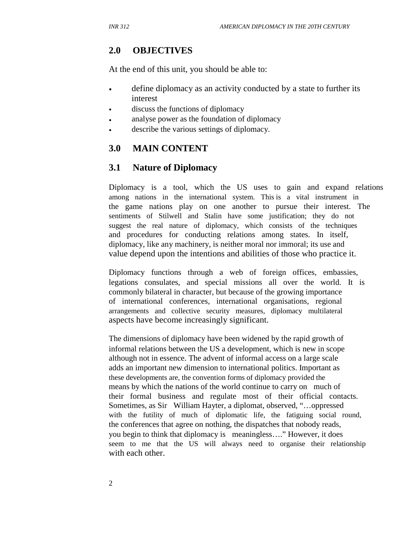# **2.0 OBJECTIVES**

At the end of this unit, you should be able to:

- define diplomacy as an activity conducted by a state to further its interest
- discuss the functions of diplomacy
- analyse power as the foundation of diplomacy
- describe the various settings of diplomacy.

# **3.0 MAIN CONTENT**

# **3.1 Nature of Diplomacy**

Diplomacy is a tool, which the US uses to gain and expand relations among nations in the international system. This is a vital instrument in the game nations play on one another to pursue their interest. The sentiments of Stilwell and Stalin have some justification; they do not suggest the real nature of diplomacy, which consists of the techniques and procedures for conducting relations among states. In itself, diplomacy, like any machinery, is neither moral nor immoral; its use and value depend upon the intentions and abilities of those who practice it.

Diplomacy functions through a web of foreign offices, embassies, legations consulates, and special missions all over the world. It is commonly bilateral in character, but because of the growing importance of international conferences, international organisations, regional arrangements and collective security measures, diplomacy multilateral aspects have become increasingly significant.

The dimensions of diplomacy have been widened by the rapid growth of informal relations between the US a development, which is new in scope although not in essence. The advent of informal access on a large scale adds an important new dimension to international politics. Important as these developments are, the convention forms of diplomacy provided the means by which the nations of the world continue to carry on much of their formal business and regulate most of their official contacts. Sometimes, as Sir William Hayter, a diplomat, observed, "…oppressed with the futility of much of diplomatic life, the fatiguing social round, the conferences that agree on nothing, the dispatches that nobody reads, you begin to think that diplomacy is meaningless…." However, it does seem to me that the US will always need to organise their relationship with each other.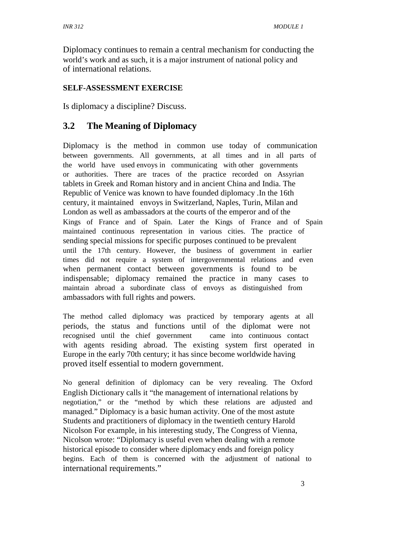Diplomacy continues to remain a central mechanism for conducting the world's work and as such, it is a major instrument of national policy and of international relations.

### **SELF-ASSESSMENT EXERCISE**

Is diplomacy a discipline? Discuss.

# **3.2 The Meaning of Diplomacy**

Diplomacy is the method in common use today of communication between governments. All governments, at all times and in all parts of the world have used envoys in communicating with other governments or authorities. There are traces of the practice recorded on Assyrian tablets in Greek and Roman history and in ancient China and India. The Republic of Venice was known to have founded diplomacy .In the 16th century, it maintained envoys in Switzerland, Naples, Turin, Milan and London as well as ambassadors at the courts of the emperor and of the Kings of France and of Spain. Later the Kings of France and of Spain maintained continuous representation in various cities. The practice of sending special missions for specific purposes continued to be prevalent until the 17th century. However, the business of government in earlier times did not require a system of intergovernmental relations and even when permanent contact between governments is found to be indispensable; diplomacy remained the practice in many cases to maintain abroad a subordinate class of envoys as distinguished from ambassadors with full rights and powers.

The method called diplomacy was practiced by temporary agents at all periods, the status and functions until of the diplomat were not recognised until the chief government came into continuous contact with agents residing abroad. The existing system first operated in Europe in the early 70th century; it has since become worldwide having proved itself essential to modern government.

No general definition of diplomacy can be very revealing. The Oxford English Dictionary calls it "the management of international relations by negotiation," or the "method by which these relations are adjusted and managed." Diplomacy is a basic human activity. One of the most astute Students and practitioners of diplomacy in the twentieth century Harold Nicolson For example, in his interesting study, The Congress of Vienna, Nicolson wrote: "Diplomacy is useful even when dealing with a remote historical episode to consider where diplomacy ends and foreign policy begins. Each of them is concerned with the adjustment of national to international requirements."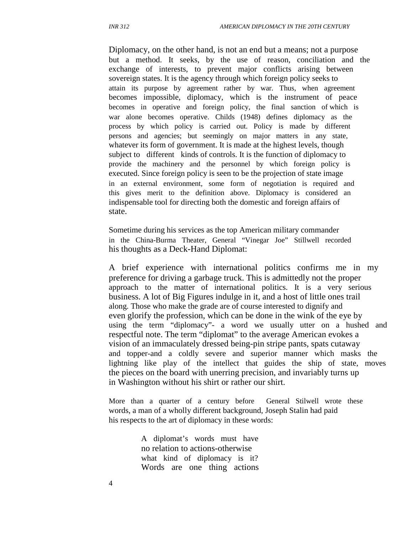Diplomacy, on the other hand, is not an end but a means; not a purpose but a method. It seeks, by the use of reason, conciliation and the exchange of interests, to prevent major conflicts arising between sovereign states. It is the agency through which foreign policy seeks to attain its purpose by agreement rather by war. Thus, when agreement becomes impossible, diplomacy, which is the instrument of peace becomes in operative and foreign policy, the final sanction of which is war alone becomes operative. Childs (1948) defines diplomacy as the process by which policy is carried out. Policy is made by different persons and agencies; but seemingly on major matters in any state, whatever its form of government. It is made at the highest levels, though subject to different kinds of controls. It is the function of diplomacy to provide the machinery and the personnel by which foreign policy is executed. Since foreign policy is seen to be the projection of state image in an external environment, some form of negotiation is required and this gives merit to the definition above. Diplomacy is considered an indispensable tool for directing both the domestic and foreign affairs of state.

Sometime during his services as the top American military commander in the China-Burma Theater, General "Vinegar Joe" Stillwell recorded his thoughts as a Deck-Hand Diplomat:

A brief experience with international politics confirms me in my preference for driving a garbage truck. This is admittedly not the proper approach to the matter of international politics. It is a very serious business. A lot of Big Figures indulge in it, and a host of little ones trail along. Those who make the grade are of course interested to dignify and even glorify the profession, which can be done in the wink of the eye by using the term "diplomacy"- a word we usually utter on a hushed and respectful note. The term "diplomat" to the average American evokes a vision of an immaculately dressed being-pin stripe pants, spats cutaway and topper-and a coldly severe and superior manner which masks the lightning like play of the intellect that guides the ship of state, moves the pieces on the board with unerring precision, and invariably turns up in Washington without his shirt or rather our shirt.

More than a quarter of a century before General Stilwell wrote these words, a man of a wholly different background, Joseph Stalin had paid his respects to the art of diplomacy in these words:

> A diplomat's words must have no relation to actions-otherwise what kind of diplomacy is it? Words are one thing actions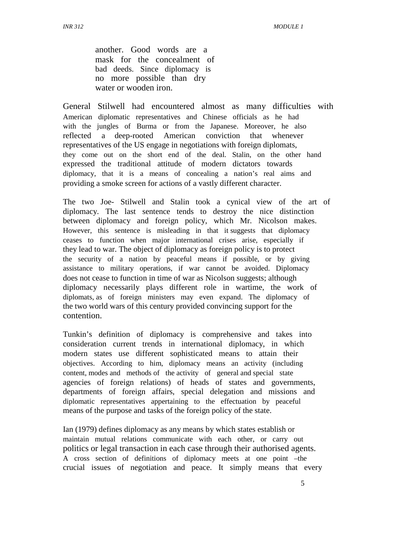another. Good words are a mask for the concealment of bad deeds. Since diplomacy is no more possible than dry water or wooden iron.

General Stilwell had encountered almost as many difficulties with American diplomatic representatives and Chinese officials as he had with the jungles of Burma or from the Japanese. Moreover, he also reflected a deep-rooted American conviction that whenever representatives of the US engage in negotiations with foreign diplomats, they come out on the short end of the deal. Stalin, on the other hand expressed the traditional attitude of modern dictators towards diplomacy, that it is a means of concealing a nation's real aims and providing a smoke screen for actions of a vastly different character.

The two Joe- Stilwell and Stalin took a cynical view of the art of diplomacy. The last sentence tends to destroy the nice distinction between diplomacy and foreign policy, which Mr. Nicolson makes. However, this sentence is misleading in that it suggests that diplomacy ceases to function when major international crises arise, especially if they lead to war. The object of diplomacy as foreign policy is to protect the security of a nation by peaceful means if possible, or by giving assistance to military operations, if war cannot be avoided. Diplomacy does not cease to function in time of war as Nicolson suggests; although diplomacy necessarily plays different role in wartime, the work of diplomats, as of foreign ministers may even expand. The diplomacy of the two world wars of this century provided convincing support for the contention.

Tunkin's definition of diplomacy is comprehensive and takes into consideration current trends in international diplomacy, in which modern states use different sophisticated means to attain their objectives. According to him, diplomacy means an activity (including content, modes and methods of the activity of general and special state agencies of foreign relations) of heads of states and governments, departments of foreign affairs, special delegation and missions and diplomatic representatives appertaining to the effectuation by peaceful means of the purpose and tasks of the foreign policy of the state.

Ian (1979) defines diplomacy as any means by which states establish or maintain mutual relations communicate with each other, or carry out politics or legal transaction in each case through their authorised agents. A cross section of definitions of diplomacy meets at one point –the crucial issues of negotiation and peace. It simply means that every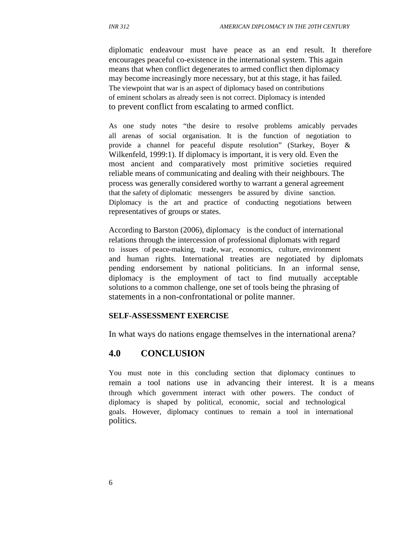diplomatic endeavour must have peace as an end result. It therefore encourages peaceful co-existence in the international system. This again means that when conflict degenerates to armed conflict then diplomacy may become increasingly more necessary, but at this stage, it has failed. The viewpoint that war is an aspect of diplomacy based on contributions of eminent scholars as already seen is not correct. Diplomacy is intended to prevent conflict from escalating to armed conflict.

As one study notes "the desire to resolve problems amicably pervades all arenas of social organisation. It is the function of negotiation to provide a channel for peaceful dispute resolution" (Starkey, Boyer & Wilkenfeld, 1999:1). If diplomacy is important, it is very old. Even the most ancient and comparatively most primitive societies required reliable means of communicating and dealing with their neighbours. The process was generally considered worthy to warrant a general agreement that the safety of diplomatic messengers be assured by divine sanction. Diplomacy is the art and practice of conducting negotiations between representatives of groups or states.

According to Barston (2006), diplomacy is the conduct of international relations through the intercession of professional diplomats with regard to issues of peace-making, trade, war, economics, culture, environment and human rights. International treaties are negotiated by diplomats pending endorsement by national politicians. In an informal sense, diplomacy is the employment of tact to find mutually acceptable solutions to a common challenge, one set of tools being the phrasing of statements in a non-confrontational or polite manner.

#### **SELF-ASSESSMENT EXERCISE**

In what ways do nations engage themselves in the international arena?

### **4.0 CONCLUSION**

You must note in this concluding section that diplomacy continues to remain a tool nations use in advancing their interest. It is a means through which government interact with other powers. The conduct of diplomacy is shaped by political, economic, social and technological goals. However, diplomacy continues to remain a tool in international politics.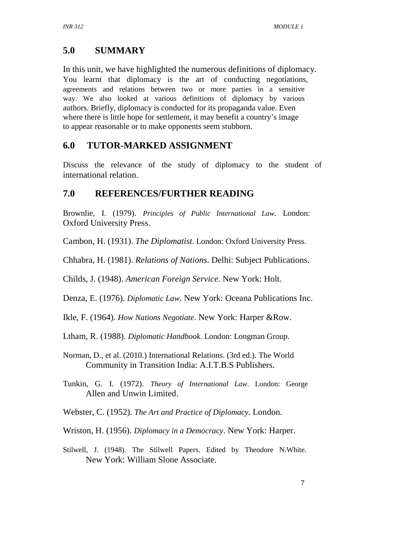# **5.0 SUMMARY**

In this unit, we have highlighted the numerous definitions of diplomacy. You learnt that diplomacy is the art of conducting negotiations, agreements and relations between two or more parties in a sensitive way. We also looked at various definitions of diplomacy by various authors. Briefly, diplomacy is conducted for its propaganda value. Even where there is little hope for settlement, it may benefit a country's image to appear reasonable or to make opponents seem stubborn.

# **6.0 TUTOR-MARKED ASSIGNMENT**

Discuss the relevance of the study of diplomacy to the student of international relation.

# **7.0 REFERENCES/FURTHER READING**

Brownlie, I. (1979). *Principles of Public International Law*. London: Oxford University Press.

Cambon, H. (1931). *The Diplomatist*. London: Oxford University Press.

Chhabra, H. (1981). *Relations of Nations*. Delhi: Subject Publications.

Childs, J. (1948). *American Foreign Service*. New York: Holt.

Denza, E. (1976). *Diplomatic Law*. New York: Oceana Publications Inc.

Ikle, F. (1964). *How Nations Negotiate*. New York: Harper &Row.

Ltham, R. (1988). *Diplomatic Handbook*. London: Longman Group.

Norman, D., et al. (2010.) International Relations. (3rd ed.). The World Community in Transition India: A.I.T.B.S Publishers.

Tunkin, G. I. (1972). *Theory of International Law*. London: George Allen and Unwin Limited.

Webster, C. (1952). *The Art and Practice of Diplomacy*. London.

- Wriston, H. (1956). *Diplomacy in a Democracy*. New York: Harper.
- Stilwell, J. (1948). The Stilwell Papers. Edited by Theodore N.White. New York: William Slone Associate.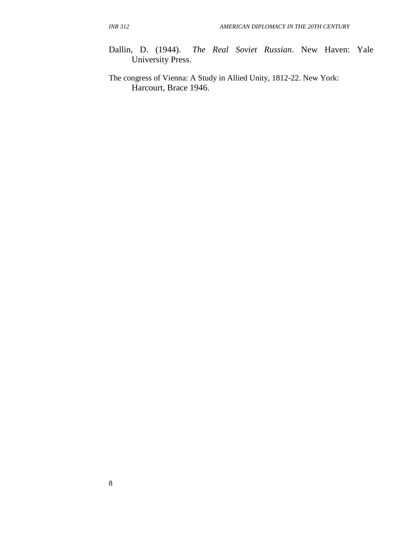- Dallin, D. (1944). *The Real Soviet Russian*. New Haven: Yale University Press.
- The congress of Vienna: A Study in Allied Unity, 1812-22. New York: Harcourt, Brace 1946.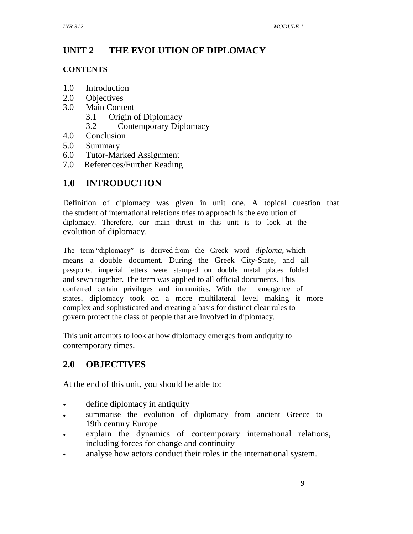# **UNIT 2 THE EVOLUTION OF DIPLOMACY**

### **CONTENTS**

- 1.0 Introduction
- 2.0 Objectives
- 3.0 Main Content
	- 3.1 Origin of Diplomacy
	- 3.2 Contemporary Diplomacy
- 4.0 Conclusion
- 5.0 Summary
- 6.0 Tutor-Marked Assignment
- 7.0 References/Further Reading

# **1.0 INTRODUCTION**

Definition of diplomacy was given in unit one. A topical question that the student of international relations tries to approach is the evolution of diplomacy. Therefore, our main thrust in this unit is to look at the evolution of diplomacy.

The term "diplomacy" is derived from the Greek word *diploma*, which means a double document. During the Greek City-State, and all passports, imperial letters were stamped on double metal plates folded and sewn together. The term was applied to all official documents. This conferred certain privileges and immunities. With the emergence of states, diplomacy took on a more multilateral level making it more complex and sophisticated and creating a basis for distinct clear rules to govern protect the class of people that are involved in diplomacy.

This unit attempts to look at how diplomacy emerges from antiquity to contemporary times.

# **2.0 OBJECTIVES**

At the end of this unit, you should be able to:

- define diplomacy in antiquity
- summarise the evolution of diplomacy from ancient Greece to 19th century Europe
- explain the dynamics of contemporary international relations, including forces for change and continuity
- analyse how actors conduct their roles in the international system.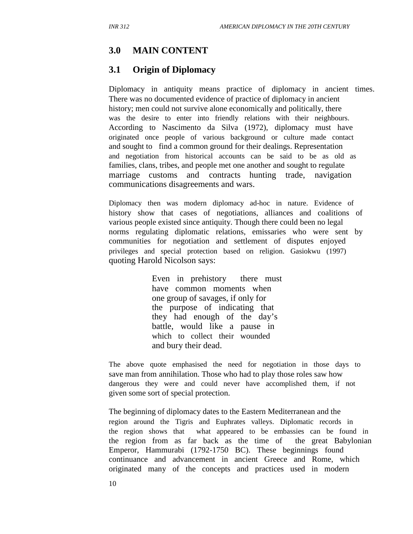# **3.0 MAIN CONTENT**

# **3.1 Origin of Diplomacy**

Diplomacy in antiquity means practice of diplomacy in ancient times. There was no documented evidence of practice of diplomacy in ancient history; men could not survive alone economically and politically, there was the desire to enter into friendly relations with their neighbours. According to Nascimento da Silva (1972), diplomacy must have originated once people of various background or culture made contact and sought to find a common ground for their dealings. Representation and negotiation from historical accounts can be said to be as old as families, clans, tribes, and people met one another and sought to regulate marriage customs and contracts hunting trade, navigation communications disagreements and wars.

Diplomacy then was modern diplomacy ad-hoc in nature. Evidence of history show that cases of negotiations, alliances and coalitions of various people existed since antiquity. Though there could been no legal norms regulating diplomatic relations, emissaries who were sent by communities for negotiation and settlement of disputes enjoyed privileges and special protection based on religion. Gasiokwu (1997) quoting Harold Nicolson says:

> Even in prehistory there must have common moments when one group of savages, if only for the purpose of indicating that they had enough of the day's battle, would like a pause in which to collect their wounded and bury their dead.

The above quote emphasised the need for negotiation in those days to save man from annihilation. Those who had to play those roles saw how dangerous they were and could never have accomplished them, if not given some sort of special protection.

The beginning of diplomacy dates to the Eastern Mediterranean and the region around the Tigris and Euphrates valleys. Diplomatic records in the region shows that what appeared to be embassies can be found in the region from as far back as the time of the great Babylonian Emperor, Hammurabi (1792-1750 BC). These beginnings found continuance and advancement in ancient Greece and Rome, which originated many of the concepts and practices used in modern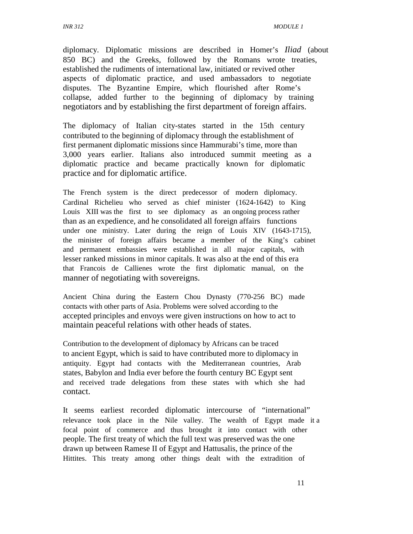diplomacy. Diplomatic missions are described in Homer's *Iliad* (about 850 BC) and the Greeks, followed by the Romans wrote treaties, established the rudiments of international law, initiated or revived other aspects of diplomatic practice, and used ambassadors to negotiate disputes. The Byzantine Empire, which flourished after Rome's collapse, added further to the beginning of diplomacy by training negotiators and by establishing the first department of foreign affairs.

The diplomacy of Italian city-states started in the 15th century contributed to the beginning of diplomacy through the establishment of first permanent diplomatic missions since Hammurabi's time, more than 3,000 years earlier. Italians also introduced summit meeting as a diplomatic practice and became practically known for diplomatic practice and for diplomatic artifice.

The French system is the direct predecessor of modern diplomacy. Cardinal Richelieu who served as chief minister (1624-1642) to King Louis XIII was the first to see diplomacy as an ongoing process rather than as an expedience, and he consolidated all foreign affairs functions under one ministry. Later during the reign of Louis XIV (1643-1715), the minister of foreign affairs became a member of the King's cabinet and permanent embassies were established in all major capitals, with lesser ranked missions in minor capitals. It was also at the end of this era that Francois de Callienes wrote the first diplomatic manual, on the manner of negotiating with sovereigns.

Ancient China during the Eastern Chou Dynasty (770-256 BC) made contacts with other parts of Asia. Problems were solved according to the accepted principles and envoys were given instructions on how to act to maintain peaceful relations with other heads of states.

Contribution to the development of diplomacy by Africans can be traced to ancient Egypt, which is said to have contributed more to diplomacy in antiquity. Egypt had contacts with the Mediterranean countries, Arab states, Babylon and India ever before the fourth century BC Egypt sent and received trade delegations from these states with which she had contact.

It seems earliest recorded diplomatic intercourse of "international" relevance took place in the Nile valley. The wealth of Egypt made it a focal point of commerce and thus brought it into contact with other people. The first treaty of which the full text was preserved was the one drawn up between Ramese II of Egypt and Hattusalis, the prince of the Hittites. This treaty among other things dealt with the extradition of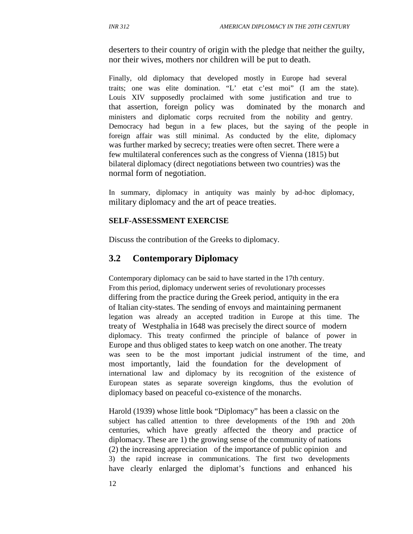deserters to their country of origin with the pledge that neither the guilty, nor their wives, mothers nor children will be put to death.

Finally, old diplomacy that developed mostly in Europe had several traits; one was elite domination. "L' etat c'est moi" (I am the state). Louis XIV supposedly proclaimed with some justification and true to that assertion, foreign policy was dominated by the monarch and ministers and diplomatic corps recruited from the nobility and gentry. Democracy had begun in a few places, but the saying of the people in foreign affair was still minimal. As conducted by the elite, diplomacy was further marked by secrecy; treaties were often secret. There were a few multilateral conferences such as the congress of Vienna (1815) but bilateral diplomacy (direct negotiations between two countries) was the normal form of negotiation.

In summary, diplomacy in antiquity was mainly by ad-hoc diplomacy, military diplomacy and the art of peace treaties.

### **SELF-ASSESSMENT EXERCISE**

Discuss the contribution of the Greeks to diplomacy.

# **3.2 Contemporary Diplomacy**

Contemporary diplomacy can be said to have started in the 17th century. From this period, diplomacy underwent series of revolutionary processes differing from the practice during the Greek period, antiquity in the era of Italian city-states. The sending of envoys and maintaining permanent legation was already an accepted tradition in Europe at this time. The treaty of Westphalia in 1648 was precisely the direct source of modern diplomacy. This treaty confirmed the principle of balance of power in Europe and thus obliged states to keep watch on one another. The treaty was seen to be the most important judicial instrument of the time, and most importantly, laid the foundation for the development of international law and diplomacy by its recognition of the existence of European states as separate sovereign kingdoms, thus the evolution of diplomacy based on peaceful co-existence of the monarchs.

Harold (1939) whose little book "Diplomacy" has been a classic on the subject has called attention to three developments of the 19th and 20th centuries, which have greatly affected the theory and practice of diplomacy. These are 1) the growing sense of the community of nations (2) the increasing appreciation of the importance of public opinion and 3) the rapid increase in communications. The first two developments have clearly enlarged the diplomat's functions and enhanced his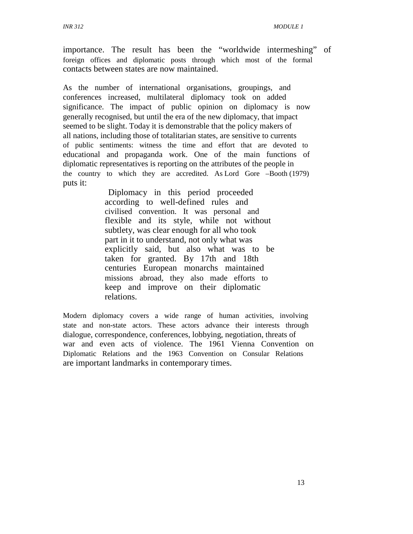importance. The result has been the "worldwide intermeshing" of foreign offices and diplomatic posts through which most of the formal contacts between states are now maintained.

As the number of international organisations, groupings, and conferences increased, multilateral diplomacy took on added significance. The impact of public opinion on diplomacy is now generally recognised, but until the era of the new diplomacy, that impact seemed to be slight. Today it is demonstrable that the policy makers of all nations, including those of totalitarian states, are sensitive to currents of public sentiments: witness the time and effort that are devoted to educational and propaganda work. One of the main functions of diplomatic representatives is reporting on the attributes of the people in the country to which they are accredited. As Lord Gore –Booth (1979) puts it:

> Diplomacy in this period proceeded according to well-defined rules and civilised convention. It was personal and flexible and its style, while not without subtlety, was clear enough for all who took part in it to understand, not only what was explicitly said, but also what was to be taken for granted. By 17th and 18th centuries European monarchs maintained missions abroad, they also made efforts to keep and improve on their diplomatic relations.

Modern diplomacy covers a wide range of human activities, involving state and non-state actors. These actors advance their interests through dialogue, correspondence, conferences, lobbying, negotiation, threats of war and even acts of violence. The 1961 Vienna Convention on Diplomatic Relations and the 1963 Convention on Consular Relations are important landmarks in contemporary times.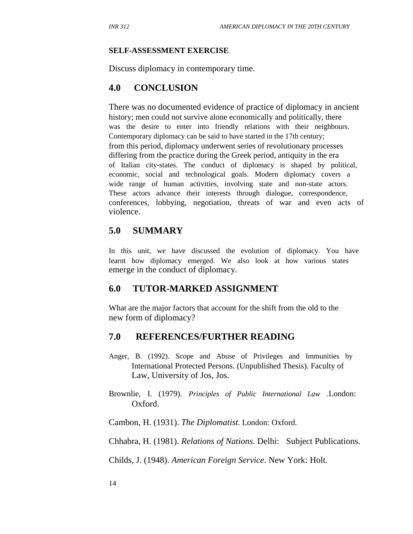#### **SELF-ASSESSMENT EXERCISE**

Discuss diplomacy in contemporary time.

### **4.0 CONCLUSION**

There was no documented evidence of practice of diplomacy in ancient history; men could not survive alone economically and politically, there was the desire to enter into friendly relations with their neighbours. Contemporary diplomacy can be said to have started in the 17th century; from this period, diplomacy underwent series of revolutionary processes differing from the practice during the Greek period, antiquity in the era of Italian city-states. The conduct of diplomacy is shaped by political, economic, social and technological goals. Modern diplomacy covers a wide range of human activities, involving state and non-state actors. These actors advance their interests through dialogue, correspondence, conferences, lobbying, negotiation, threats of war and even acts of violence.

# **5.0 SUMMARY**

In this unit, we have discussed the evolution of diplomacy. You have learnt how diplomacy emerged. We also look at how various states emerge in the conduct of diplomacy.

### **6.0 TUTOR-MARKED ASSIGNMENT**

What are the major factors that account for the shift from the old to the new form of diplomacy?

### **7.0 REFERENCES/FURTHER READING**

- Anger, B. (1992). Scope and Abuse of Privileges and Immunities by International Protected Persons. (Unpublished Thesis). Faculty of Law, University of Jos, Jos.
- Brownlie, I. (1979). *Principles of Public International Law* .London: Oxford.

Cambon, H. (1931). *The Diplomatist*. London: Oxford.

Chhabra, H. (1981). *Relations of Nations*. Delhi: Subject Publications.

Childs, J. (1948). *American Foreign Service*. New York: Holt.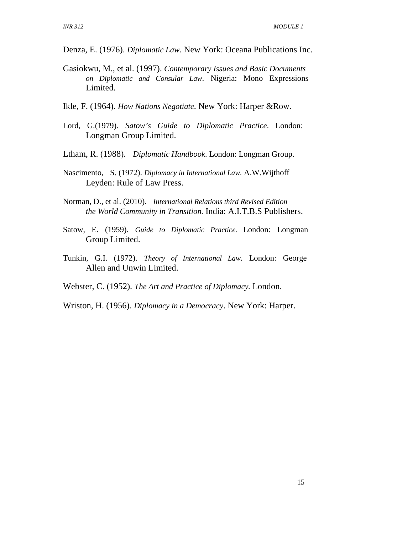- Denza, E. (1976). *Diplomatic Law*. New York: Oceana Publications Inc.
- Gasiokwu, M., et al. (1997). *Contemporary Issues and Basic Documents on Diplomatic and Consular Law*. Nigeria: Mono Expressions Limited.
- Ikle, F. (1964). *How Nations Negotiate*. New York: Harper &Row.
- Lord, G.(1979). *Satow's Guide to Diplomatic Practice*. London: Longman Group Limited.
- Ltham, R. (1988). *Diplomatic Handbook*. London: Longman Group.
- Nascimento, S. (1972). *Diplomacy in International Law.* A.W.Wijthoff Leyden: Rule of Law Press.
- Norman, D., et al. (2010). *International Relations third Revised Edition the World Community in Transition.* India: A.I.T.B.S Publishers.
- Satow, E. (1959). *Guide to Diplomatic Practice.* London: Longman Group Limited.
- Tunkin, G.I. (1972). *Theory of International Law*. London: George Allen and Unwin Limited.

Webster, C. (1952). *The Art and Practice of Diplomacy.* London.

Wriston, H. (1956). *Diplomacy in a Democracy*. New York: Harper.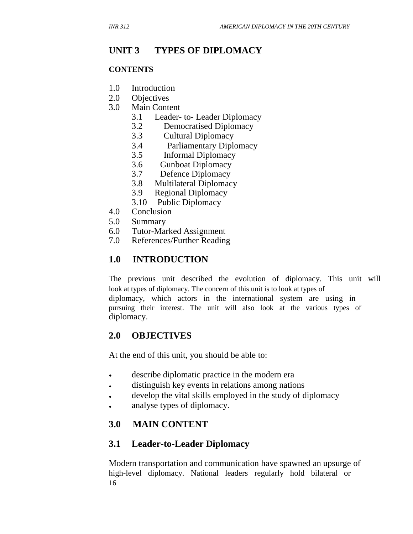# **UNIT 3 TYPES OF DIPLOMACY**

### **CONTENTS**

- 1.0 Introduction
- 2.0 Objectives
- 3.0 Main Content
	- 3.1 Leader- to- Leader Diplomacy
	- 3.2 Democratised Diplomacy
	- 3.3 Cultural Diplomacy
	- 3.4 Parliamentary Diplomacy
	- 3.5 Informal Diplomacy
	- 3.6 Gunboat Diplomacy
	- 3.7 Defence Diplomacy
	- 3.8 Multilateral Diplomacy
	- 3.9 Regional Diplomacy
	- 3.10 Public Diplomacy
- 4.0 Conclusion
- 5.0 Summary
- 6.0 Tutor-Marked Assignment
- 7.0 References/Further Reading

# **1.0 INTRODUCTION**

The previous unit described the evolution of diplomacy. This unit will look at types of diplomacy. The concern of this unit is to look at types of diplomacy, which actors in the international system are using in pursuing their interest. The unit will also look at the various types of diplomacy.

# **2.0 OBJECTIVES**

At the end of this unit, you should be able to:

- describe diplomatic practice in the modern era
- distinguish key events in relations among nations
- develop the vital skills employed in the study of diplomacy
- analyse types of diplomacy.

# **3.0 MAIN CONTENT**

# **3.1 Leader-to-Leader Diplomacy**

Modern transportation and communication have spawned an upsurge of high-level diplomacy. National leaders regularly hold bilateral or 16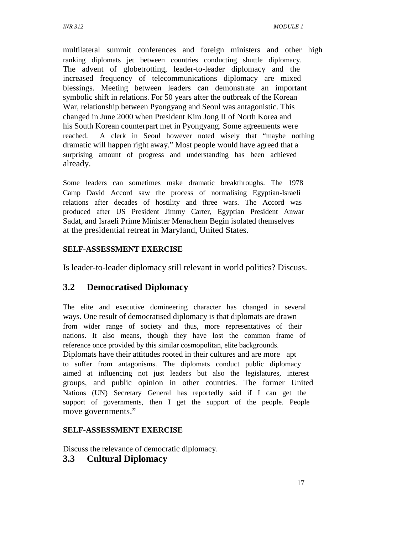multilateral summit conferences and foreign ministers and other high ranking diplomats jet between countries conducting shuttle diplomacy. The advent of globetrotting, leader-to-leader diplomacy and the increased frequency of telecommunications diplomacy are mixed blessings. Meeting between leaders can demonstrate an important symbolic shift in relations. For 50 years after the outbreak of the Korean War, relationship between Pyongyang and Seoul was antagonistic. This changed in June 2000 when President Kim Jong II of North Korea and his South Korean counterpart met in Pyongyang. Some agreements were reached. A clerk in Seoul however noted wisely that "maybe nothing dramatic will happen right away." Most people would have agreed that a surprising amount of progress and understanding has been achieved already.

Some leaders can sometimes make dramatic breakthroughs. The 1978 Camp David Accord saw the process of normalising Egyptian-Israeli relations after decades of hostility and three wars. The Accord was produced after US President Jimmy Carter, Egyptian President Anwar Sadat, and Israeli Prime Minister Menachem Begin isolated themselves at the presidential retreat in Maryland, United States.

### **SELF-ASSESSMENT EXERCISE**

Is leader-to-leader diplomacy still relevant in world politics? Discuss.

# **3.2 Democratised Diplomacy**

The elite and executive domineering character has changed in several ways. One result of democratised diplomacy is that diplomats are drawn from wider range of society and thus, more representatives of their nations. It also means, though they have lost the common frame of reference once provided by this similar cosmopolitan, elite backgrounds. Diplomats have their attitudes rooted in their cultures and are more apt to suffer from antagonisms. The diplomats conduct public diplomacy aimed at influencing not just leaders but also the legislatures, interest groups, and public opinion in other countries. The former United Nations (UN) Secretary General has reportedly said if I can get the support of governments, then I get the support of the people. People move governments."

### **SELF-ASSESSMENT EXERCISE**

Discuss the relevance of democratic diplomacy.

# **3.3 Cultural Diplomacy**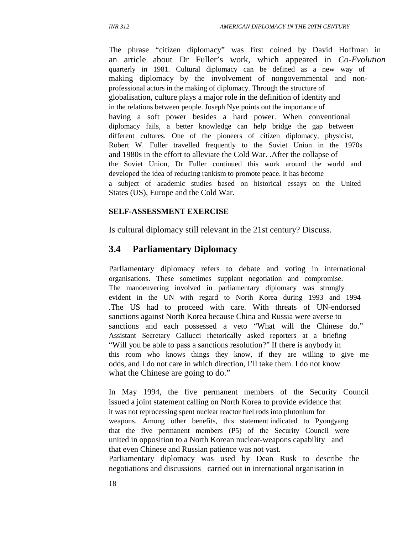The phrase "citizen diplomacy" was first coined by David Hoffman in an article about Dr Fuller's work, which appeared in *Co-Evolution* quarterly in 1981. Cultural diplomacy can be defined as a new way of making diplomacy by the involvement of nongovernmental and nonprofessional actors in the making of diplomacy. Through the structure of globalisation, culture plays a major role in the definition of identity and in the relations between people. Joseph Nye points out the importance of having a soft power besides a hard power. When conventional diplomacy fails, a better knowledge can help bridge the gap between different cultures. One of the pioneers of citizen diplomacy, physicist, Robert W. Fuller travelled frequently to the Soviet Union in the 1970s and 1980s in the effort to alleviate the Cold War. .After the collapse of the Soviet Union, Dr Fuller continued this work around the world and developed the idea of reducing rankism to promote peace. It has become a subject of academic studies based on historical essays on the United States (US), Europe and the Cold War.

#### **SELF-ASSESSMENT EXERCISE**

Is cultural diplomacy still relevant in the 21st century? Discuss.

### **3.4 Parliamentary Diplomacy**

Parliamentary diplomacy refers to debate and voting in international organisations. These sometimes supplant negotiation and compromise. The manoeuvering involved in parliamentary diplomacy was strongly evident in the UN with regard to North Korea during 1993 and 1994 .The US had to proceed with care. With threats of UN-endorsed sanctions against North Korea because China and Russia were averse to sanctions and each possessed a veto "What will the Chinese do." Assistant Secretary Gallucci rhetorically asked reporters at a briefing "Will you be able to pass a sanctions resolution?" If there is anybody in this room who knows things they know, if they are willing to give me odds, and I do not care in which direction, I'll take them. I do not know what the Chinese are going to do."

In May 1994, the five permanent members of the Security Council issued a joint statement calling on North Korea to provide evidence that it was not reprocessing spent nuclear reactor fuel rods into plutonium for weapons. Among other benefits, this statement indicated to Pyongyang that the five permanent members (P5) of the Security Council were united in opposition to a North Korean nuclear-weapons capability and that even Chinese and Russian patience was not vast. Parliamentary diplomacy was used by Dean Rusk to describe the negotiations and discussions carried out in international organisation in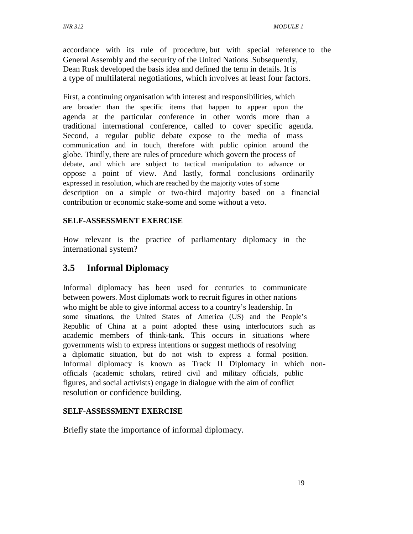accordance with its rule of procedure, but with special reference to the General Assembly and the security of the United Nations .Subsequently, Dean Rusk developed the basis idea and defined the term in details. It is a type of multilateral negotiations, which involves at least four factors.

First, a continuing organisation with interest and responsibilities, which are broader than the specific items that happen to appear upon the agenda at the particular conference in other words more than a traditional international conference, called to cover specific agenda. Second, a regular public debate expose to the media of mass communication and in touch, therefore with public opinion around the globe. Thirdly, there are rules of procedure which govern the process of debate, and which are subject to tactical manipulation to advance or oppose a point of view. And lastly, formal conclusions ordinarily expressed in resolution, which are reached by the majority votes of some description on a simple or two-third majority based on a financial contribution or economic stake-some and some without a veto.

### **SELF-ASSESSMENT EXERCISE**

How relevant is the practice of parliamentary diplomacy in the international system?

# **3.5 Informal Diplomacy**

Informal diplomacy has been used for centuries to communicate between powers. Most diplomats work to recruit figures in other nations who might be able to give informal access to a country's leadership. In some situations, the United States of America (US) and the People's Republic of China at a point adopted these using interlocutors such as academic members of think-tank. This occurs in situations where governments wish to express intentions or suggest methods of resolving a diplomatic situation, but do not wish to express a formal position. Informal diplomacy is known as Track II Diplomacy in which nonofficials (academic scholars, retired civil and military officials, public figures, and social activists) engage in dialogue with the aim of conflict resolution or confidence building.

### **SELF-ASSESSMENT EXERCISE**

Briefly state the importance of informal diplomacy.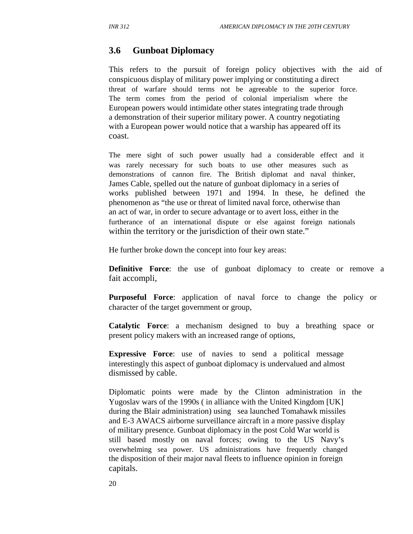# **3.6 Gunboat Diplomacy**

This refers to the pursuit of foreign policy objectives with the aid of conspicuous display of military power implying or constituting a direct threat of warfare should terms not be agreeable to the superior force. The term comes from the period of colonial imperialism where the European powers would intimidate other states integrating trade through a demonstration of their superior military power. A country negotiating with a European power would notice that a warship has appeared off its coast.

The mere sight of such power usually had a considerable effect and it was rarely necessary for such boats to use other measures such as demonstrations of cannon fire. The British diplomat and naval thinker, James Cable, spelled out the nature of gunboat diplomacy in a series of works published between 1971 and 1994. In these, he defined the phenomenon as "the use or threat of limited naval force, otherwise than an act of war, in order to secure advantage or to avert loss, either in the furtherance of an international dispute or else against foreign nationals within the territory or the jurisdiction of their own state."

He further broke down the concept into four key areas:

**Definitive Force**: the use of gunboat diplomacy to create or remove a fait accompli,

**Purposeful Force**: application of naval force to change the policy or character of the target government or group,

**Catalytic Force**: a mechanism designed to buy a breathing space or present policy makers with an increased range of options,

**Expressive Force:** use of navies to send a political message interestingly this aspect of gunboat diplomacy is undervalued and almost dismissed by cable.

Diplomatic points were made by the Clinton administration in the Yugoslav wars of the 1990s ( in alliance with the United Kingdom [UK] during the Blair administration) using sea launched Tomahawk missiles and E-3 AWACS airborne surveillance aircraft in a more passive display of military presence. Gunboat diplomacy in the post Cold War world is still based mostly on naval forces; owing to the US Navy's overwhelming sea power. US administrations have frequently changed the disposition of their major naval fleets to influence opinion in foreign capitals.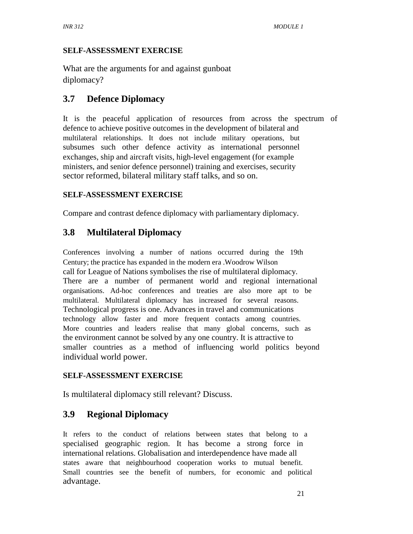### **SELF-ASSESSMENT EXERCISE**

What are the arguments for and against gunboat diplomacy?

# **3.7 Defence Diplomacy**

It is the peaceful application of resources from across the spectrum of defence to achieve positive outcomes in the development of bilateral and multilateral relationships. It does not include military operations, but subsumes such other defence activity as international personnel exchanges, ship and aircraft visits, high-level engagement (for example ministers, and senior defence personnel) training and exercises, security sector reformed, bilateral military staff talks, and so on.

### **SELF-ASSESSMENT EXERCISE**

Compare and contrast defence diplomacy with parliamentary diplomacy.

# **3.8 Multilateral Diplomacy**

Conferences involving a number of nations occurred during the 19th Century; the practice has expanded in the modern era .Woodrow Wilson call for League of Nations symbolises the rise of multilateral diplomacy. There are a number of permanent world and regional international organisations. Ad-hoc conferences and treaties are also more apt to be multilateral. Multilateral diplomacy has increased for several reasons. Technological progress is one. Advances in travel and communications technology allow faster and more frequent contacts among countries. More countries and leaders realise that many global concerns, such as the environment cannot be solved by any one country. It is attractive to smaller countries as a method of influencing world politics beyond individual world power.

### **SELF-ASSESSMENT EXERCISE**

Is multilateral diplomacy still relevant? Discuss.

# **3.9 Regional Diplomacy**

It refers to the conduct of relations between states that belong to a specialised geographic region. It has become a strong force in international relations. Globalisation and interdependence have made all states aware that neighbourhood cooperation works to mutual benefit. Small countries see the benefit of numbers, for economic and political advantage.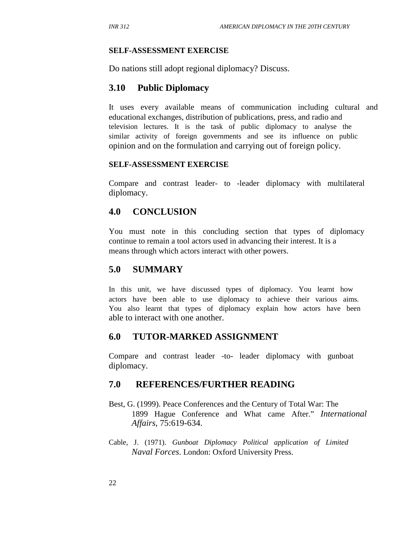#### **SELF-ASSESSMENT EXERCISE**

Do nations still adopt regional diplomacy? Discuss.

### **3.10 Public Diplomacy**

It uses every available means of communication including cultural and educational exchanges, distribution of publications, press, and radio and television lectures. It is the task of public diplomacy to analyse the similar activity of foreign governments and see its influence on public opinion and on the formulation and carrying out of foreign policy.

#### **SELF-ASSESSMENT EXERCISE**

Compare and contrast leader- to -leader diplomacy with multilateral diplomacy.

### **4.0 CONCLUSION**

You must note in this concluding section that types of diplomacy continue to remain a tool actors used in advancing their interest. It is a means through which actors interact with other powers.

### **5.0 SUMMARY**

In this unit, we have discussed types of diplomacy. You learnt how actors have been able to use diplomacy to achieve their various aims. You also learnt that types of diplomacy explain how actors have been able to interact with one another.

### **6.0 TUTOR-MARKED ASSIGNMENT**

Compare and contrast leader -to- leader diplomacy with gunboat diplomacy.

### **7.0 REFERENCES/FURTHER READING**

- Best, G. (1999). Peace Conferences and the Century of Total War: The 1899 Hague Conference and What came After." *International Affairs*, 75:619-634.
- Cable, J. (1971). *Gunboat Diplomacy Political application of Limited Naval Forces*. London: Oxford University Press.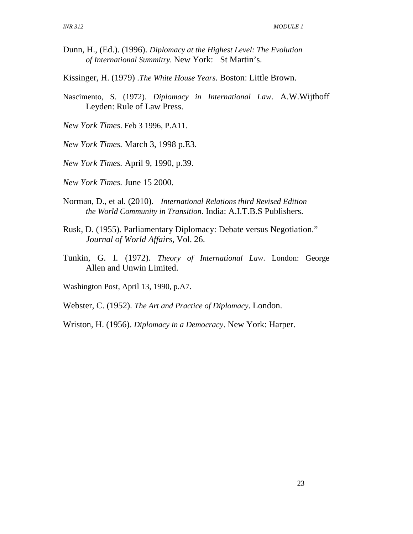- Dunn, H., (Ed.). (1996). *Diplomacy at the Highest Level: The Evolution of International Summitry.* New York: St Martin's.
- Kissinger, H. (1979) .*The White House Years*. Boston: Little Brown.
- Nascimento, S. (1972). *Diplomacy in International Law*. A.W.Wijthoff Leyden: Rule of Law Press.
- *New York Times*. Feb 3 1996, P.A11.
- *New York Times.* March 3, 1998 p.E3.
- *New York Times.* April 9, 1990, p.39.
- *New York Times.* June 15 2000.
- Norman, D., et al. (2010). *International Relations third Revised Edition the World Community in Transition*. India: A.I.T.B.S Publishers.
- Rusk, D. (1955). Parliamentary Diplomacy: Debate versus Negotiation." *Journal of World Affairs*, Vol. 26.
- Tunkin, G. I. (1972). *Theory of International Law*. London: George Allen and Unwin Limited.

Washington Post, April 13, 1990, p.A7.

Webster, C. (1952). *The Art and Practice of Diplomacy*. London.

Wriston, H. (1956). *Diplomacy in a Democracy*. New York: Harper.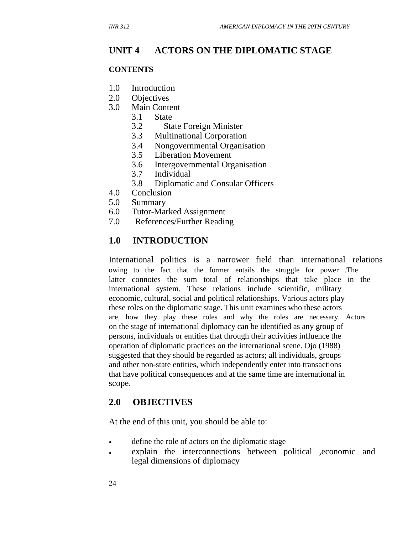# **UNIT 4 ACTORS ON THE DIPLOMATIC STAGE**

#### **CONTENTS**

- 1.0 Introduction
- 2.0 Objectives
- 3.0 Main Content
	- 3.1 State
	- 3.2 State Foreign Minister
	- 3.3 Multinational Corporation
	- 3.4 Nongovernmental Organisation
	- 3.5 Liberation Movement
	- 3.6 Intergovernmental Organisation
	- 3.7 Individual
	- 3.8 Diplomatic and Consular Officers
- 4.0 Conclusion
- 5.0 Summary
- 6.0 Tutor-Marked Assignment
- 7.0 References/Further Reading

# **1.0 INTRODUCTION**

International politics is a narrower field than international relations owing to the fact that the former entails the struggle for power .The latter connotes the sum total of relationships that take place in the international system. These relations include scientific, military economic, cultural, social and political relationships. Various actors play these roles on the diplomatic stage. This unit examines who these actors are, how they play these roles and why the roles are necessary. Actors on the stage of international diplomacy can be identified as any group of persons, individuals or entities that through their activities influence the operation of diplomatic practices on the international scene. Ojo (1988) suggested that they should be regarded as actors; all individuals, groups and other non-state entities, which independently enter into transactions that have political consequences and at the same time are international in scope.

# **2.0 OBJECTIVES**

At the end of this unit, you should be able to:

- define the role of actors on the diplomatic stage
- explain the interconnections between political ,economic and legal dimensions of diplomacy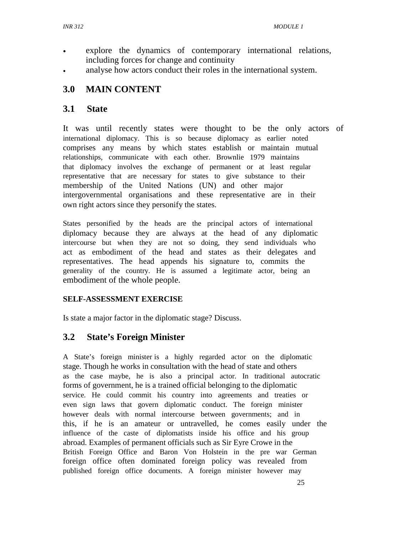- explore the dynamics of contemporary international relations, including forces for change and continuity
- analyse how actors conduct their roles in the international system.

# **3.0 MAIN CONTENT**

# **3.1 State**

It was until recently states were thought to be the only actors of international diplomacy. This is so because diplomacy as earlier noted comprises any means by which states establish or maintain mutual relationships, communicate with each other. Brownlie 1979 maintains that diplomacy involves the exchange of permanent or at least regular representative that are necessary for states to give substance to their membership of the United Nations (UN) and other major intergovernmental organisations and these representative are in their own right actors since they personify the states.

States personified by the heads are the principal actors of international diplomacy because they are always at the head of any diplomatic intercourse but when they are not so doing, they send individuals who act as embodiment of the head and states as their delegates and representatives. The head appends his signature to, commits the generality of the country. He is assumed a legitimate actor, being an embodiment of the whole people.

# **SELF-ASSESSMENT EXERCISE**

Is state a major factor in the diplomatic stage? Discuss.

# **3.2 State's Foreign Minister**

A State's foreign minister is a highly regarded actor on the diplomatic stage. Though he works in consultation with the head of state and others as the case maybe, he is also a principal actor. In traditional autocratic forms of government, he is a trained official belonging to the diplomatic service. He could commit his country into agreements and treaties or even sign laws that govern diplomatic conduct. The foreign minister however deals with normal intercourse between governments; and in this, if he is an amateur or untravelled, he comes easily under the influence of the caste of diplomatists inside his office and his group abroad. Examples of permanent officials such as Sir Eyre Crowe in the British Foreign Office and Baron Von Holstein in the pre war German foreign office often dominated foreign policy was revealed from published foreign office documents. A foreign minister however may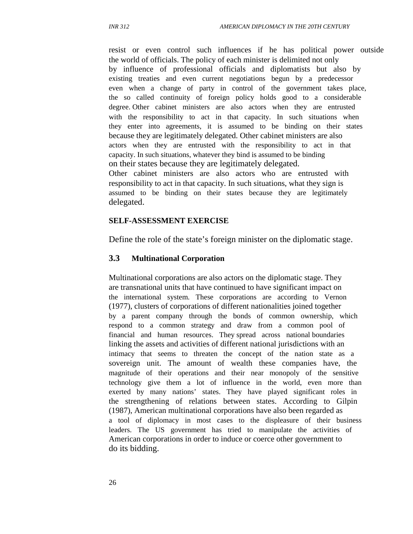resist or even control such influences if he has political power outside the world of officials. The policy of each minister is delimited not only by influence of professional officials and diplomatists but also by existing treaties and even current negotiations begun by a predecessor even when a change of party in control of the government takes place, the so called continuity of foreign policy holds good to a considerable degree. Other cabinet ministers are also actors when they are entrusted with the responsibility to act in that capacity. In such situations when they enter into agreements, it is assumed to be binding on their states because they are legitimately delegated. Other cabinet ministers are also actors when they are entrusted with the responsibility to act in that capacity. In such situations, whatever they bind is assumed to be binding on their states because they are legitimately delegated.

Other cabinet ministers are also actors who are entrusted with responsibility to act in that capacity. In such situations, what they sign is assumed to be binding on their states because they are legitimately delegated.

#### **SELF-ASSESSMENT EXERCISE**

Define the role of the state's foreign minister on the diplomatic stage.

#### **3.3 Multinational Corporation**

Multinational corporations are also actors on the diplomatic stage. They are transnational units that have continued to have significant impact on the international system. These corporations are according to Vernon (1977), clusters of corporations of different nationalities joined together by a parent company through the bonds of common ownership, which respond to a common strategy and draw from a common pool of financial and human resources. They spread across national boundaries linking the assets and activities of different national jurisdictions with an intimacy that seems to threaten the concept of the nation state as a sovereign unit. The amount of wealth these companies have, the magnitude of their operations and their near monopoly of the sensitive technology give them a lot of influence in the world, even more than exerted by many nations' states. They have played significant roles in the strengthening of relations between states. According to Gilpin (1987), American multinational corporations have also been regarded as a tool of diplomacy in most cases to the displeasure of their business leaders. The US government has tried to manipulate the activities of American corporations in order to induce or coerce other government to do its bidding.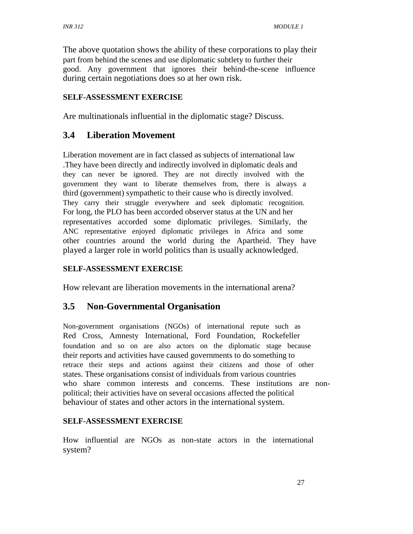The above quotation shows the ability of these corporations to play their part from behind the scenes and use diplomatic subtlety to further their good. Any government that ignores their behind-the-scene influence during certain negotiations does so at her own risk.

### **SELF-ASSESSMENT EXERCISE**

Are multinationals influential in the diplomatic stage? Discuss.

### **3.4 Liberation Movement**

Liberation movement are in fact classed as subjects of international law .They have been directly and indirectly involved in diplomatic deals and they can never be ignored. They are not directly involved with the government they want to liberate themselves from, there is always a third (government) sympathetic to their cause who is directly involved. They carry their struggle everywhere and seek diplomatic recognition. For long, the PLO has been accorded observer status at the UN and her representatives accorded some diplomatic privileges. Similarly, the ANC representative enjoyed diplomatic privileges in Africa and some other countries around the world during the Apartheid. They have played a larger role in world politics than is usually acknowledged.

### **SELF-ASSESSMENT EXERCISE**

How relevant are liberation movements in the international arena?

## **3.5 Non-Governmental Organisation**

Non-government organisations (NGOs) of international repute such as Red Cross, Amnesty International, Ford Foundation, Rockefeller foundation and so on are also actors on the diplomatic stage because their reports and activities have caused governments to do something to retrace their steps and actions against their citizens and those of other states. These organisations consist of individuals from various countries who share common interests and concerns. These institutions are nonpolitical; their activities have on several occasions affected the political behaviour of states and other actors in the international system.

#### **SELF-ASSESSMENT EXERCISE**

How influential are NGOs as non-state actors in the international system?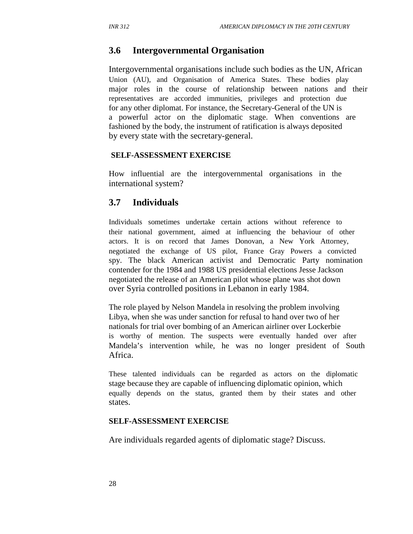### **3.6 Intergovernmental Organisation**

Intergovernmental organisations include such bodies as the UN, African Union (AU), and Organisation of America States. These bodies play major roles in the course of relationship between nations and their representatives are accorded immunities, privileges and protection due for any other diplomat. For instance, the Secretary-General of the UN is a powerful actor on the diplomatic stage. When conventions are fashioned by the body, the instrument of ratification is always deposited by every state with the secretary-general.

#### **SELF-ASSESSMENT EXERCISE**

How influential are the intergovernmental organisations in the international system?

#### **3.7 Individuals**

Individuals sometimes undertake certain actions without reference to their national government, aimed at influencing the behaviour of other actors. It is on record that James Donovan, a New York Attorney, negotiated the exchange of US pilot, France Gray Powers a convicted spy. The black American activist and Democratic Party nomination contender for the 1984 and 1988 US presidential elections Jesse Jackson negotiated the release of an American pilot whose plane was shot down over Syria controlled positions in Lebanon in early 1984.

The role played by Nelson Mandela in resolving the problem involving Libya, when she was under sanction for refusal to hand over two of her nationals for trial over bombing of an American airliner over Lockerbie is worthy of mention. The suspects were eventually handed over after Mandela's intervention while, he was no longer president of South Africa.

These talented individuals can be regarded as actors on the diplomatic stage because they are capable of influencing diplomatic opinion, which equally depends on the status, granted them by their states and other states.

#### **SELF-ASSESSMENT EXERCISE**

Are individuals regarded agents of diplomatic stage? Discuss.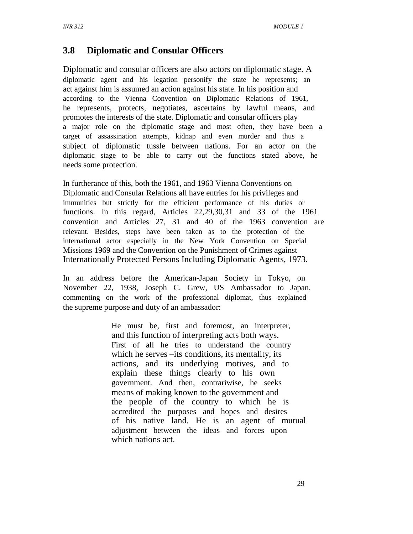# **3.8 Diplomatic and Consular Officers**

Diplomatic and consular officers are also actors on diplomatic stage. A diplomatic agent and his legation personify the state he represents; an act against him is assumed an action against his state. In his position and according to the Vienna Convention on Diplomatic Relations of 1961, he represents, protects, negotiates, ascertains by lawful means, and promotes the interests of the state. Diplomatic and consular officers play a major role on the diplomatic stage and most often, they have been a target of assassination attempts, kidnap and even murder and thus a subject of diplomatic tussle between nations. For an actor on the diplomatic stage to be able to carry out the functions stated above, he needs some protection.

In furtherance of this, both the 1961, and 1963 Vienna Conventions on Diplomatic and Consular Relations all have entries for his privileges and immunities but strictly for the efficient performance of his duties or functions. In this regard, Articles 22,29,30,31 and 33 of the 1961 convention and Articles 27, 31 and 40 of the 1963 convention are relevant. Besides, steps have been taken as to the protection of the international actor especially in the New York Convention on Special Missions 1969 and the Convention on the Punishment of Crimes against Internationally Protected Persons Including Diplomatic Agents, 1973.

In an address before the American-Japan Society in Tokyo, on November 22, 1938, Joseph C. Grew, US Ambassador to Japan, commenting on the work of the professional diplomat, thus explained the supreme purpose and duty of an ambassador:

> He must be, first and foremost, an interpreter, and this function of interpreting acts both ways. First of all he tries to understand the country which he serves –its conditions, its mentality, its actions, and its underlying motives, and to explain these things clearly to his own government. And then, contrariwise, he seeks means of making known to the government and the people of the country to which he is accredited the purposes and hopes and desires of his native land. He is an agent of mutual adjustment between the ideas and forces upon which nations act.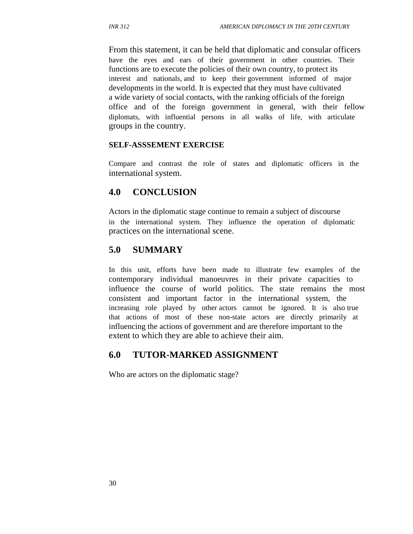From this statement, it can be held that diplomatic and consular officers have the eyes and ears of their government in other countries. Their functions are to execute the policies of their own country, to protect its interest and nationals, and to keep their government informed of major developments in the world. It is expected that they must have cultivated a wide variety of social contacts, with the ranking officials of the foreign office and of the foreign government in general, with their fellow diplomats, with influential persons in all walks of life, with articulate groups in the country.

#### **SELF-ASSSEMENT EXERCISE**

Compare and contrast the role of states and diplomatic officers in the international system.

### **4.0 CONCLUSION**

Actors in the diplomatic stage continue to remain a subject of discourse in the international system. They influence the operation of diplomatic practices on the international scene.

### **5.0 SUMMARY**

In this unit, efforts have been made to illustrate few examples of the contemporary individual manoeuvres in their private capacities to influence the course of world politics. The state remains the most consistent and important factor in the international system, the increasing role played by other actors cannot be ignored. It is also true that actions of most of these non-state actors are directly primarily at influencing the actions of government and are therefore important to the extent to which they are able to achieve their aim.

### **6.0 TUTOR-MARKED ASSIGNMENT**

Who are actors on the diplomatic stage?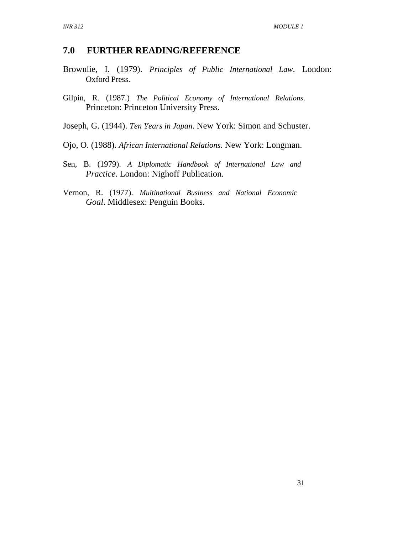#### **7.0 FURTHER READING/REFERENCE**

- Brownlie, I. (1979). *Principles of Public International Law*. London: Oxford Press.
- Gilpin, R. (1987.) *The Political Economy of International Relations*. Princeton: Princeton University Press.
- Joseph, G. (1944). *Ten Years in Japan*. New York: Simon and Schuster.
- Ojo, O. (1988). *African International Relations*. New York: Longman.
- Sen, B. (1979). *A Diplomatic Handbook of International Law and Practice*. London: Nighoff Publication.
- Vernon, R. (1977). *Multinational Business and National Economic Goal*. Middlesex: Penguin Books.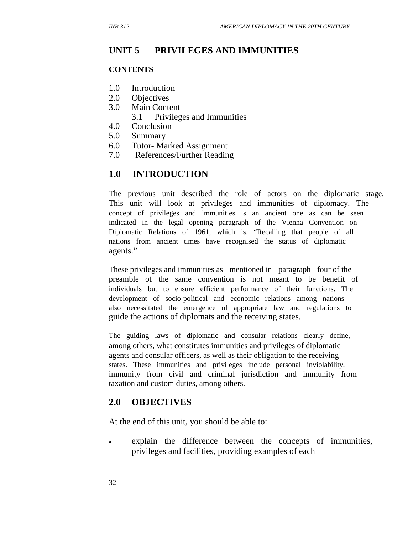# **UNIT 5 PRIVILEGES AND IMMUNITIES**

#### **CONTENTS**

- 1.0 Introduction
- 2.0 Objectives
- 3.0 Main Content
	- 3.1 Privileges and Immunities
- 4.0 Conclusion
- 5.0 Summary
- 6.0 Tutor- Marked Assignment
- 7.0 References/Further Reading

## **1.0 INTRODUCTION**

The previous unit described the role of actors on the diplomatic stage. This unit will look at privileges and immunities of diplomacy. The concept of privileges and immunities is an ancient one as can be seen indicated in the legal opening paragraph of the Vienna Convention on Diplomatic Relations of 1961, which is, "Recalling that people of all nations from ancient times have recognised the status of diplomatic agents."

These privileges and immunities as mentioned in paragraph four of the preamble of the same convention is not meant to be benefit of individuals but to ensure efficient performance of their functions. The development of socio-political and economic relations among nations also necessitated the emergence of appropriate law and regulations to guide the actions of diplomats and the receiving states.

The guiding laws of diplomatic and consular relations clearly define, among others, what constitutes immunities and privileges of diplomatic agents and consular officers, as well as their obligation to the receiving states. These immunities and privileges include personal inviolability, immunity from civil and criminal jurisdiction and immunity from taxation and custom duties, among others.

### **2.0 OBJECTIVES**

At the end of this unit, you should be able to:

• explain the difference between the concepts of immunities, privileges and facilities, providing examples of each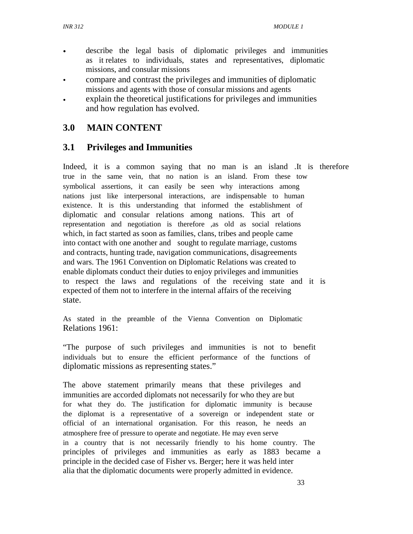- describe the legal basis of diplomatic privileges and immunities as it relates to individuals, states and representatives, diplomatic missions, and consular missions
- compare and contrast the privileges and immunities of diplomatic missions and agents with those of consular missions and agents
- explain the theoretical justifications for privileges and immunities and how regulation has evolved.

## **3.0 MAIN CONTENT**

## **3.1 Privileges and Immunities**

Indeed, it is a common saying that no man is an island .It is therefore true in the same vein, that no nation is an island. From these tow symbolical assertions, it can easily be seen why interactions among nations just like interpersonal interactions, are indispensable to human existence. It is this understanding that informed the establishment of diplomatic and consular relations among nations. This art of representation and negotiation is therefore ,as old as social relations which, in fact started as soon as families, clans, tribes and people came into contact with one another and sought to regulate marriage, customs and contracts, hunting trade, navigation communications, disagreements and wars. The 1961 Convention on Diplomatic Relations was created to enable diplomats conduct their duties to enjoy privileges and immunities to respect the laws and regulations of the receiving state and it is expected of them not to interfere in the internal affairs of the receiving state.

As stated in the preamble of the Vienna Convention on Diplomatic Relations 1961:

"The purpose of such privileges and immunities is not to benefit individuals but to ensure the efficient performance of the functions of diplomatic missions as representing states."

The above statement primarily means that these privileges and immunities are accorded diplomats not necessarily for who they are but for what they do. The justification for diplomatic immunity is because the diplomat is a representative of a sovereign or independent state or official of an international organisation. For this reason, he needs an atmosphere free of pressure to operate and negotiate. He may even serve in a country that is not necessarily friendly to his home country. The principles of privileges and immunities as early as 1883 became a principle in the decided case of Fisher vs. Berger; here it was held inter alia that the diplomatic documents were properly admitted in evidence.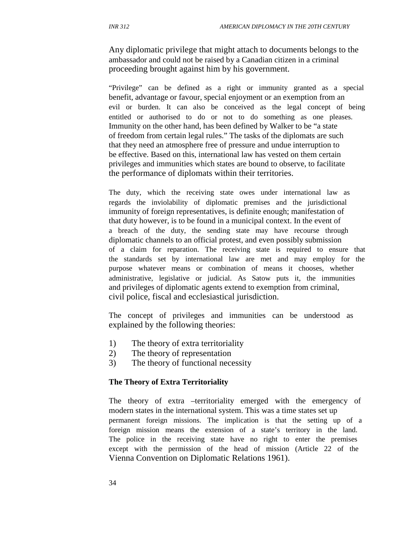Any diplomatic privilege that might attach to documents belongs to the ambassador and could not be raised by a Canadian citizen in a criminal proceeding brought against him by his government.

"Privilege" can be defined as a right or immunity granted as a special benefit, advantage or favour, special enjoyment or an exemption from an evil or burden. It can also be conceived as the legal concept of being entitled or authorised to do or not to do something as one pleases. Immunity on the other hand, has been defined by Walker to be "a state of freedom from certain legal rules." The tasks of the diplomats are such that they need an atmosphere free of pressure and undue interruption to be effective. Based on this, international law has vested on them certain privileges and immunities which states are bound to observe, to facilitate the performance of diplomats within their territories.

The duty, which the receiving state owes under international law as regards the inviolability of diplomatic premises and the jurisdictional immunity of foreign representatives, is definite enough; manifestation of that duty however, is to be found in a municipal context. In the event of a breach of the duty, the sending state may have recourse through diplomatic channels to an official protest, and even possibly submission of a claim for reparation. The receiving state is required to ensure that the standards set by international law are met and may employ for the purpose whatever means or combination of means it chooses, whether administrative, legislative or judicial. As Satow puts it, the immunities and privileges of diplomatic agents extend to exemption from criminal, civil police, fiscal and ecclesiastical jurisdiction.

The concept of privileges and immunities can be understood as explained by the following theories:

- 1) The theory of extra territoriality
- 2) The theory of representation
- 3) The theory of functional necessity

#### **The Theory of Extra Territoriality**

The theory of extra –territoriality emerged with the emergency of modern states in the international system. This was a time states set up permanent foreign missions. The implication is that the setting up of a foreign mission means the extension of a state's territory in the land. The police in the receiving state have no right to enter the premises except with the permission of the head of mission (Article 22 of the Vienna Convention on Diplomatic Relations 1961).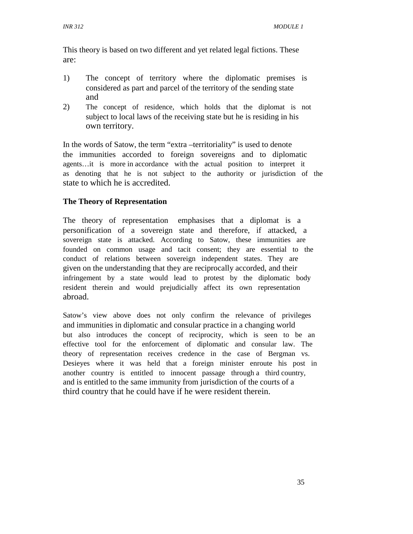This theory is based on two different and yet related legal fictions. These are:

- 1) The concept of territory where the diplomatic premises is considered as part and parcel of the territory of the sending state and
- 2) The concept of residence, which holds that the diplomat is not subject to local laws of the receiving state but he is residing in his own territory.

In the words of Satow, the term "extra –territoriality" is used to denote the immunities accorded to foreign sovereigns and to diplomatic agents…it is more in accordance with the actual position to interpret it as denoting that he is not subject to the authority or jurisdiction of the state to which he is accredited.

### **The Theory of Representation**

The theory of representation emphasises that a diplomat is a personification of a sovereign state and therefore, if attacked, a sovereign state is attacked. According to Satow, these immunities are founded on common usage and tacit consent; they are essential to the conduct of relations between sovereign independent states. They are given on the understanding that they are reciprocally accorded, and their infringement by a state would lead to protest by the diplomatic body resident therein and would prejudicially affect its own representation abroad.

Satow's view above does not only confirm the relevance of privileges and immunities in diplomatic and consular practice in a changing world but also introduces the concept of reciprocity, which is seen to be an effective tool for the enforcement of diplomatic and consular law. The theory of representation receives credence in the case of Bergman vs. Desieyes where it was held that a foreign minister enroute his post in another country is entitled to innocent passage through a third country, and is entitled to the same immunity from jurisdiction of the courts of a third country that he could have if he were resident therein.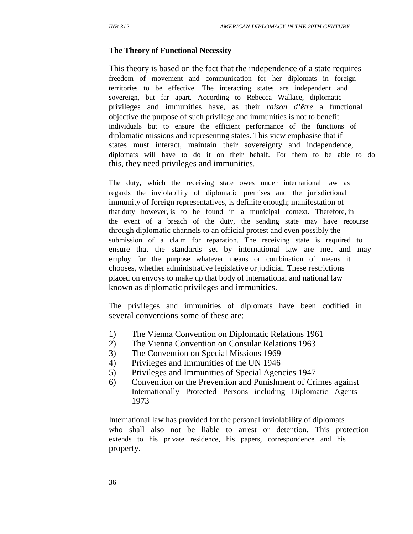#### **The Theory of Functional Necessity**

This theory is based on the fact that the independence of a state requires freedom of movement and communication for her diplomats in foreign territories to be effective. The interacting states are independent and sovereign, but far apart. According to Rebecca Wallace, diplomatic privileges and immunities have, as their *raison d'être* a functional objective the purpose of such privilege and immunities is not to benefit individuals but to ensure the efficient performance of the functions of diplomatic missions and representing states. This view emphasise that if states must interact, maintain their sovereignty and independence, diplomats will have to do it on their behalf. For them to be able to do this, they need privileges and immunities.

The duty, which the receiving state owes under international law as regards the inviolability of diplomatic premises and the jurisdictional immunity of foreign representatives, is definite enough; manifestation of that duty however, is to be found in a municipal context. Therefore, in the event of a breach of the duty, the sending state may have recourse through diplomatic channels to an official protest and even possibly the submission of a claim for reparation. The receiving state is required to ensure that the standards set by international law are met and may employ for the purpose whatever means or combination of means it chooses, whether administrative legislative or judicial. These restrictions placed on envoys to make up that body of international and national law known as diplomatic privileges and immunities.

The privileges and immunities of diplomats have been codified in several conventions some of these are:

- 1) The Vienna Convention on Diplomatic Relations 1961
- 2) The Vienna Convention on Consular Relations 1963
- 3) The Convention on Special Missions 1969
- 4) Privileges and Immunities of the UN 1946
- 5) Privileges and Immunities of Special Agencies 1947
- 6) Convention on the Prevention and Punishment of Crimes against Internationally Protected Persons including Diplomatic Agents 1973

International law has provided for the personal inviolability of diplomats who shall also not be liable to arrest or detention. This protection extends to his private residence, his papers, correspondence and his property.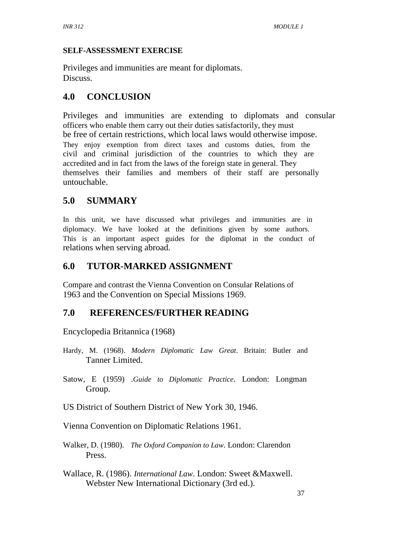### **SELF-ASSESSMENT EXERCISE**

Privileges and immunities are meant for diplomats. Discuss.

# **4.0 CONCLUSION**

Privileges and immunities are extending to diplomats and consular officers who enable them carry out their duties satisfactorily, they must be free of certain restrictions, which local laws would otherwise impose. They enjoy exemption from direct taxes and customs duties, from the civil and criminal jurisdiction of the countries to which they are accredited and in fact from the laws of the foreign state in general. They themselves their families and members of their staff are personally untouchable.

# **5.0 SUMMARY**

In this unit, we have discussed what privileges and immunities are in diplomacy. We have looked at the definitions given by some authors. This is an important aspect guides for the diplomat in the conduct of relations when serving abroad.

# **6.0 TUTOR-MARKED ASSIGNMENT**

Compare and contrast the Vienna Convention on Consular Relations of 1963 and the Convention on Special Missions 1969.

## **7.0 REFERENCES/FURTHER READING**

Encyclopedia Britannica (1968)

- Hardy, M. (1968). *Modern Diplomatic Law Great*. Britain: Butler and Tanner Limited.
- Satow, E (1959) .*Guide to Diplomatic Practice*. London: Longman Group.
- US District of Southern District of New York 30, 1946.
- Vienna Convention on Diplomatic Relations 1961.
- Walker, D. (1980). *The Oxford Companion to Law*. London: Clarendon Press.
- Wallace, R. (1986). *International Law*. London: Sweet &Maxwell. Webster New International Dictionary (3rd ed.).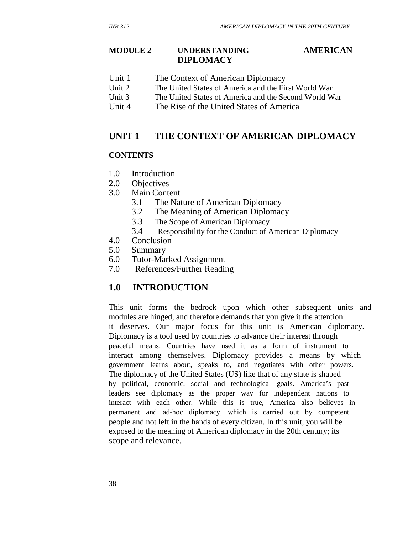#### **MODULE 2 UNDERSTANDING DIPLOMACY AMERICAN**

- Unit 1 The Context of American Diplomacy
- Unit 2 The United States of America and the First World War
- Unit 3 The United States of America and the Second World War
- Unit 4 The Rise of the United States of America

## **UNIT 1 THE CONTEXT OF AMERICAN DIPLOMACY**

#### **CONTENTS**

- 1.0 Introduction
- 2.0 Objectives
- 3.0 Main Content
	- 3.1 The Nature of American Diplomacy
	- 3.2 The Meaning of American Diplomacy
	- 3.3 The Scope of American Diplomacy
	- 3.4 Responsibility for the Conduct of American Diplomacy
- 4.0 Conclusion
- 5.0 Summary
- 6.0 Tutor-Marked Assignment
- 7.0 References/Further Reading

### **1.0 INTRODUCTION**

This unit forms the bedrock upon which other subsequent units and modules are hinged, and therefore demands that you give it the attention it deserves. Our major focus for this unit is American diplomacy. Diplomacy is a tool used by countries to advance their interest through peaceful means. Countries have used it as a form of instrument to interact among themselves. Diplomacy provides a means by which government learns about, speaks to, and negotiates with other powers. The diplomacy of the United States (US) like that of any state is shaped by political, economic, social and technological goals. America's past leaders see diplomacy as the proper way for independent nations to interact with each other. While this is true, America also believes in permanent and ad-hoc diplomacy, which is carried out by competent people and not left in the hands of every citizen. In this unit, you will be exposed to the meaning of American diplomacy in the 20th century; its scope and relevance.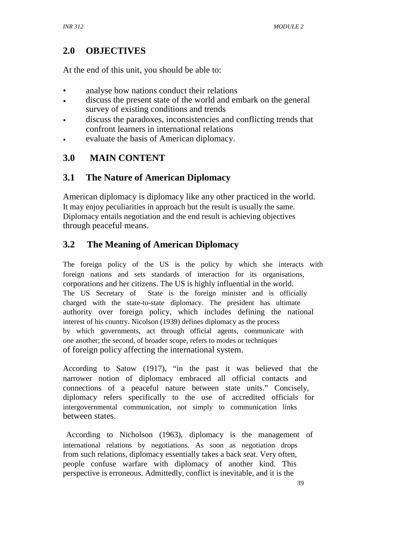# **2.0 OBJECTIVES**

At the end of this unit, you should be able to:

- analyse how nations conduct their relations
- discuss the present state of the world and embark on the general survey of existing conditions and trends
- discuss the paradoxes, inconsistencies and conflicting trends that confront learners in international relations
- evaluate the basis of American diplomacy.

# **3.0 MAIN CONTENT**

# **3.1 The Nature of American Diplomacy**

American diplomacy is diplomacy like any other practiced in the world. It may enjoy peculiarities in approach but the result is usually the same. Diplomacy entails negotiation and the end result is achieving objectives through peaceful means.

# **3.2 The Meaning of American Diplomacy**

The foreign policy of the US is the policy by which she interacts with foreign nations and sets standards of interaction for its organisations, corporations and her citizens. The US is highly influential in the world. The US Secretary of State is the foreign minister and is officially charged with the state-to-state diplomacy. The president has ultimate authority over foreign policy, which includes defining the national interest of his country. Nicolson (1939) defines diplomacy as the process by which governments, act through official agents, communicate with one another; the second, of broader scope, refers to modes or techniques of foreign policy affecting the international system.

According to Satow (1917), "in the past it was believed that the narrower notion of diplomacy embraced all official contacts and connections of a peaceful nature between state units." Concisely, diplomacy refers specifically to the use of accredited officials for intergovernmental communication, not simply to communication links between states.

 According to Nicholson (1963), diplomacy is the management of international relations by negotiations. As soon as negotiation drops from such relations, diplomacy essentially takes a back seat. Very often, people confuse warfare with diplomacy of another kind. This perspective is erroneous. Admittedly, conflict is inevitable, and it is the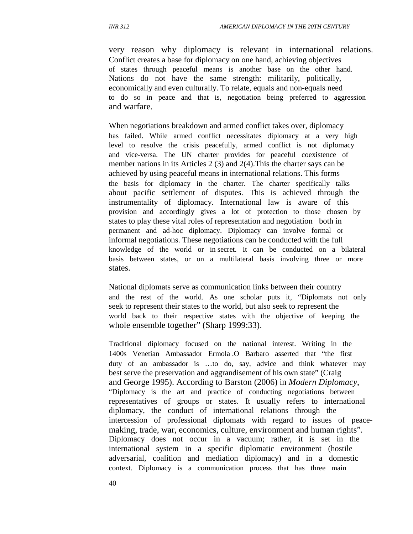very reason why diplomacy is relevant in international relations. Conflict creates a base for diplomacy on one hand, achieving objectives of states through peaceful means is another base on the other hand. Nations do not have the same strength: militarily, politically, economically and even culturally. To relate, equals and non-equals need to do so in peace and that is, negotiation being preferred to aggression and warfare.

When negotiations breakdown and armed conflict takes over, diplomacy has failed. While armed conflict necessitates diplomacy at a very high level to resolve the crisis peacefully, armed conflict is not diplomacy and vice-versa. The UN charter provides for peaceful coexistence of member nations in its Articles 2 (3) and 2(4).This the charter says can be achieved by using peaceful means in international relations. This forms the basis for diplomacy in the charter. The charter specifically talks about pacific settlement of disputes. This is achieved through the instrumentality of diplomacy. International law is aware of this provision and accordingly gives a lot of protection to those chosen by states to play these vital roles of representation and negotiation both in permanent and ad-hoc diplomacy. Diplomacy can involve formal or informal negotiations. These negotiations can be conducted with the full knowledge of the world or in secret. It can be conducted on a bilateral basis between states, or on a multilateral basis involving three or more states.

National diplomats serve as communication links between their country and the rest of the world. As one scholar puts it, "Diplomats not only seek to represent their states to the world, but also seek to represent the world back to their respective states with the objective of keeping the whole ensemble together" (Sharp 1999:33).

Traditional diplomacy focused on the national interest. Writing in the 1400s Venetian Ambassador Ermola .O Barbaro asserted that "the first duty of an ambassador is …to do, say, advice and think whatever may best serve the preservation and aggrandisement of his own state" (Craig and George 1995). According to Barston (2006) in *Modern Diplomacy*, "Diplomacy is the art and practice of conducting negotiations between representatives of groups or states. It usually refers to international diplomacy, the conduct of international relations through the intercession of professional diplomats with regard to issues of peacemaking, trade, war, economics, culture, environment and human rights"*.*  Diplomacy does not occur in a vacuum; rather, it is set in the international system in a specific diplomatic environment (hostile adversarial, coalition and mediation diplomacy) and in a domestic context. Diplomacy is a communication process that has three main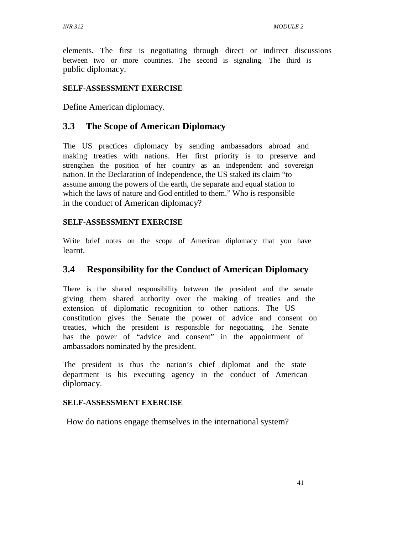elements. The first is negotiating through direct or indirect discussions between two or more countries. The second is signaling. The third is public diplomacy.

### **SELF-ASSESSMENT EXERCISE**

Define American diplomacy.

### **3.3 The Scope of American Diplomacy**

The US practices diplomacy by sending ambassadors abroad and making treaties with nations. Her first priority is to preserve and strengthen the position of her country as an independent and sovereign nation. In the Declaration of Independence, the US staked its claim "to assume among the powers of the earth, the separate and equal station to which the laws of nature and God entitled to them." Who is responsible in the conduct of American diplomacy?

### **SELF-ASSESSMENT EXERCISE**

Write brief notes on the scope of American diplomacy that you have learnt.

## **3.4 Responsibility for the Conduct of American Diplomacy**

There is the shared responsibility between the president and the senate giving them shared authority over the making of treaties and the extension of diplomatic recognition to other nations. The US constitution gives the Senate the power of advice and consent on treaties, which the president is responsible for negotiating. The Senate has the power of "advice and consent" in the appointment of ambassadors nominated by the president.

The president is thus the nation's chief diplomat and the state department is his executing agency in the conduct of American diplomacy.

#### **SELF-ASSESSMENT EXERCISE**

How do nations engage themselves in the international system?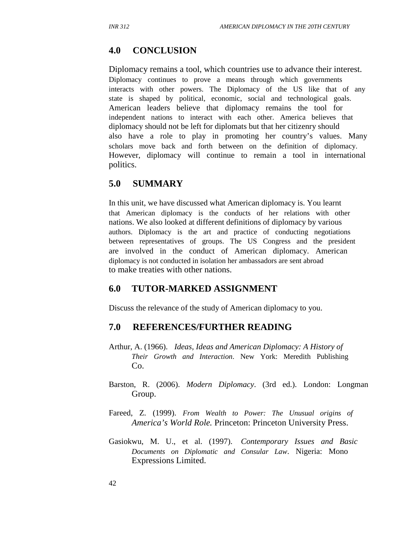## **4.0 CONCLUSION**

Diplomacy remains a tool, which countries use to advance their interest. Diplomacy continues to prove a means through which governments interacts with other powers. The Diplomacy of the US like that of any state is shaped by political, economic, social and technological goals. American leaders believe that diplomacy remains the tool for independent nations to interact with each other. America believes that diplomacy should not be left for diplomats but that her citizenry should also have a role to play in promoting her country's values. Many scholars move back and forth between on the definition of diplomacy. However, diplomacy will continue to remain a tool in international politics.

### **5.0 SUMMARY**

In this unit, we have discussed what American diplomacy is. You learnt that American diplomacy is the conducts of her relations with other nations. We also looked at different definitions of diplomacy by various authors. Diplomacy is the art and practice of conducting negotiations between representatives of groups. The US Congress and the president are involved in the conduct of American diplomacy. American diplomacy is not conducted in isolation her ambassadors are sent abroad to make treaties with other nations.

#### **6.0 TUTOR-MARKED ASSIGNMENT**

Discuss the relevance of the study of American diplomacy to you.

#### **7.0 REFERENCES/FURTHER READING**

- Arthur, A. (1966). *Ideas, Ideas and American Diplomacy: A History of Their Growth and Interaction*. New York: Meredith Publishing Co.
- Barston, R. (2006). *Modern Diplomacy*. (3rd ed.). London: Longman Group.
- Fareed, Z. (1999). *From Wealth to Power: The Unusual origins of America's World Role.* Princeton: Princeton University Press.
- Gasiokwu, M. U., et al. (1997). *Contemporary Issues and Basic Documents on Diplomatic and Consular Law*. Nigeria: Mono Expressions Limited.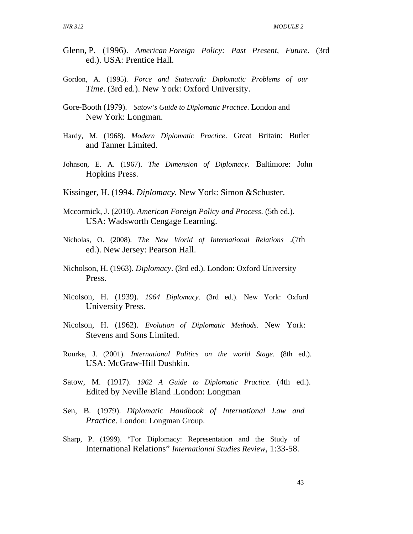- Glenn, P. (1996). *American Foreign Policy: Past Present, Future.* (3rd ed.). USA: Prentice Hall.
- Gordon, A. (1995). *Force and Statecraft: Diplomatic Problems of our Time*. (3rd ed.). New York: Oxford University.
- Gore-Booth (1979). *Satow's Guide to Diplomatic Practice*. London and New York: Longman.
- Hardy, M. (1968). *Modern Diplomatic Practice*. Great Britain: Butler and Tanner Limited.
- Johnson, E. A. (1967). *The Dimension of Diplomacy*. Baltimore: John Hopkins Press.
- Kissinger, H. (1994. *Diplomacy.* New York: Simon &Schuster.
- Mccormick, J. (2010). *American Foreign Policy and Process*. (5th ed.). USA: Wadsworth Cengage Learning.
- Nicholas, O. (2008). *The New World of International Relations* .(7th ed.). New Jersey: Pearson Hall.
- Nicholson, H. (1963). *Diplomacy*. (3rd ed.). London: Oxford University Press.
- Nicolson, H. (1939). *1964 Diplomacy*. (3rd ed.). New York: Oxford University Press.
- Nicolson, H. (1962). *Evolution of Diplomatic Methods.* New York: Stevens and Sons Limited.
- Rourke, J. (2001). *International Politics on the world Stage.* (8th ed.). USA: McGraw-Hill Dushkin.
- Satow, M. (1917). *1962 A Guide to Diplomatic Practice.* (4th ed.). Edited by Neville Bland .London: Longman
- Sen, B. (1979). *Diplomatic Handbook of International Law and Practice.* London: Longman Group.
- Sharp, P. (1999). "For Diplomacy: Representation and the Study of International Relations" *International Studies Review*, 1:33-58.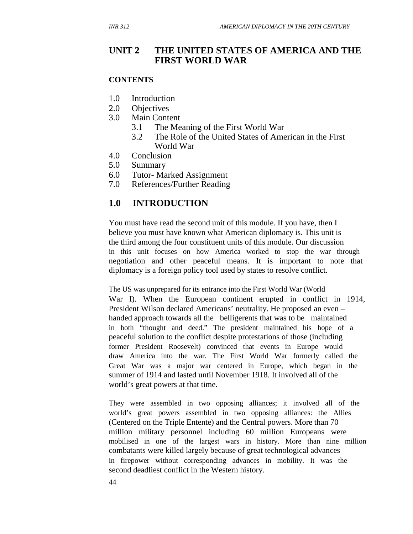### **UNIT 2 THE UNITED STATES OF AMERICA AND THE FIRST WORLD WAR**

#### **CONTENTS**

- 1.0 Introduction
- 2.0 Objectives
- 3.0 Main Content
	- 3.1 The Meaning of the First World War
	- 3.2 The Role of the United States of American in the First World War
- 4.0 Conclusion
- 5.0 Summary
- 6.0 Tutor- Marked Assignment
- 7.0 References/Further Reading

## **1.0 INTRODUCTION**

You must have read the second unit of this module. If you have, then I believe you must have known what American diplomacy is. This unit is the third among the four constituent units of this module. Our discussion in this unit focuses on how America worked to stop the war through negotiation and other peaceful means. It is important to note that diplomacy is a foreign policy tool used by states to resolve conflict.

The US was unprepared for its entrance into the First World War (World War I). When the European continent erupted in conflict in 1914, President Wilson declared Americans' neutrality. He proposed an even – handed approach towards all the belligerents that was to be maintained in both "thought and deed." The president maintained his hope of a peaceful solution to the conflict despite protestations of those (including former President Roosevelt) convinced that events in Europe would draw America into the war. The First World War formerly called the Great War was a major war centered in Europe, which began in the summer of 1914 and lasted until November 1918. It involved all of the world's great powers at that time.

They were assembled in two opposing alliances; it involved all of the world's great powers assembled in two opposing alliances: the Allies (Centered on the Triple Entente) and the Central powers. More than 70 million military personnel including 60 million Europeans were mobilised in one of the largest wars in history. More than nine million combatants were killed largely because of great technological advances in firepower without corresponding advances in mobility. It was the second deadliest conflict in the Western history.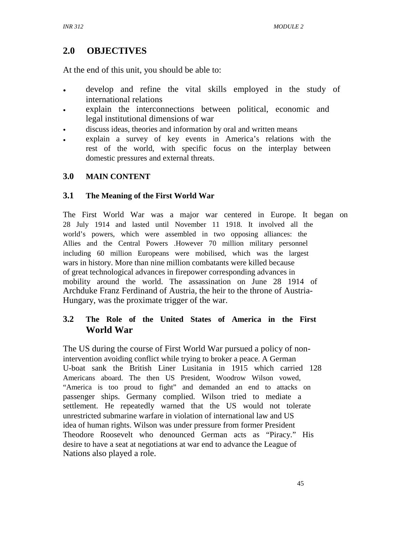# **2.0 OBJECTIVES**

At the end of this unit, you should be able to:

- develop and refine the vital skills employed in the study of international relations
- explain the interconnections between political, economic and legal institutional dimensions of war
- discuss ideas, theories and information by oral and written means
- explain a survey of key events in America's relations with the rest of the world, with specific focus on the interplay between domestic pressures and external threats.

### **3.0 MAIN CONTENT**

### **3.1 The Meaning of the First World War**

The First World War was a major war centered in Europe. It began on 28 July 1914 and lasted until November 11 1918. It involved all the world's powers, which were assembled in two opposing alliances: the Allies and the Central Powers .However 70 million military personnel including 60 million Europeans were mobilised, which was the largest wars in history. More than nine million combatants were killed because of great technological advances in firepower corresponding advances in mobility around the world. The assassination on June 28 1914 of Archduke Franz Ferdinand of Austria, the heir to the throne of Austria-Hungary, was the proximate trigger of the war.

### **3.2 The Role of the United States of America in the First World War**

The US during the course of First World War pursued a policy of nonintervention avoiding conflict while trying to broker a peace. A German U-boat sank the British Liner Lusitania in 1915 which carried 128 Americans aboard. The then US President, Woodrow Wilson vowed, "America is too proud to fight" and demanded an end to attacks on passenger ships. Germany complied. Wilson tried to mediate a settlement. He repeatedly warned that the US would not tolerate unrestricted submarine warfare in violation of international law and US idea of human rights. Wilson was under pressure from former President Theodore Roosevelt who denounced German acts as "Piracy." His desire to have a seat at negotiations at war end to advance the League of Nations also played a role.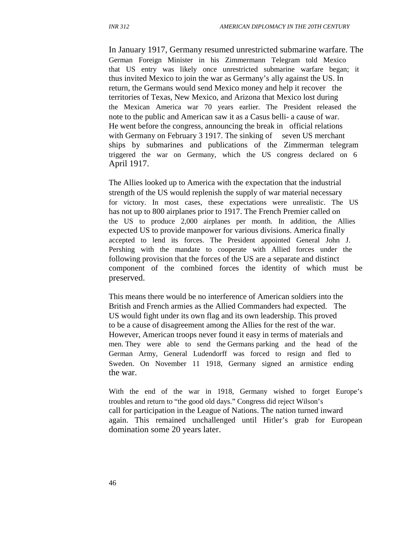In January 1917, Germany resumed unrestricted submarine warfare. The German Foreign Minister in his Zimmermann Telegram told Mexico that US entry was likely once unrestricted submarine warfare began; it thus invited Mexico to join the war as Germany's ally against the US. In return, the Germans would send Mexico money and help it recover the territories of Texas, New Mexico, and Arizona that Mexico lost during the Mexican America war 70 years earlier. The President released the note to the public and American saw it as a Casus belli- a cause of war. He went before the congress, announcing the break in official relations with Germany on February 3 1917. The sinking of seven US merchant ships by submarines and publications of the Zimmerman telegram triggered the war on Germany, which the US congress declared on 6 April 1917.

The Allies looked up to America with the expectation that the industrial strength of the US would replenish the supply of war material necessary for victory. In most cases, these expectations were unrealistic. The US has not up to 800 airplanes prior to 1917. The French Premier called on the US to produce 2,000 airplanes per month. In addition, the Allies expected US to provide manpower for various divisions. America finally accepted to lend its forces. The President appointed General John J. Pershing with the mandate to cooperate with Allied forces under the following provision that the forces of the US are a separate and distinct component of the combined forces the identity of which must be preserved.

This means there would be no interference of American soldiers into the British and French armies as the Allied Commanders had expected. The US would fight under its own flag and its own leadership. This proved to be a cause of disagreement among the Allies for the rest of the war. However, American troops never found it easy in terms of materials and men. They were able to send the Germans parking and the head of the German Army, General Ludendorff was forced to resign and fled to Sweden. On November 11 1918, Germany signed an armistice ending the war.

With the end of the war in 1918, Germany wished to forget Europe's troubles and return to "the good old days." Congress did reject Wilson's call for participation in the League of Nations. The nation turned inward again. This remained unchallenged until Hitler's grab for European domination some 20 years later.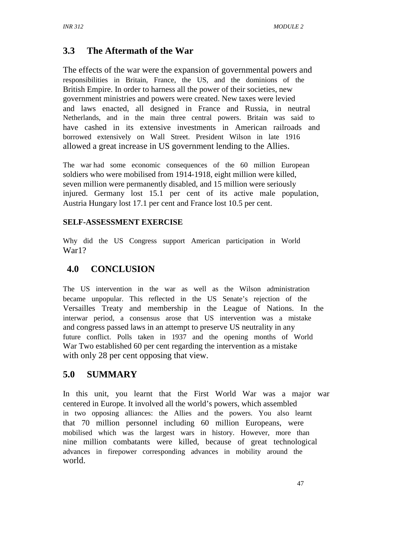# **3.3 The Aftermath of the War**

The effects of the war were the expansion of governmental powers and responsibilities in Britain, France, the US, and the dominions of the British Empire. In order to harness all the power of their societies, new government ministries and powers were created. New taxes were levied and laws enacted, all designed in France and Russia, in neutral Netherlands, and in the main three central powers. Britain was said to have cashed in its extensive investments in American railroads and borrowed extensively on Wall Street. President Wilson in late 1916 allowed a great increase in US government lending to the Allies.

The war had some economic consequences of the 60 million European soldiers who were mobilised from 1914-1918, eight million were killed, seven million were permanently disabled, and 15 million were seriously injured. Germany lost 15.1 per cent of its active male population, Austria Hungary lost 17.1 per cent and France lost 10.5 per cent.

### **SELF-ASSESSMENT EXERCISE**

Why did the US Congress support American participation in World War1?

## **4.0 CONCLUSION**

The US intervention in the war as well as the Wilson administration became unpopular. This reflected in the US Senate's rejection of the Versailles Treaty and membership in the League of Nations. In the interwar period, a consensus arose that US intervention was a mistake and congress passed laws in an attempt to preserve US neutrality in any future conflict. Polls taken in 1937 and the opening months of World War Two established 60 per cent regarding the intervention as a mistake with only 28 per cent opposing that view.

# **5.0 SUMMARY**

In this unit, you learnt that the First World War was a major war centered in Europe. It involved all the world's powers, which assembled in two opposing alliances: the Allies and the powers. You also learnt that 70 million personnel including 60 million Europeans, were mobilised which was the largest wars in history. However, more than nine million combatants were killed, because of great technological advances in firepower corresponding advances in mobility around the world.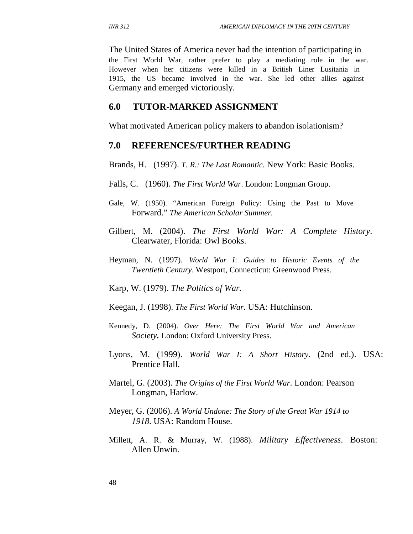The United States of America never had the intention of participating in the First World War, rather prefer to play a mediating role in the war. However when her citizens were killed in a British Liner Lusitania in 1915, the US became involved in the war. She led other allies against Germany and emerged victoriously.

#### **6.0 TUTOR-MARKED ASSIGNMENT**

What motivated American policy makers to abandon isolationism?

#### **7.0 REFERENCES/FURTHER READING**

Brands, H. (1997). *T. R.: The Last Romantic*. New York: Basic Books.

- Falls, C. (1960). *The First World War*. London: Longman Group.
- Gale, W. (1950). "American Foreign Policy: Using the Past to Move Forward." *The American Scholar Summer.*
- Gilbert, M. (2004). *The First World War: A Complete History*. Clearwater, Florida: Owl Books.
- Heyman, N. (1997). *World War I*: *Guides to Historic Events of the Twentieth Century*. Westport, Connecticut: Greenwood Press.
- Karp, W. (1979). *The Politics of War.*
- Keegan, J. (1998). *The First World War*. USA: Hutchinson.
- Kennedy, D. (2004). *Over Here: The First World War and American Society.* London: Oxford University Press.
- Lyons, M. (1999). *World War I: A Short History*. (2nd ed.). USA: Prentice Hall.
- Martel, G. (2003). *The Origins of the First World War*. London: Pearson Longman, Harlow.
- Meyer, G. (2006). *A World Undone: The Story of the Great War 1914 to 1918*. USA: Random House.
- Millett, A. R. & Murray, W. (1988). *Military Effectiveness*. Boston: Allen Unwin.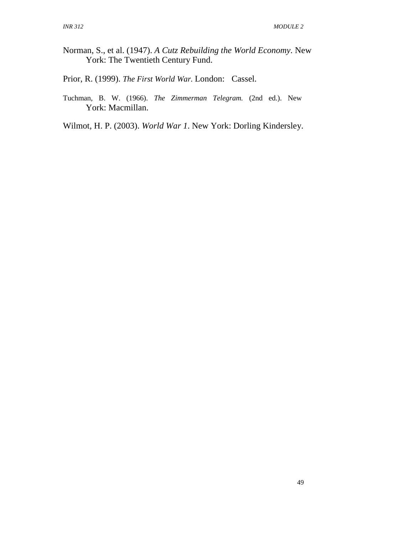- Norman, S., et al. (1947). *A Cutz Rebuilding the World Economy*. New York: The Twentieth Century Fund.
- Prior, R. (1999). *The First World War.* London: Cassel.
- Tuchman, B. W. (1966). *The Zimmerman Telegram.* (2nd ed.). New York: Macmillan.
- Wilmot, H. P. (2003). *World War 1*. New York: Dorling Kindersley.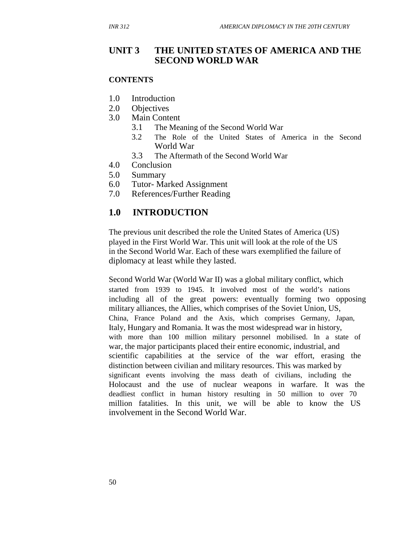### **UNIT 3 THE UNITED STATES OF AMERICA AND THE SECOND WORLD WAR**

#### **CONTENTS**

- 1.0 Introduction
- 2.0 Objectives
- 3.0 Main Content
	- 3.1 The Meaning of the Second World War
	- 3.2 The Role of the United States of America in the Second World War
	- 3.3 The Aftermath of the Second World War
- 4.0 Conclusion
- 5.0 Summary
- 6.0 Tutor- Marked Assignment
- 7.0 References/Further Reading

### **1.0 INTRODUCTION**

The previous unit described the role the United States of America (US) played in the First World War. This unit will look at the role of the US in the Second World War. Each of these wars exemplified the failure of diplomacy at least while they lasted.

Second World War (World War II) was a global military conflict, which started from 1939 to 1945. It involved most of the world's nations including all of the great powers: eventually forming two opposing military alliances, the Allies, which comprises of the Soviet Union, US, China, France Poland and the Axis, which comprises Germany, Japan, Italy, Hungary and Romania. It was the most widespread war in history, with more than 100 million military personnel mobilised. In a state of war, the major participants placed their entire economic, industrial, and scientific capabilities at the service of the war effort, erasing the distinction between civilian and military resources. This was marked by significant events involving the mass death of civilians, including the Holocaust and the use of nuclear weapons in warfare. It was the deadliest conflict in human history resulting in 50 million to over 70 million fatalities. In this unit, we will be able to know the US involvement in the Second World War.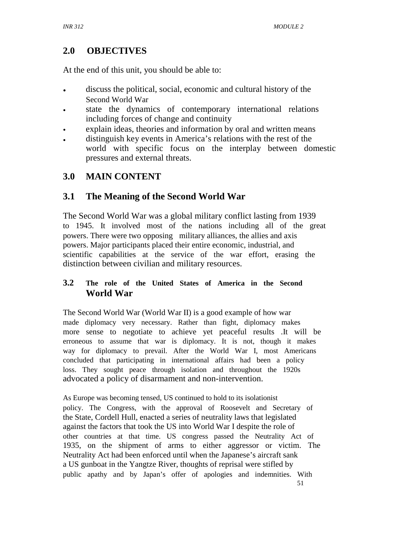# **2.0 OBJECTIVES**

At the end of this unit, you should be able to:

- discuss the political, social, economic and cultural history of the Second World War
- state the dynamics of contemporary international relations including forces of change and continuity
- explain ideas, theories and information by oral and written means
- distinguish key events in America's relations with the rest of the world with specific focus on the interplay between domestic pressures and external threats.

# **3.0 MAIN CONTENT**

## **3.1 The Meaning of the Second World War**

The Second World War was a global military conflict lasting from 1939 to 1945. It involved most of the nations including all of the great powers. There were two opposing military alliances, the allies and axis powers. Major participants placed their entire economic, industrial, and scientific capabilities at the service of the war effort, erasing the distinction between civilian and military resources.

### **3.2 The role of the United States of America in the Second World War**

The Second World War (World War II) is a good example of how war made diplomacy very necessary. Rather than fight, diplomacy makes more sense to negotiate to achieve yet peaceful results .It will be erroneous to assume that war is diplomacy. It is not, though it makes way for diplomacy to prevail. After the World War I, most Americans concluded that participating in international affairs had been a policy loss. They sought peace through isolation and throughout the 1920s advocated a policy of disarmament and non-intervention.

As Europe was becoming tensed, US continued to hold to its isolationist policy. The Congress, with the approval of Roosevelt and Secretary of the State, Cordell Hull, enacted a series of neutrality laws that legislated against the factors that took the US into World War I despite the role of other countries at that time. US congress passed the Neutrality Act of 1935, on the shipment of arms to either aggressor or victim. The Neutrality Act had been enforced until when the Japanese's aircraft sank a US gunboat in the Yangtze River, thoughts of reprisal were stifled by public apathy and by Japan's offer of apologies and indemnities. With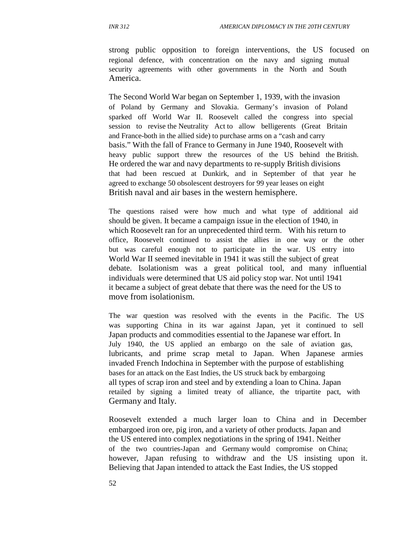strong public opposition to foreign interventions, the US focused on regional defence, with concentration on the navy and signing mutual security agreements with other governments in the North and South America.

The Second World War began on September 1, 1939, with the invasion of Poland by Germany and Slovakia. Germany's invasion of Poland sparked off World War II. Roosevelt called the congress into special session to revise the Neutrality Act to allow belligerents (Great Britain and France-both in the allied side) to purchase arms on a "cash and carry basis." With the fall of France to Germany in June 1940, Roosevelt with heavy public support threw the resources of the US behind the British. He ordered the war and navy departments to re-supply British divisions that had been rescued at Dunkirk, and in September of that year he agreed to exchange 50 obsolescent destroyers for 99 year leases on eight British naval and air bases in the western hemisphere.

The questions raised were how much and what type of additional aid should be given. It became a campaign issue in the election of 1940, in which Roosevelt ran for an unprecedented third term. With his return to office, Roosevelt continued to assist the allies in one way or the other but was careful enough not to participate in the war. US entry into World War II seemed inevitable in 1941 it was still the subject of great debate. Isolationism was a great political tool, and many influential individuals were determined that US aid policy stop war. Not until 1941 it became a subject of great debate that there was the need for the US to move from isolationism.

The war question was resolved with the events in the Pacific. The US was supporting China in its war against Japan, yet it continued to sell Japan products and commodities essential to the Japanese war effort. In July 1940, the US applied an embargo on the sale of aviation gas, lubricants, and prime scrap metal to Japan. When Japanese armies invaded French Indochina in September with the purpose of establishing bases for an attack on the East Indies, the US struck back by embargoing all types of scrap iron and steel and by extending a loan to China. Japan retailed by signing a limited treaty of alliance, the tripartite pact, with Germany and Italy.

Roosevelt extended a much larger loan to China and in December embargoed iron ore, pig iron, and a variety of other products. Japan and the US entered into complex negotiations in the spring of 1941. Neither of the two countries-Japan and Germany would compromise on China; however, Japan refusing to withdraw and the US insisting upon it. Believing that Japan intended to attack the East Indies, the US stopped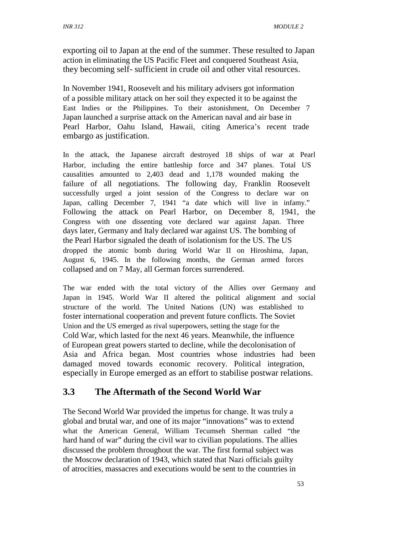exporting oil to Japan at the end of the summer. These resulted to Japan action in eliminating the US Pacific Fleet and conquered Southeast Asia, they becoming self- sufficient in crude oil and other vital resources.

In November 1941, Roosevelt and his military advisers got information of a possible military attack on her soil they expected it to be against the East Indies or the Philippines. To their astonishment, On December 7 Japan launched a surprise attack on the American naval and air base in Pearl Harbor, Oahu Island, Hawaii, citing America's recent trade embargo as justification.

In the attack, the Japanese aircraft destroyed 18 ships of war at Pearl Harbor, including the entire battleship force and 347 planes. Total US causalities amounted to 2,403 dead and 1,178 wounded making the failure of all negotiations. The following day, Franklin Roosevelt successfully urged a joint session of the Congress to declare war on Japan, calling December 7, 1941 "a date which will live in infamy." Following the attack on Pearl Harbor, on December 8, 1941, the Congress with one dissenting vote declared war against Japan. Three days later, Germany and Italy declared war against US. The bombing of the Pearl Harbor signaled the death of isolationism for the US. The US dropped the atomic bomb during World War II on Hiroshima, Japan, August 6, 1945. In the following months, the German armed forces collapsed and on 7 May, all German forces surrendered.

The war ended with the total victory of the Allies over Germany and Japan in 1945. World War II altered the political alignment and social structure of the world. The United Nations (UN) was established to foster international cooperation and prevent future conflicts. The Soviet Union and the US emerged as rival superpowers, setting the stage for the Cold War, which lasted for the next 46 years. Meanwhile, the influence of European great powers started to decline, while the decolonisation of Asia and Africa began. Most countries whose industries had been damaged moved towards economic recovery. Political integration, especially in Europe emerged as an effort to stabilise postwar relations.

# **3.3 The Aftermath of the Second World War**

The Second World War provided the impetus for change. It was truly a global and brutal war, and one of its major "innovations" was to extend what the American General, William Tecumseh Sherman called "the hard hand of war" during the civil war to civilian populations. The allies discussed the problem throughout the war. The first formal subject was the Moscow declaration of 1943, which stated that Nazi officials guilty of atrocities, massacres and executions would be sent to the countries in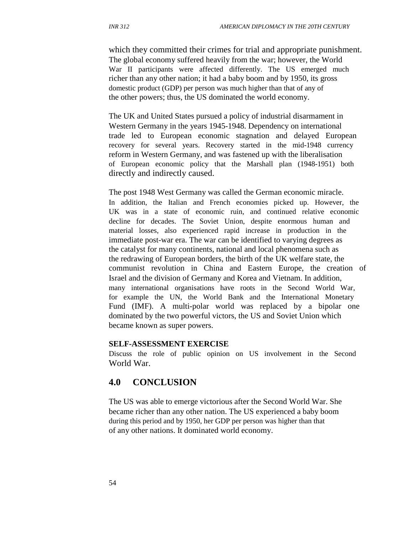which they committed their crimes for trial and appropriate punishment. The global economy suffered heavily from the war; however, the World War II participants were affected differently. The US emerged much richer than any other nation; it had a baby boom and by 1950, its gross domestic product (GDP) per person was much higher than that of any of the other powers; thus, the US dominated the world economy.

The UK and United States pursued a policy of industrial disarmament in Western Germany in the years 1945-1948. Dependency on international trade led to European economic stagnation and delayed European recovery for several years. Recovery started in the mid-1948 currency reform in Western Germany, and was fastened up with the liberalisation of European economic policy that the Marshall plan (1948-1951) both directly and indirectly caused.

The post 1948 West Germany was called the German economic miracle. In addition, the Italian and French economies picked up. However, the UK was in a state of economic ruin, and continued relative economic decline for decades. The Soviet Union, despite enormous human and material losses, also experienced rapid increase in production in the immediate post-war era. The war can be identified to varying degrees as the catalyst for many continents, national and local phenomena such as the redrawing of European borders, the birth of the UK welfare state, the communist revolution in China and Eastern Europe, the creation of Israel and the division of Germany and Korea and Vietnam. In addition, many international organisations have roots in the Second World War, for example the UN, the World Bank and the International Monetary Fund (IMF). A multi-polar world was replaced by a bipolar one dominated by the two powerful victors, the US and Soviet Union which became known as super powers.

#### **SELF-ASSESSMENT EXERCISE**

Discuss the role of public opinion on US involvement in the Second World War.

#### **4.0 CONCLUSION**

The US was able to emerge victorious after the Second World War. She became richer than any other nation. The US experienced a baby boom during this period and by 1950, her GDP per person was higher than that of any other nations. It dominated world economy.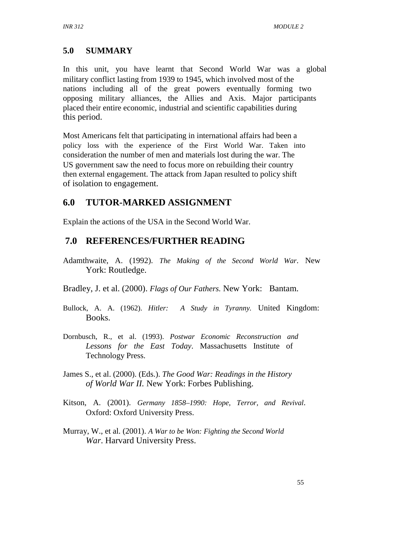## **5.0 SUMMARY**

In this unit, you have learnt that Second World War was a global military conflict lasting from 1939 to 1945, which involved most of the nations including all of the great powers eventually forming two opposing military alliances, the Allies and Axis. Major participants placed their entire economic, industrial and scientific capabilities during this period.

Most Americans felt that participating in international affairs had been a policy loss with the experience of the First World War. Taken into consideration the number of men and materials lost during the war. The US government saw the need to focus more on rebuilding their country then external engagement. The attack from Japan resulted to policy shift of isolation to engagement.

## **6.0 TUTOR-MARKED ASSIGNMENT**

Explain the actions of the USA in the Second World War.

# **7.0 REFERENCES/FURTHER READING**

- Adamthwaite, A. (1992). *The Making of the Second World War*. New York: Routledge.
- Bradley, J. et al. (2000). *Flags of Our Fathers.* New York: Bantam.
- Bullock, A. A. (1962). *Hitler: A Study in Tyranny.* United Kingdom: Books.
- Dornbusch, R., et al. (1993). *Postwar Economic Reconstruction and Lessons for the East Today*. Massachusetts Institute of Technology Press.
- James S., et al. (2000). (Eds.). *The Good War: Readings in the History of World War II.* New York: Forbes Publishing.
- Kitson, A. (2001). *Germany 1858–1990: Hope, Terror, and Revival*. Oxford: Oxford University Press.
- Murray, W., et al. (2001). *A War to be Won: Fighting the Second World War*. Harvard University Press.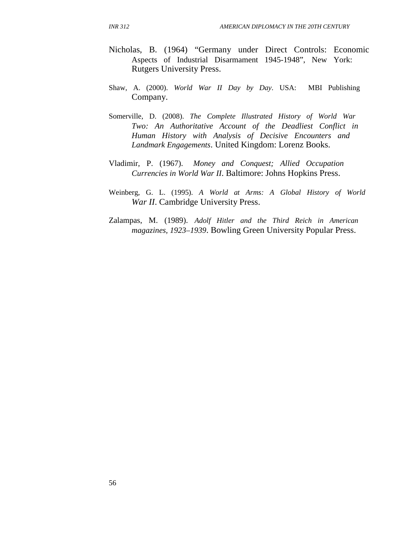- Nicholas, B. (1964) "Germany under Direct Controls: Economic Aspects of Industrial Disarmament 1945-1948", New York: Rutgers University Press.
- Shaw, A. (2000). *World War II Day by Day*. USA: MBI Publishing Company.
- Somerville, D. (2008). *The Complete Illustrated History of World War Two: An Authoritative Account of the Deadliest Conflict in Human History with Analysis of Decisive Encounters and Landmark Engagements*. United Kingdom: Lorenz Books.
- Vladimir, P. (1967). *Money and Conquest; Allied Occupation Currencies in World War II*. Baltimore: Johns Hopkins Press.
- Weinberg, G. L. (1995). *A World at Arms: A Global History of World War II.* Cambridge University Press.
- Zalampas, M. (1989). *Adolf Hitler and the Third Reich in American magazines, 1923–1939*. Bowling Green University Popular Press.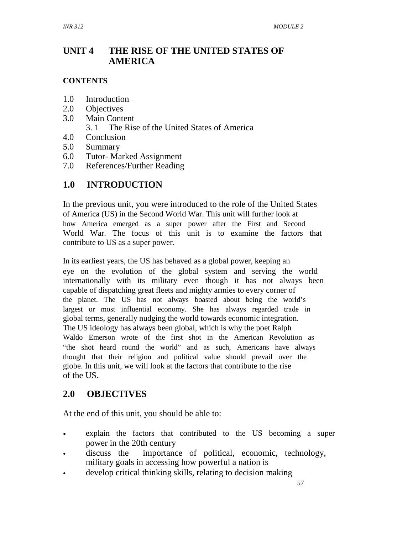#### **UNIT 4 THE RISE OF THE UNITED STATES OF AMERICA**

#### **CONTENTS**

- 1.0 Introduction
- 2.0 Objectives
- 3.0 Main Content
	- 3. 1 The Rise of the United States of America
- 4.0 Conclusion
- 5.0 Summary
- 6.0 Tutor- Marked Assignment
- 7.0 References/Further Reading

# **1.0 INTRODUCTION**

In the previous unit, you were introduced to the role of the United States of America (US) in the Second World War. This unit will further look at how America emerged as a super power after the First and Second World War. The focus of this unit is to examine the factors that contribute to US as a super power.

In its earliest years, the US has behaved as a global power, keeping an eye on the evolution of the global system and serving the world internationally with its military even though it has not always been capable of dispatching great fleets and mighty armies to every corner of the planet. The US has not always boasted about being the world's largest or most influential economy. She has always regarded trade in global terms, generally nudging the world towards economic integration. The US ideology has always been global, which is why the poet Ralph Waldo Emerson wrote of the first shot in the American Revolution as "the shot heard round the world" and as such, Americans have always thought that their religion and political value should prevail over the globe. In this unit, we will look at the factors that contribute to the rise of the US.

## **2.0 OBJECTIVES**

At the end of this unit, you should be able to:

- explain the factors that contributed to the US becoming a super power in the 20th century
- discuss the importance of political, economic, technology, military goals in accessing how powerful a nation is
- develop critical thinking skills, relating to decision making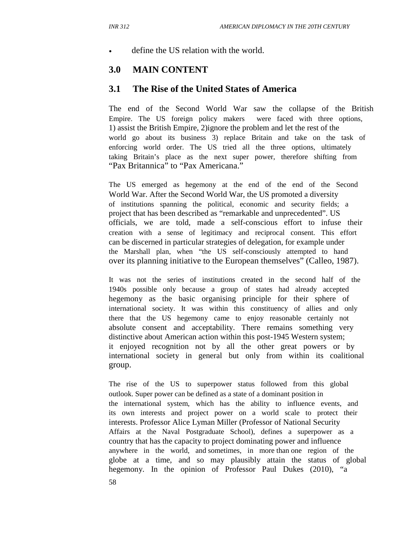define the US relation with the world.

### **3.0 MAIN CONTENT**

#### **3.1 The Rise of the United States of America**

The end of the Second World War saw the collapse of the British Empire. The US foreign policy makers were faced with three options, 1) assist the British Empire, 2)ignore the problem and let the rest of the world go about its business 3) replace Britain and take on the task of enforcing world order. The US tried all the three options, ultimately taking Britain's place as the next super power, therefore shifting from "Pax Britannica" to "Pax Americana."

The US emerged as hegemony at the end of the end of the Second World War. After the Second World War, the US promoted a diversity of institutions spanning the political, economic and security fields; a project that has been described as "remarkable and unprecedented". US officials, we are told, made a self-conscious effort to infuse their creation with a sense of legitimacy and reciprocal consent. This effort can be discerned in particular strategies of delegation, for example under the Marshall plan, when "the US self-consciously attempted to hand over its planning initiative to the European themselves" (Calleo, 1987).

It was not the series of institutions created in the second half of the 1940s possible only because a group of states had already accepted hegemony as the basic organising principle for their sphere of international society. It was within this constituency of allies and only there that the US hegemony came to enjoy reasonable certainly not absolute consent and acceptability. There remains something very distinctive about American action within this post-1945 Western system; it enjoyed recognition not by all the other great powers or by international society in general but only from within its coalitional group.

The rise of the US to superpower status followed from this global outlook. Super power can be defined as a state of a dominant position in the international system, which has the ability to influence events, and its own interests and project power on a world scale to protect their interests. Professor Alice Lyman Miller (Professor of National Security Affairs at the Naval Postgraduate School), defines a superpower as a country that has the capacity to project dominating power and influence anywhere in the world, and sometimes, in more than one region of the globe at a time, and so may plausibly attain the status of global hegemony. In the opinion of Professor Paul Dukes (2010), "a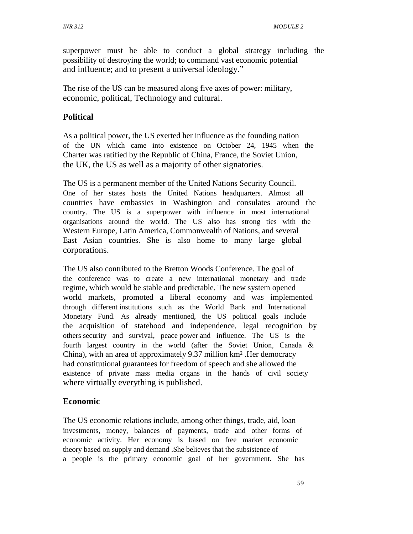superpower must be able to conduct a global strategy including the possibility of destroying the world; to command vast economic potential and influence; and to present a universal ideology."

The rise of the US can be measured along five axes of power: military, economic, political, Technology and cultural.

### **Political**

As a political power, the US exerted her influence as the founding nation of the UN which came into existence on October 24, 1945 when the Charter was ratified by the Republic of China, France, the Soviet Union, the UK, the US as well as a majority of other signatories.

The US is a permanent member of the United Nations Security Council. One of her states hosts the United Nations headquarters. Almost all countries have embassies in Washington and consulates around the country. The US is a superpower with influence in most international organisations around the world. The US also has strong ties with the Western Europe, Latin America, Commonwealth of Nations, and several East Asian countries. She is also home to many large global corporations.

The US also contributed to the Bretton Woods Conference. The goal of the conference was to create a new international monetary and trade regime, which would be stable and predictable. The new system opened world markets, promoted a liberal economy and was implemented through different institutions such as the World Bank and International Monetary Fund. As already mentioned, the US political goals include the acquisition of statehood and independence, legal recognition by others security and survival, peace power and influence. The US is the fourth largest country in the world (after the Soviet Union, Canada & China), with an area of approximately 9.37 million km² .Her democracy had constitutional guarantees for freedom of speech and she allowed the existence of private mass media organs in the hands of civil society where virtually everything is published.

### **Economic**

The US economic relations include, among other things, trade, aid, loan investments, money, balances of payments, trade and other forms of economic activity. Her economy is based on free market economic theory based on supply and demand .She believes that the subsistence of a people is the primary economic goal of her government. She has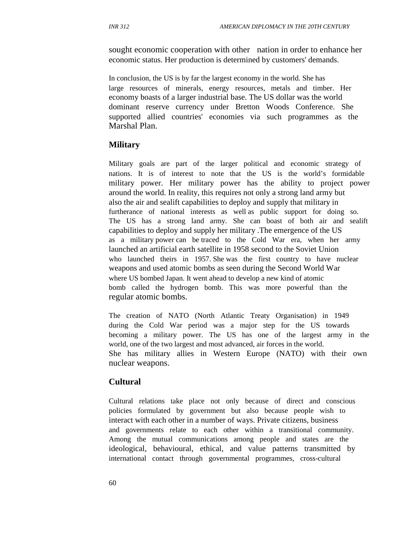sought economic cooperation with other nation in order to enhance her economic status. Her production is determined by customers' demands.

In conclusion, the US is by far the largest economy in the world. She has large resources of minerals, energy resources, metals and timber. Her economy boasts of a larger industrial base. The US dollar was the world dominant reserve currency under Bretton Woods Conference. She supported allied countries' economies via such programmes as the Marshal Plan.

#### **Military**

Military goals are part of the larger political and economic strategy of nations. It is of interest to note that the US is the world's formidable military power. Her military power has the ability to project power around the world. In reality, this requires not only a strong land army but also the air and sealift capabilities to deploy and supply that military in furtherance of national interests as well as public support for doing so. The US has a strong land army. She can boast of both air and sealift capabilities to deploy and supply her military .The emergence of the US as a military power can be traced to the Cold War era, when her army launched an artificial earth satellite in 1958 second to the Soviet Union who launched theirs in 1957. She was the first country to have nuclear weapons and used atomic bombs as seen during the Second World War where US bombed Japan. It went ahead to develop a new kind of atomic bomb called the hydrogen bomb. This was more powerful than the regular atomic bombs.

The creation of NATO (North Atlantic Treaty Organisation) in 1949 during the Cold War period was a major step for the US towards becoming a military power. The US has one of the largest army in the world, one of the two largest and most advanced, air forces in the world. She has military allies in Western Europe (NATO) with their own nuclear weapons.

#### **Cultural**

Cultural relations take place not only because of direct and conscious policies formulated by government but also because people wish to interact with each other in a number of ways. Private citizens, business and governments relate to each other within a transitional community. Among the mutual communications among people and states are the ideological, behavioural, ethical, and value patterns transmitted by international contact through governmental programmes, cross-cultural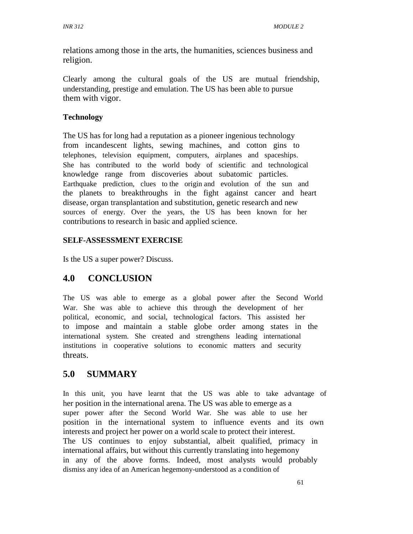relations among those in the arts, the humanities, sciences business and religion.

Clearly among the cultural goals of the US are mutual friendship, understanding, prestige and emulation. The US has been able to pursue them with vigor.

### **Technology**

The US has for long had a reputation as a pioneer ingenious technology from incandescent lights, sewing machines, and cotton gins to telephones, television equipment, computers, airplanes and spaceships. She has contributed to the world body of scientific and technological knowledge range from discoveries about subatomic particles. Earthquake prediction, clues to the origin and evolution of the sun and the planets to breakthroughs in the fight against cancer and heart disease, organ transplantation and substitution, genetic research and new sources of energy. Over the years, the US has been known for her contributions to research in basic and applied science.

#### **SELF-ASSESSMENT EXERCISE**

Is the US a super power? Discuss.

## **4.0 CONCLUSION**

The US was able to emerge as a global power after the Second World War. She was able to achieve this through the development of her political, economic, and social, technological factors. This assisted her to impose and maintain a stable globe order among states in the international system. She created and strengthens leading international institutions in cooperative solutions to economic matters and security threats.

## **5.0 SUMMARY**

In this unit, you have learnt that the US was able to take advantage of her position in the international arena. The US was able to emerge as a super power after the Second World War. She was able to use her position in the international system to influence events and its own interests and project her power on a world scale to protect their interest. The US continues to enjoy substantial, albeit qualified, primacy in international affairs, but without this currently translating into hegemony in any of the above forms. Indeed, most analysts would probably dismiss any idea of an American hegemony-understood as a condition of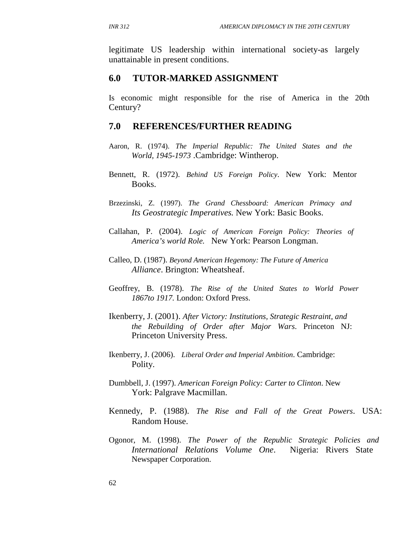legitimate US leadership within international society-as largely unattainable in present conditions.

### **6.0 TUTOR-MARKED ASSIGNMENT**

Is economic might responsible for the rise of America in the 20th Century?

### **7.0 REFERENCES/FURTHER READING**

- Aaron, R. (1974). *The Imperial Republic: The United States and the World, 1945-1973* .Cambridge: Wintherop.
- Bennett, R. (1972). *Behind US Foreign Policy*. New York: Mentor Books.
- Brzezinski, Z. (1997). *The Grand Chessboard: American Primacy and Its Geostrategic Imperatives.* New York: Basic Books.
- Callahan, P. (2004). *Logic of American Foreign Policy: Theories of America's world Role.* New York: Pearson Longman.
- Calleo, D. (1987). *Beyond American Hegemony: The Future of America Alliance*. Brington: Wheatsheaf.
- Geoffrey, B. (1978). *The Rise of the United States to World Power 1867to 1917.* London: Oxford Press.
- Ikenberry, J. (2001). *After Victory: Institutions, Strategic Restraint, and the Rebuilding of Order after Major Wars*. Princeton NJ: Princeton University Press.
- Ikenberry, J. (2006). *Liberal Order and Imperial Ambition*. Cambridge: Polity.
- Dumbbell, J. (1997). *American Foreign Policy: Carter to Clinton*. New York: Palgrave Macmillan.
- Kennedy, P. (1988). *The Rise and Fall of the Great Powers*. USA: Random House.
- Ogonor, M. (1998). *The Power of the Republic Strategic Policies and International Relations Volume One*. Nigeria: Rivers State Newspaper Corporation.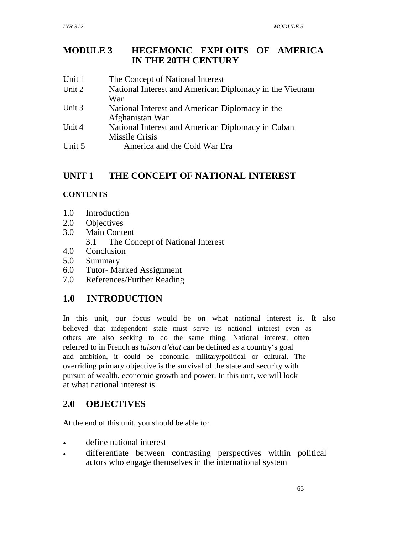### **MODULE 3 HEGEMONIC EXPLOITS OF AMERICA IN THE 20TH CENTURY**

Unit 1 Unit 2 Unit 3 Unit 4 The Concept of National Interest National Interest and American Diplomacy in the Vietnam War National Interest and American Diplomacy in the Afghanistan War National Interest and American Diplomacy in Cuban Missile Crisis Unit 5 America and the Cold War Era

# **UNIT 1 THE CONCEPT OF NATIONAL INTEREST**

## **CONTENTS**

- 1.0 Introduction
- 2.0 Objectives
- 3.0 Main Content
	- 3.1 The Concept of National Interest
- 4.0 Conclusion
- 5.0 Summary
- 6.0 Tutor- Marked Assignment
- 7.0 References/Further Reading

# **1.0 INTRODUCTION**

In this unit, our focus would be on what national interest is. It also believed that independent state must serve its national interest even as others are also seeking to do the same thing. National interest, often referred to in French as *tuison d'état* can be defined as a country's goal and ambition, it could be economic, military/political or cultural. The overriding primary objective is the survival of the state and security with pursuit of wealth, economic growth and power. In this unit, we will look at what national interest is.

# **2.0 OBJECTIVES**

At the end of this unit, you should be able to:

- define national interest
- differentiate between contrasting perspectives within political actors who engage themselves in the international system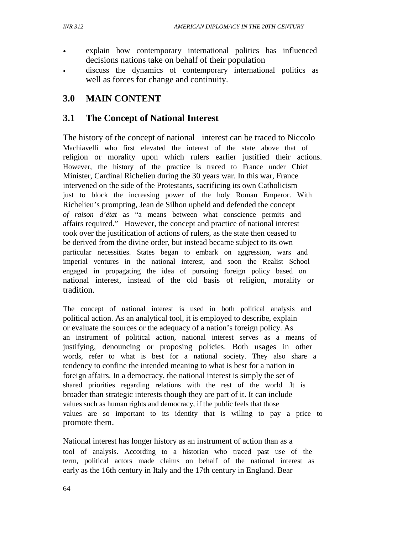- explain how contemporary international politics has influenced decisions nations take on behalf of their population
- discuss the dynamics of contemporary international politics as well as forces for change and continuity.

# **3.0 MAIN CONTENT**

# **3.1 The Concept of National Interest**

The history of the concept of national interest can be traced to Niccolo Machiavelli who first elevated the interest of the state above that of religion or morality upon which rulers earlier justified their actions. However, the history of the practice is traced to France under Chief Minister, Cardinal Richelieu during the 30 years war. In this war, France intervened on the side of the Protestants, sacrificing its own Catholicism just to block the increasing power of the holy Roman Emperor. With Richelieu's prompting, Jean de Silhon upheld and defended the concept *of raison d'état* as "a means between what conscience permits and affairs required." However, the concept and practice of national interest took over the justification of actions of rulers, as the state then ceased to be derived from the divine order, but instead became subject to its own particular necessities. States began to embark on aggression, wars and imperial ventures in the national interest, and soon the Realist School engaged in propagating the idea of pursuing foreign policy based on national interest, instead of the old basis of religion, morality or tradition.

The concept of national interest is used in both political analysis and political action. As an analytical tool, it is employed to describe, explain or evaluate the sources or the adequacy of a nation's foreign policy. As an instrument of political action, national interest serves as a means of justifying, denouncing or proposing policies. Both usages in other words, refer to what is best for a national society. They also share a tendency to confine the intended meaning to what is best for a nation in foreign affairs. In a democracy, the national interest is simply the set of shared priorities regarding relations with the rest of the world .It is broader than strategic interests though they are part of it. It can include values such as human rights and democracy, if the public feels that those values are so important to its identity that is willing to pay a price to promote them.

National interest has longer history as an instrument of action than as a tool of analysis. According to a historian who traced past use of the term, political actors made claims on behalf of the national interest as early as the 16th century in Italy and the 17th century in England. Bear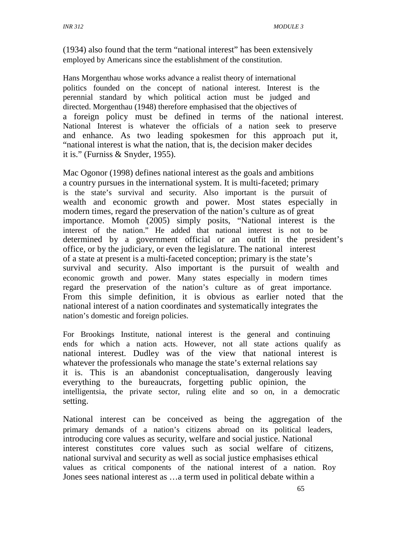(1934) also found that the term "national interest" has been extensively employed by Americans since the establishment of the constitution.

Hans Morgenthau whose works advance a realist theory of international politics founded on the concept of national interest. Interest is the perennial standard by which political action must be judged and directed. Morgenthau (1948) therefore emphasised that the objectives of a foreign policy must be defined in terms of the national interest. National Interest is whatever the officials of a nation seek to preserve and enhance. As two leading spokesmen for this approach put it, "national interest is what the nation, that is, the decision maker decides it is." (Furniss & Snyder, 1955).

Mac Ogonor (1998) defines national interest as the goals and ambitions a country pursues in the international system. It is multi-faceted; primary is the state's survival and security. Also important is the pursuit of wealth and economic growth and power. Most states especially in modern times, regard the preservation of the nation's culture as of great importance. Momoh (2005) simply posits, "National interest is the interest of the nation." He added that national interest is not to be determined by a government official or an outfit in the president's office, or by the judiciary, or even the legislature. The national interest of a state at present is a multi-faceted conception; primary is the state's survival and security. Also important is the pursuit of wealth and economic growth and power. Many states especially in modern times regard the preservation of the nation's culture as of great importance. From this simple definition, it is obvious as earlier noted that the national interest of a nation coordinates and systematically integrates the nation's domestic and foreign policies.

For Brookings Institute, national interest is the general and continuing ends for which a nation acts. However, not all state actions qualify as national interest. Dudley was of the view that national interest is whatever the professionals who manage the state's external relations say it is. This is an abandonist conceptualisation, dangerously leaving everything to the bureaucrats, forgetting public opinion, the intelligentsia, the private sector, ruling elite and so on, in a democratic setting.

National interest can be conceived as being the aggregation of the primary demands of a nation's citizens abroad on its political leaders, introducing core values as security, welfare and social justice. National interest constitutes core values such as social welfare of citizens, national survival and security as well as social justice emphasises ethical values as critical components of the national interest of a nation. Roy Jones sees national interest as …a term used in political debate within a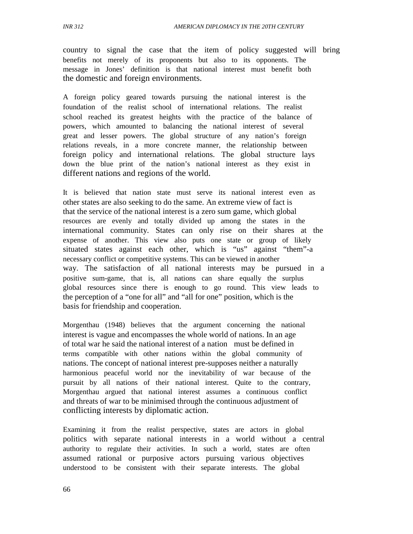country to signal the case that the item of policy suggested will bring benefits not merely of its proponents but also to its opponents. The message in Jones' definition is that national interest must benefit both the domestic and foreign environments.

A foreign policy geared towards pursuing the national interest is the foundation of the realist school of international relations. The realist school reached its greatest heights with the practice of the balance of powers, which amounted to balancing the national interest of several great and lesser powers. The global structure of any nation's foreign relations reveals, in a more concrete manner, the relationship between foreign policy and international relations. The global structure lays down the blue print of the nation's national interest as they exist in different nations and regions of the world.

It is believed that nation state must serve its national interest even as other states are also seeking to do the same. An extreme view of fact is that the service of the national interest is a zero sum game, which global resources are evenly and totally divided up among the states in the international community. States can only rise on their shares at the expense of another. This view also puts one state or group of likely situated states against each other, which is "us" against "them"-a necessary conflict or competitive systems. This can be viewed in another way. The satisfaction of all national interests may be pursued in a positive sum-game, that is, all nations can share equally the surplus global resources since there is enough to go round. This view leads to the perception of a "one for all" and "all for one" position, which is the basis for friendship and cooperation.

Morgenthau (1948) believes that the argument concerning the national interest is vague and encompasses the whole world of nations. In an age of total war he said the national interest of a nation must be defined in terms compatible with other nations within the global community of nations. The concept of national interest pre-supposes neither a naturally harmonious peaceful world nor the inevitability of war because of the pursuit by all nations of their national interest. Quite to the contrary, Morgenthau argued that national interest assumes a continuous conflict and threats of war to be minimised through the continuous adjustment of conflicting interests by diplomatic action.

Examining it from the realist perspective, states are actors in global politics with separate national interests in a world without a central authority to regulate their activities. In such a world, states are often assumed rational or purposive actors pursuing various objectives understood to be consistent with their separate interests. The global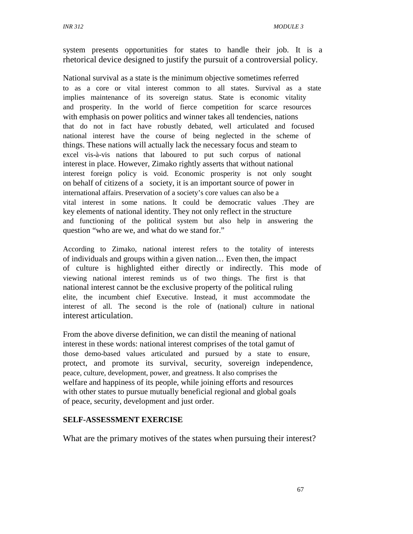*INR 312 MODULE 3* 

system presents opportunities for states to handle their job. It is a rhetorical device designed to justify the pursuit of a controversial policy.

National survival as a state is the minimum objective sometimes referred to as a core or vital interest common to all states. Survival as a state implies maintenance of its sovereign status. State is economic vitality and prosperity. In the world of fierce competition for scarce resources with emphasis on power politics and winner takes all tendencies, nations that do not in fact have robustly debated, well articulated and focused national interest have the course of being neglected in the scheme of things. These nations will actually lack the necessary focus and steam to excel vis-à-vis nations that laboured to put such corpus of national interest in place. However, Zimako rightly asserts that without national interest foreign policy is void. Economic prosperity is not only sought on behalf of citizens of a society, it is an important source of power in international affairs. Preservation of a society's core values can also be a vital interest in some nations. It could be democratic values .They are key elements of national identity. They not only reflect in the structure and functioning of the political system but also help in answering the question "who are we, and what do we stand for."

According to Zimako, national interest refers to the totality of interests of individuals and groups within a given nation… Even then, the impact of culture is highlighted either directly or indirectly. This mode of viewing national interest reminds us of two things. The first is that national interest cannot be the exclusive property of the political ruling elite, the incumbent chief Executive. Instead, it must accommodate the interest of all. The second is the role of (national) culture in national interest articulation.

From the above diverse definition, we can distil the meaning of national interest in these words: national interest comprises of the total gamut of those demo-based values articulated and pursued by a state to ensure, protect, and promote its survival, security, sovereign independence, peace, culture, development, power, and greatness. It also comprises the welfare and happiness of its people, while joining efforts and resources with other states to pursue mutually beneficial regional and global goals of peace, security, development and just order.

### **SELF-ASSESSMENT EXERCISE**

What are the primary motives of the states when pursuing their interest?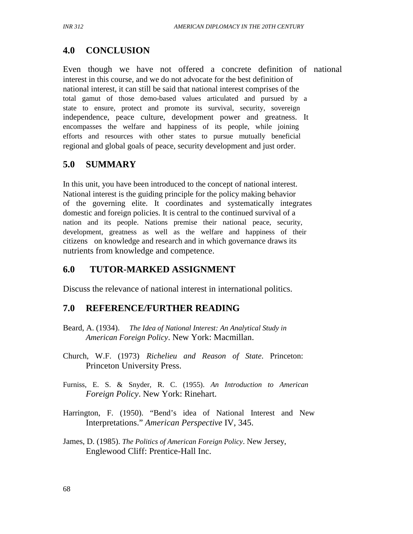# **4.0 CONCLUSION**

Even though we have not offered a concrete definition of national interest in this course, and we do not advocate for the best definition of national interest, it can still be said that national interest comprises of the total gamut of those demo-based values articulated and pursued by a state to ensure, protect and promote its survival, security, sovereign independence, peace culture, development power and greatness. It encompasses the welfare and happiness of its people, while joining efforts and resources with other states to pursue mutually beneficial regional and global goals of peace, security development and just order.

# **5.0 SUMMARY**

In this unit, you have been introduced to the concept of national interest. National interest is the guiding principle for the policy making behavior of the governing elite. It coordinates and systematically integrates domestic and foreign policies. It is central to the continued survival of a nation and its people. Nations premise their national peace, security, development, greatness as well as the welfare and happiness of their citizens on knowledge and research and in which governance draws its nutrients from knowledge and competence.

# **6.0 TUTOR-MARKED ASSIGNMENT**

Discuss the relevance of national interest in international politics.

# **7.0 REFERENCE/FURTHER READING**

- Beard, A. (1934). *The Idea of National Interest: An Analytical Study in American Foreign Policy*. New York: Macmillan.
- Church, W.F. (1973) *Richelieu and Reason of State*. Princeton: Princeton University Press.
- Furniss, E. S. & Snyder, R. C. (1955). *An Introduction to American Foreign Policy*. New York: Rinehart.
- Harrington, F. (1950). "Bend's idea of National Interest and New Interpretations." *American Perspective* IV, 345.
- James, D. (1985). *The Politics of American Foreign Policy*. New Jersey, Englewood Cliff: Prentice-Hall Inc.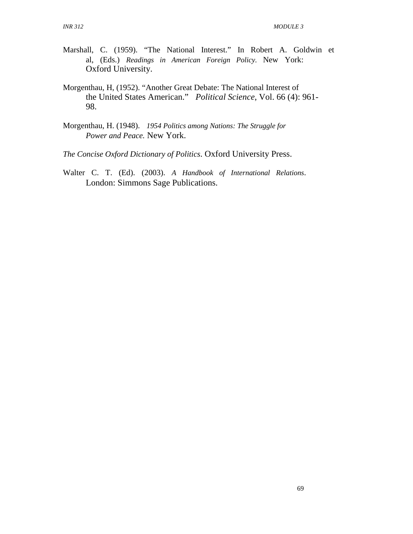- Marshall, C. (1959). "The National Interest." In Robert A. Goldwin et al, (Eds.) *Readings in American Foreign Policy.* New York: Oxford University.
- Morgenthau, H, (1952). "Another Great Debate: The National Interest of the United States American." *Political Science*, Vol. 66 (4): 961- 98.
- Morgenthau, H. (1948). *1954 Politics among Nations: The Struggle for Power and Peace.* New York.
- *The Concise Oxford Dictionary of Politics*. Oxford University Press.
- Walter C. T. (Ed). (2003). *A Handbook of International Relations*. London: Simmons Sage Publications.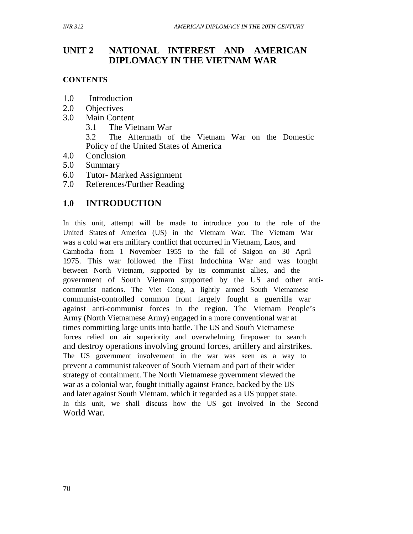# **UNIT 2 NATIONAL INTEREST AND AMERICAN DIPLOMACY IN THE VIETNAM WAR**

### **CONTENTS**

- 1.0 Introduction
- 2.0 Objectives
- 3.0 Main Content
	- 3.1 The Vietnam War

3.2 The Aftermath of the Vietnam War on the Domestic Policy of the United States of America

- 4.0 Conclusion
- 5.0 Summary
- 6.0 Tutor- Marked Assignment
- 7.0 References/Further Reading

# **1.0 INTRODUCTION**

In this unit, attempt will be made to introduce you to the role of the United States of America (US) in the Vietnam War. The Vietnam War was a cold war era military conflict that occurred in Vietnam, Laos, and Cambodia from 1 November 1955 to the fall of Saigon on 30 April 1975. This war followed the First Indochina War and was fought between North Vietnam, supported by its communist allies, and the government of South Vietnam supported by the US and other anticommunist nations. The Viet Cong, a lightly armed South Vietnamese communist-controlled common front largely fought a guerrilla war against anti-communist forces in the region. The Vietnam People's Army (North Vietnamese Army) engaged in a more conventional war at times committing large units into battle. The US and South Vietnamese forces relied on air superiority and overwhelming firepower to search and destroy operations involving ground forces, artillery and airstrikes. The US government involvement in the war was seen as a way to prevent a communist takeover of South Vietnam and part of their wider strategy of containment. The North Vietnamese government viewed the war as a colonial war, fought initially against France, backed by the US and later against South Vietnam, which it regarded as a US puppet state. In this unit, we shall discuss how the US got involved in the Second World War.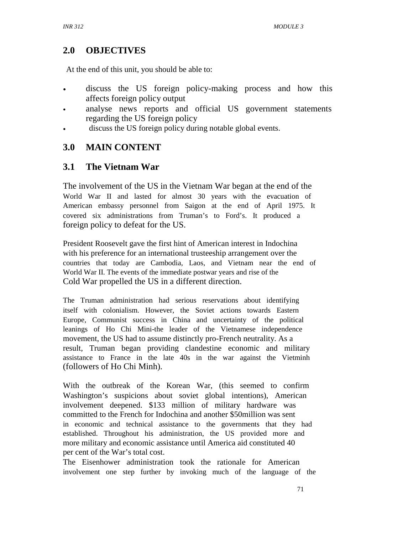# **2.0 OBJECTIVES**

At the end of this unit, you should be able to:

- discuss the US foreign policy-making process and how this affects foreign policy output
- analyse news reports and official US government statements regarding the US foreign policy
- discuss the US foreign policy during notable global events.

# **3.0 MAIN CONTENT**

# **3.1 The Vietnam War**

The involvement of the US in the Vietnam War began at the end of the World War II and lasted for almost 30 years with the evacuation of American embassy personnel from Saigon at the end of April 1975. It covered six administrations from Truman's to Ford's. It produced a foreign policy to defeat for the US.

President Roosevelt gave the first hint of American interest in Indochina with his preference for an international trusteeship arrangement over the countries that today are Cambodia, Laos, and Vietnam near the end of World War II. The events of the immediate postwar years and rise of the Cold War propelled the US in a different direction.

The Truman administration had serious reservations about identifying itself with colonialism. However, the Soviet actions towards Eastern Europe, Communist success in China and uncertainty of the political leanings of Ho Chi Mini-the leader of the Vietnamese independence movement, the US had to assume distinctly pro-French neutrality. As a result, Truman began providing clandestine economic and military assistance to France in the late 40s in the war against the Vietminh (followers of Ho Chi Minh).

With the outbreak of the Korean War, (this seemed to confirm Washington's suspicions about soviet global intentions), American involvement deepened. \$133 million of military hardware was committed to the French for Indochina and another \$50million was sent in economic and technical assistance to the governments that they had established. Throughout his administration, the US provided more and more military and economic assistance until America aid constituted 40 per cent of the War's total cost.

The Eisenhower administration took the rationale for American involvement one step further by invoking much of the language of the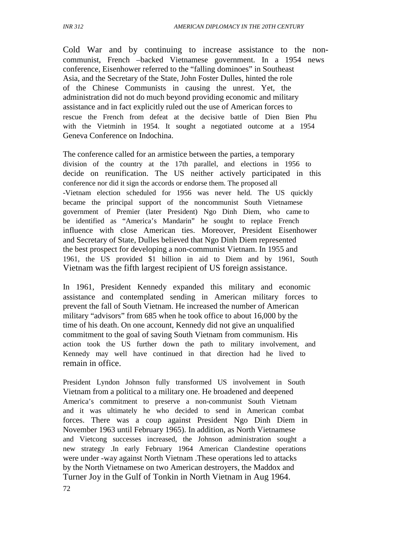Cold War and by continuing to increase assistance to the noncommunist, French –backed Vietnamese government. In a 1954 news conference, Eisenhower referred to the "falling dominoes" in Southeast Asia, and the Secretary of the State, John Foster Dulles, hinted the role of the Chinese Communists in causing the unrest. Yet, the administration did not do much beyond providing economic and military assistance and in fact explicitly ruled out the use of American forces to rescue the French from defeat at the decisive battle of Dien Bien Phu with the Vietminh in 1954. It sought a negotiated outcome at a 1954 Geneva Conference on Indochina.

The conference called for an armistice between the parties, a temporary division of the country at the 17th parallel, and elections in 1956 to decide on reunification. The US neither actively participated in this conference nor did it sign the accords or endorse them. The proposed all -Vietnam election scheduled for 1956 was never held. The US quickly became the principal support of the noncommunist South Vietnamese government of Premier (later President) Ngo Dinh Diem, who came to be identified as "America's Mandarin" he sought to replace French influence with close American ties. Moreover, President Eisenhower and Secretary of State, Dulles believed that Ngo Dinh Diem represented the best prospect for developing a non-communist Vietnam. In 1955 and 1961, the US provided \$1 billion in aid to Diem and by 1961, South Vietnam was the fifth largest recipient of US foreign assistance.

In 1961, President Kennedy expanded this military and economic assistance and contemplated sending in American military forces to prevent the fall of South Vietnam. He increased the number of American military "advisors" from 685 when he took office to about 16,000 by the time of his death. On one account, Kennedy did not give an unqualified commitment to the goal of saving South Vietnam from communism. His action took the US further down the path to military involvement, and Kennedy may well have continued in that direction had he lived to remain in office.

President Lyndon Johnson fully transformed US involvement in South Vietnam from a political to a military one. He broadened and deepened America's commitment to preserve a non-communist South Vietnam and it was ultimately he who decided to send in American combat forces. There was a coup against President Ngo Dinh Diem in November 1963 until February 1965). In addition, as North Vietnamese and Vietcong successes increased, the Johnson administration sought a new strategy .In early February 1964 American Clandestine operations were under -way against North Vietnam .These operations led to attacks by the North Vietnamese on two American destroyers, the Maddox and Turner Joy in the Gulf of Tonkin in North Vietnam in Aug 1964.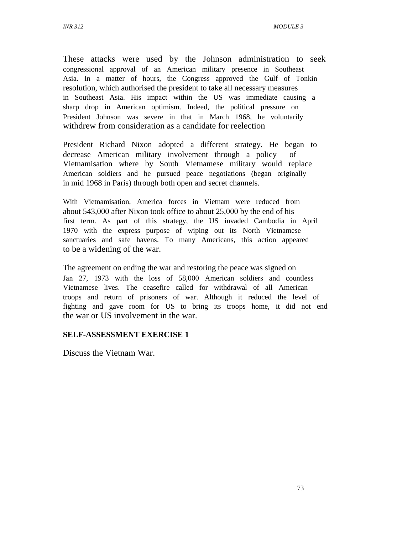These attacks were used by the Johnson administration to seek congressional approval of an American military presence in Southeast Asia. In a matter of hours, the Congress approved the Gulf of Tonkin resolution, which authorised the president to take all necessary measures in Southeast Asia. His impact within the US was immediate causing a sharp drop in American optimism. Indeed, the political pressure on President Johnson was severe in that in March 1968, he voluntarily withdrew from consideration as a candidate for reelection

President Richard Nixon adopted a different strategy. He began to decrease American military involvement through a policy of Vietnamisation where by South Vietnamese military would replace American soldiers and he pursued peace negotiations (began originally in mid 1968 in Paris) through both open and secret channels.

With Vietnamisation, America forces in Vietnam were reduced from about 543,000 after Nixon took office to about 25,000 by the end of his first term. As part of this strategy, the US invaded Cambodia in April 1970 with the express purpose of wiping out its North Vietnamese sanctuaries and safe havens. To many Americans, this action appeared to be a widening of the war.

The agreement on ending the war and restoring the peace was signed on Jan 27, 1973 with the loss of 58,000 American soldiers and countless Vietnamese lives. The ceasefire called for withdrawal of all American troops and return of prisoners of war. Although it reduced the level of fighting and gave room for US to bring its troops home, it did not end the war or US involvement in the war.

### **SELF-ASSESSMENT EXERCISE 1**

Discuss the Vietnam War.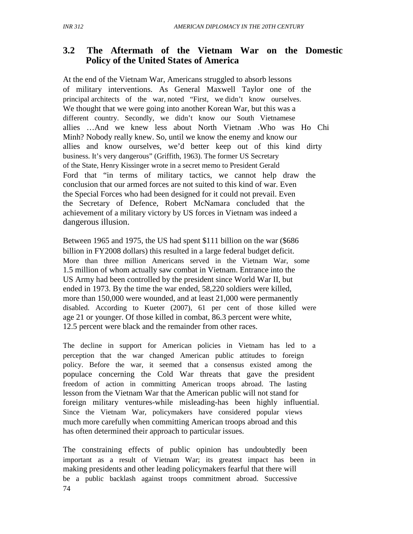# **3.2 The Aftermath of the Vietnam War on the Domestic Policy of the United States of America**

At the end of the Vietnam War, Americans struggled to absorb lessons of military interventions. As General Maxwell Taylor one of the principal architects of the war, noted "First, we didn't know ourselves. We thought that we were going into another Korean War, but this was a different country. Secondly, we didn't know our South Vietnamese allies …And we knew less about North Vietnam .Who was Ho Chi Minh? Nobody really knew. So, until we know the enemy and know our allies and know ourselves, we'd better keep out of this kind dirty business. It's very dangerous" (Griffith, 1963). The former US Secretary of the State, Henry Kissinger wrote in a secret memo to President Gerald Ford that "in terms of military tactics, we cannot help draw the conclusion that our armed forces are not suited to this kind of war. Even the Special Forces who had been designed for it could not prevail. Even the Secretary of Defence, Robert McNamara concluded that the achievement of a military victory by US forces in Vietnam was indeed a dangerous illusion.

Between 1965 and 1975, the US had spent \$111 billion on the war (\$686 billion in FY2008 dollars) this resulted in a large federal budget deficit. More than three million Americans served in the Vietnam War, some 1.5 million of whom actually saw combat in Vietnam. Entrance into the US Army had been controlled by the president since World War II, but ended in 1973. By the time the war ended, 58,220 soldiers were killed, more than 150,000 were wounded, and at least 21,000 were permanently disabled. According to Kueter (2007), 61 per cent of those killed were age 21 or younger. Of those killed in combat, 86.3 percent were white, 12.5 percent were black and the remainder from other races.

The decline in support for American policies in Vietnam has led to a perception that the war changed American public attitudes to foreign policy. Before the war, it seemed that a consensus existed among the populace concerning the Cold War threats that gave the president freedom of action in committing American troops abroad. The lasting lesson from the Vietnam War that the American public will not stand for foreign military ventures-while misleading-has been highly influential. Since the Vietnam War, policymakers have considered popular views much more carefully when committing American troops abroad and this has often determined their approach to particular issues.

The constraining effects of public opinion has undoubtedly been important as a result of Vietnam War; its greatest impact has been in making presidents and other leading policymakers fearful that there will be a public backlash against troops commitment abroad. Successive 74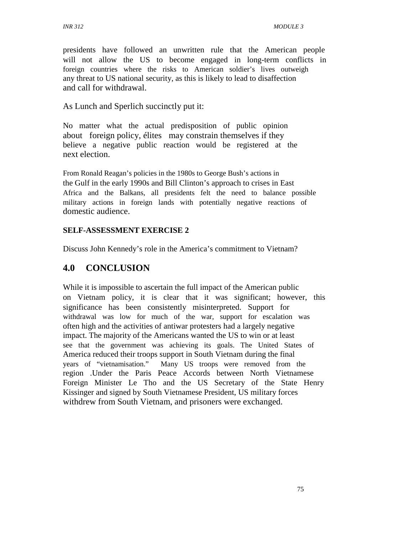presidents have followed an unwritten rule that the American people will not allow the US to become engaged in long-term conflicts in foreign countries where the risks to American soldier's lives outweigh any threat to US national security, as this is likely to lead to disaffection and call for withdrawal.

As Lunch and Sperlich succinctly put it:

No matter what the actual predisposition of public opinion about foreign policy, élites may constrain themselves if they believe a negative public reaction would be registered at the next election.

From Ronald Reagan's policies in the 1980s to George Bush's actions in the Gulf in the early 1990s and Bill Clinton's approach to crises in East Africa and the Balkans, all presidents felt the need to balance possible military actions in foreign lands with potentially negative reactions of domestic audience.

## **SELF-ASSESSMENT EXERCISE 2**

Discuss John Kennedy's role in the America's commitment to Vietnam?

# **4.0 CONCLUSION**

While it is impossible to ascertain the full impact of the American public on Vietnam policy, it is clear that it was significant; however, this significance has been consistently misinterpreted. Support for withdrawal was low for much of the war, support for escalation was often high and the activities of antiwar protesters had a largely negative impact. The majority of the Americans wanted the US to win or at least see that the government was achieving its goals. The United States of America reduced their troops support in South Vietnam during the final years of "vietnamisation." Many US troops were removed from the region .Under the Paris Peace Accords between North Vietnamese Foreign Minister Le Tho and the US Secretary of the State Henry Kissinger and signed by South Vietnamese President, US military forces withdrew from South Vietnam, and prisoners were exchanged.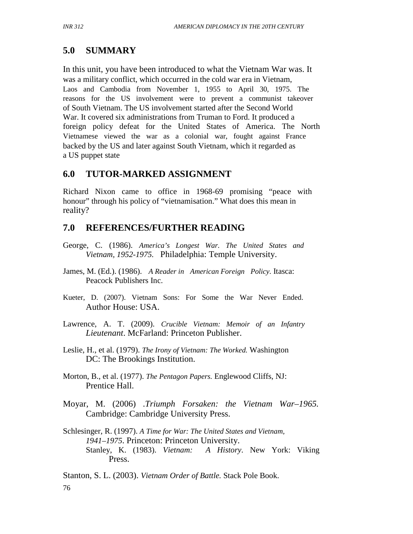# **5.0 SUMMARY**

In this unit, you have been introduced to what the Vietnam War was. It was a military conflict, which occurred in the cold war era in Vietnam, Laos and Cambodia from November 1, 1955 to April 30, 1975. The reasons for the US involvement were to prevent a communist takeover of South Vietnam. The US involvement started after the Second World War. It covered six administrations from Truman to Ford. It produced a foreign policy defeat for the United States of America. The North Vietnamese viewed the war as a colonial war, fought against France backed by the US and later against South Vietnam, which it regarded as a US puppet state

# **6.0 TUTOR-MARKED ASSIGNMENT**

Richard Nixon came to office in 1968-69 promising "peace with honour" through his policy of "vietnamisation." What does this mean in reality?

# **7.0 REFERENCES/FURTHER READING**

- George, C. (1986). *America's Longest War. The United States and Vietnam, 1952-1975.* Philadelphia: Temple University.
- James, M. (Ed.). (1986). *A Reader in American Foreign Policy.* Itasca: Peacock Publishers Inc.
- Kueter, D. (2007). Vietnam Sons: For Some the War Never Ended. Author House: USA.
- Lawrence, A. T. (2009). *Crucible Vietnam: Memoir of an Infantry Lieutenant*. McFarland: Princeton Publisher.
- Leslie, H., et al. (1979). *The Irony of Vietnam: The Worked.* Washington DC: The Brookings Institution.
- Morton, B., et al. (1977). *The Pentagon Papers.* Englewood Cliffs, NJ: Prentice Hall.
- Moyar, M. (2006) .*Triumph Forsaken: the Vietnam War–1965.* Cambridge: Cambridge University Press.
- Schlesinger, R. (1997). *A Time for War: The United States and Vietnam, 1941–1975*. Princeton: Princeton University. Stanley, K. (1983). *Vietnam: A History*. New York: Viking Press.

Stanton, S. L. (2003). *Vietnam Order of Battle.* Stack Pole Book. 76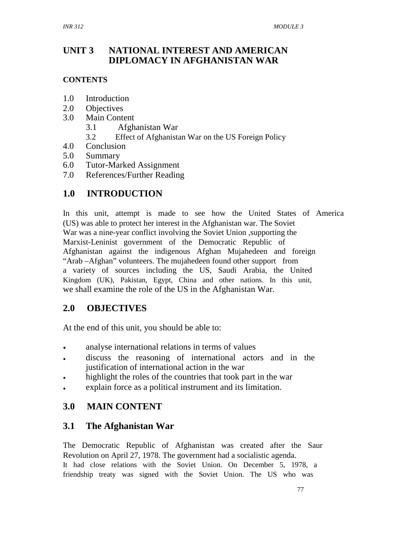### **UNIT 3 NATIONAL INTEREST AND AMERICAN DIPLOMACY IN AFGHANISTAN WAR**

## **CONTENTS**

- 1.0 Introduction
- 2.0 Objectives
- 3.0 Main Content
	- 3.1 Afghanistan War
	- 3.2 Effect of Afghanistan War on the US Foreign Policy
- 4.0 Conclusion
- 5.0 Summary
- 6.0 Tutor-Marked Assignment
- 7.0 References/Further Reading

# **1.0 INTRODUCTION**

In this unit, attempt is made to see how the United States of America (US) was able to protect her interest in the Afghanistan war. The Soviet War was a nine-year conflict involving the Soviet Union ,supporting the Marxist-Leninist government of the Democratic Republic of Afghanistan against the indigenous Afghan Mujahedeen and foreign "Arab –Afghan" volunteers. The mujahedeen found other support from a variety of sources including the US, Saudi Arabia, the United Kingdom (UK), Pakistan, Egypt, China and other nations. In this unit, we shall examine the role of the US in the Afghanistan War.

# **2.0 OBJECTIVES**

At the end of this unit, you should be able to:

- analyse international relations in terms of values
- discuss the reasoning of international actors and in the justification of international action in the war
- highlight the roles of the countries that took part in the war
- explain force as a political instrument and its limitation.

# **3.0 MAIN CONTENT**

# **3.1 The Afghanistan War**

The Democratic Republic of Afghanistan was created after the Saur Revolution on April 27, 1978. The government had a socialistic agenda. It had close relations with the Soviet Union. On December 5, 1978, a friendship treaty was signed with the Soviet Union. The US who was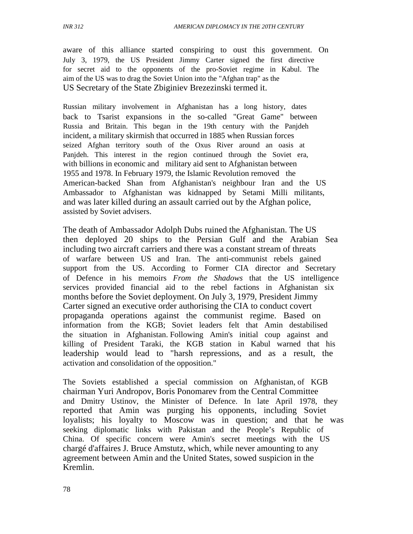aware of this alliance started conspiring to oust this government. On July 3, 1979, the US President Jimmy Carter signed the first directive for secret aid to the opponents of the pro-Soviet regime in Kabul. The aim of the US was to drag the Soviet Union into the "Afghan trap" as the US Secretary of the State Zbiginiev Brezezinski termed it.

Russian military involvement in Afghanistan has a long history, dates back to Tsarist expansions in the so-called "Great Game" between Russia and Britain. This began in the 19th century with the Panjdeh incident, a military skirmish that occurred in 1885 when Russian forces seized Afghan territory south of the Oxus River around an oasis at Panjdeh. This interest in the region continued through the Soviet era, with billions in economic and military aid sent to Afghanistan between 1955 and 1978. In February 1979, the Islamic Revolution removed the American-backed Shan from Afghanistan's neighbour Iran and the US Ambassador to Afghanistan was kidnapped by Setami Milli militants, and was later killed during an assault carried out by the Afghan police, assisted by Soviet advisers.

The death of Ambassador Adolph Dubs ruined the Afghanistan. The US then deployed 20 ships to the Persian Gulf and the Arabian Sea including two aircraft carriers and there was a constant stream of threats of warfare between US and Iran. The anti-communist rebels gained support from the US. According to Former CIA director and Secretary of Defence in his memoirs *From the Shadows* that the US intelligence services provided financial aid to the rebel factions in Afghanistan six months before the Soviet deployment. On July 3, 1979, President Jimmy Carter signed an executive order authorising the CIA to conduct covert propaganda operations against the communist regime. Based on information from the KGB; Soviet leaders felt that Amin destabilised the situation in Afghanistan. Following Amin's initial coup against and killing of President Taraki, the KGB station in Kabul warned that his leadership would lead to "harsh repressions, and as a result, the activation and consolidation of the opposition."

The Soviets established a special commission on Afghanistan, of KGB chairman Yuri Andropov, Boris Ponomarev from the Central Committee and Dmitry Ustinov, the Minister of Defence. In late April 1978, they reported that Amin was purging his opponents, including Soviet loyalists; his loyalty to Moscow was in question; and that he was seeking diplomatic links with Pakistan and the People's Republic of China. Of specific concern were Amin's secret meetings with the US chargé d'affaires J. Bruce Amstutz, which, while never amounting to any agreement between Amin and the United States, sowed suspicion in the Kremlin.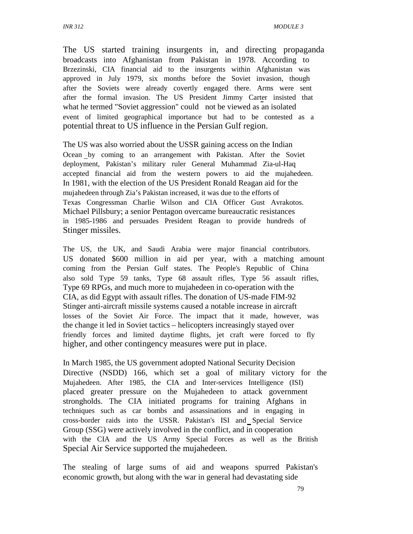The US started training insurgents in, and directing propaganda broadcasts into Afghanistan from Pakistan in 1978. According to Brzezinski, CIA financial aid to the insurgents within Afghanistan was approved in July 1979, six months before the Soviet invasion, though after the Soviets were already covertly engaged there. Arms were sent after the formal invasion. The US President Jimmy Carter insisted that what he termed "Soviet aggression" could not be viewed as an isolated event of limited geographical importance but had to be contested as a potential threat to US influence in the Persian Gulf region.

The US was also worried about the USSR gaining access on the Indian Ocean by coming to an arrangement with Pakistan. After the Soviet deployment, Pakistan's military ruler General Muhammad Zia-ul-Haq accepted financial aid from the western powers to aid the mujahedeen. In 1981, with the election of the US President Ronald Reagan aid for the mujahedeen through Zia's Pakistan increased, it was due to the efforts of Texas Congressman Charlie Wilson and CIA Officer Gust Avrakotos. Michael Pillsbury; a senior Pentagon overcame bureaucratic resistances in 1985-1986 and persuades President Reagan to provide hundreds of Stinger missiles.

The US, the UK, and Saudi Arabia were major financial contributors. US donated \$600 million in aid per year, with a matching amount coming from the Persian Gulf states. The People's Republic of China also sold Type 59 tanks, Type 68 assault rifles, Type 56 assault rifles, Type 69 RPGs, and much more to mujahedeen in co-operation with the CIA, as did Egypt with assault rifles. The donation of US-made FIM-92 Stinger anti-aircraft missile systems caused a notable increase in aircraft losses of the Soviet Air Force. The impact that it made, however, was the change it led in Soviet tactics – helicopters increasingly stayed over friendly forces and limited daytime flights, jet craft were forced to fly higher, and other contingency measures were put in place.

In March 1985, the US government adopted National Security Decision Directive (NSDD) 166, which set a goal of military victory for the Mujahedeen. After 1985, the CIA and Inter-services Intelligence (ISI) placed greater pressure on the Mujahedeen to attack government strongholds. The CIA initiated programs for training Afghans in techniques such as car bombs and assassinations and in engaging in cross-border raids into the USSR. Pakistan's ISI and Special Service Group (SSG) were actively involved in the conflict, and in cooperation with the CIA and the US Army Special Forces as well as the British Special Air Service supported the mujahedeen.

The stealing of large sums of aid and weapons spurred Pakistan's economic growth, but along with the war in general had devastating side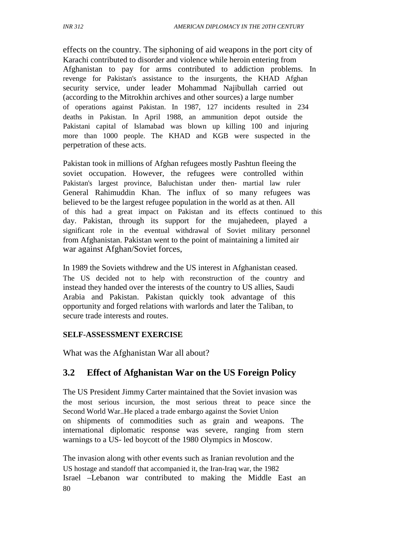effects on the country. The siphoning of aid weapons in the port city of Karachi contributed to disorder and violence while heroin entering from Afghanistan to pay for arms contributed to addiction problems. In revenge for Pakistan's assistance to the insurgents, the KHAD Afghan security service, under leader Mohammad Najibullah carried out (according to the Mitrokhin archives and other sources) a large number of operations against Pakistan. In 1987, 127 incidents resulted in 234 deaths in Pakistan. In April 1988, an ammunition depot outside the Pakistani capital of Islamabad was blown up killing 100 and injuring more than 1000 people. The KHAD and KGB were suspected in the perpetration of these acts.

Pakistan took in millions of Afghan refugees mostly Pashtun fleeing the soviet occupation. However, the refugees were controlled within Pakistan's largest province, Baluchistan under then- martial law ruler General Rahimuddin Khan. The influx of so many refugees was believed to be the largest refugee population in the world as at then. All of this had a great impact on Pakistan and its effects continued to this day. Pakistan, through its support for the mujahedeen, played a significant role in the eventual withdrawal of Soviet military personnel from Afghanistan. Pakistan went to the point of maintaining a limited air war against Afghan/Soviet forces,

In 1989 the Soviets withdrew and the US interest in Afghanistan ceased. The US decided not to help with reconstruction of the country and instead they handed over the interests of the country to US allies, Saudi Arabia and Pakistan. Pakistan quickly took advantage of this opportunity and forged relations with warlords and later the Taliban, to secure trade interests and routes.

### **SELF-ASSESSMENT EXERCISE**

What was the Afghanistan War all about?

# **3.2 Effect of Afghanistan War on the US Foreign Policy**

The US President Jimmy Carter maintained that the Soviet invasion was the most serious incursion, the most serious threat to peace since the Second World War..He placed a trade embargo against the Soviet Union on shipments of commodities such as grain and weapons. The international diplomatic response was severe, ranging from stern warnings to a US- led boycott of the 1980 Olympics in Moscow.

The invasion along with other events such as Iranian revolution and the US hostage and standoff that accompanied it, the Iran-Iraq war, the 1982 Israel –Lebanon war contributed to making the Middle East an 80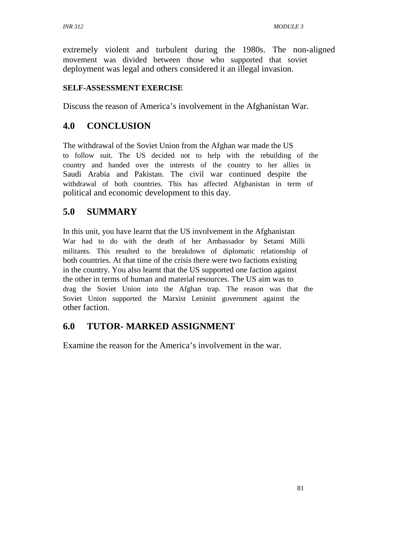extremely violent and turbulent during the 1980s. The non-aligned movement was divided between those who supported that soviet deployment was legal and others considered it an illegal invasion.

### **SELF-ASSESSMENT EXERCISE**

Discuss the reason of America's involvement in the Afghanistan War.

# **4.0 CONCLUSION**

The withdrawal of the Soviet Union from the Afghan war made the US to follow suit. The US decided not to help with the rebuilding of the country and handed over the interests of the country to her allies in Saudi Arabia and Pakistan. The civil war continued despite the withdrawal of both countries. This has affected Afghanistan in term of political and economic development to this day.

# **5.0 SUMMARY**

In this unit, you have learnt that the US involvement in the Afghanistan War had to do with the death of her Ambassador by Setami Milli militants. This resulted to the breakdown of diplomatic relationship of both countries. At that time of the crisis there were two factions existing in the country. You also learnt that the US supported one faction against the other in terms of human and material resources. The US aim was to drag the Soviet Union into the Afghan trap. The reason was that the Soviet Union supported the Marxist Leninist government against the other faction.

# **6.0 TUTOR- MARKED ASSIGNMENT**

Examine the reason for the America's involvement in the war.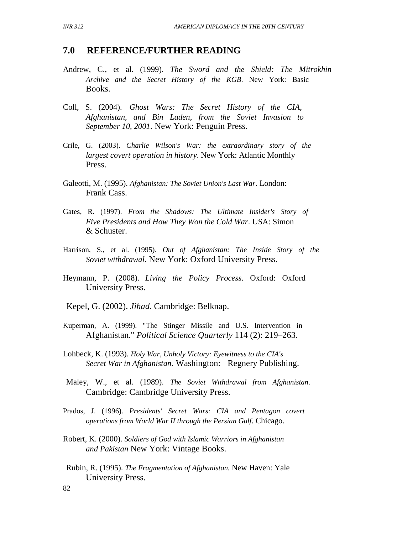### **7.0 REFERENCE/FURTHER READING**

- Andrew, C., et al. (1999). *The Sword and the Shield: The Mitrokhin Archive and the Secret History of the KGB*. New York: Basic Books.
- Coll, S. (2004). *Ghost Wars: The Secret History of the CIA, Afghanistan, and Bin Laden, from the Soviet Invasion to September 10, 2001*. New York: Penguin Press.
- Crile, G. (2003). *Charlie Wilson's War: the extraordinary story of the largest covert operation in history*. New York: Atlantic Monthly Press.
- Galeotti, M. (1995). *Afghanistan: The Soviet Union's Last War*. London: Frank Cass.
- Gates, R. (1997). *From the Shadows: The Ultimate Insider's Story of Five Presidents and How They Won the Cold War*. USA: Simon & Schuster.
- Harrison, S., et al. (1995). *Out of Afghanistan: The Inside Story of the Soviet withdrawal*. New York: Oxford University Press.
- Heymann, P. (2008). *Living the Policy Process*. Oxford: Oxford University Press.

Kepel, G. (2002). *Jihad*. Cambridge: Belknap.

- Kuperman, A. (1999). "The Stinger Missile and U.S. Intervention in Afghanistan." *Political Science Quarterly* 114 (2): 219–263.
- Lohbeck, K. (1993). *Holy War, Unholy Victory: Eyewitness to the CIA's Secret War in Afghanistan*. Washington: Regnery Publishing.
- Maley, W., et al. (1989). *The Soviet Withdrawal from Afghanistan*. Cambridge: Cambridge University Press.
- Prados, J. (1996). *Presidents' Secret Wars: CIA and Pentagon covert operations from World War II through the Persian Gulf*. Chicago.
- Robert, K. (2000). *Soldiers of God with Islamic Warriors in Afghanistan and Pakistan* New York: Vintage Books.
- Rubin, R. (1995). *The Fragmentation of Afghanistan.* New Haven: Yale University Press.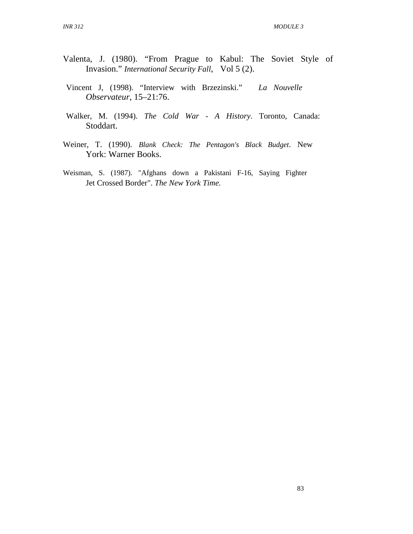- Valenta, J. (1980). "From Prague to Kabul: The Soviet Style of Invasion." *International Security Fall*, Vol 5 (2).
- Vincent J, (1998). "Interview with Brzezinski." *La Nouvelle Observateur*, 15–21:76.
- Walker, M. (1994). *The Cold War A History*. Toronto, Canada: Stoddart.
- Weiner, T. (1990). *Blank Check: The Pentagon's Black Budget*. New York: Warner Books.
- Weisman, S. (1987). "Afghans down a Pakistani F-16, Saying Fighter Jet Crossed Border". *The New York Time.*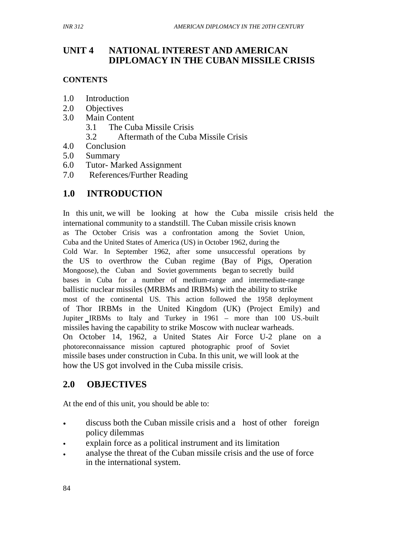# **UNIT 4 NATIONAL INTEREST AND AMERICAN DIPLOMACY IN THE CUBAN MISSILE CRISIS**

## **CONTENTS**

- 1.0 Introduction
- 2.0 Objectives
- 3.0 Main Content
	- 3.1 The Cuba Missile Crisis
	- 3.2 Aftermath of the Cuba Missile Crisis
- 4.0 Conclusion
- 5.0 Summary
- 6.0 Tutor- Marked Assignment
- 7.0 References/Further Reading

# **1.0 INTRODUCTION**

In this unit, we will be looking at how the Cuba missile crisis held the international community to a standstill. The Cuban missile crisis known as The October Crisis was a confrontation among the Soviet Union, Cuba and the United States of America (US) in October 1962, during the Cold War. In September 1962, after some unsuccessful operations by the US to overthrow the Cuban regime (Bay of Pigs, Operation Mongoose), the Cuban and Soviet governments began to secretly build bases in Cuba for a number of medium-range and intermediate-range ballistic nuclear missiles (MRBMs and IRBMs) with the ability to strike most of the continental US. This action followed the 1958 deployment of Thor IRBMs in the United Kingdom (UK) (Project Emily) and Jupiter IRBMs to Italy and Turkey in 1961 – more than 100 US.-built missiles having the capability to strike Moscow with nuclear warheads. On October 14, 1962, a United States Air Force U-2 plane on a photoreconnaissance mission captured photographic proof of Soviet missile bases under construction in Cuba. In this unit, we will look at the how the US got involved in the Cuba missile crisis.

# **2.0 OBJECTIVES**

At the end of this unit, you should be able to:

- discuss both the Cuban missile crisis and a host of other foreign policy dilemmas
- explain force as a political instrument and its limitation
- analyse the threat of the Cuban missile crisis and the use of force in the international system.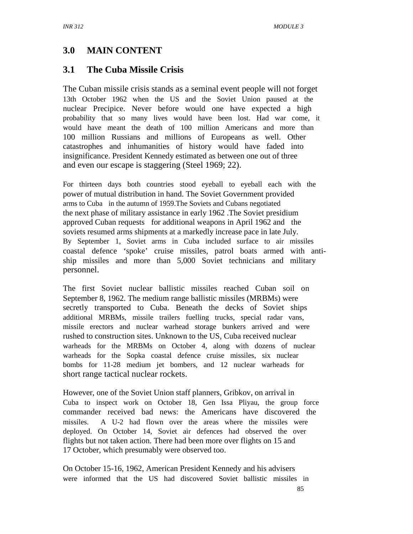# **3.0 MAIN CONTENT**

# **3.1 The Cuba Missile Crisis**

The Cuban missile crisis stands as a seminal event people will not forget 13th October 1962 when the US and the Soviet Union paused at the nuclear Precipice. Never before would one have expected a high probability that so many lives would have been lost. Had war come, it would have meant the death of 100 million Americans and more than 100 million Russians and millions of Europeans as well. Other catastrophes and inhumanities of history would have faded into insignificance. President Kennedy estimated as between one out of three and even our escape is staggering (Steel 1969; 22).

For thirteen days both countries stood eyeball to eyeball each with the power of mutual distribution in hand. The Soviet Government provided arms to Cuba in the autumn of 1959.The Soviets and Cubans negotiated the next phase of military assistance in early 1962 .The Soviet presidium approved Cuban requests for additional weapons in April 1962 and the soviets resumed arms shipments at a markedly increase pace in late July. By September 1, Soviet arms in Cuba included surface to air missiles coastal defence 'spoke' cruise missiles, patrol boats armed with antiship missiles and more than 5,000 Soviet technicians and military personnel.

The first Soviet nuclear ballistic missiles reached Cuban soil on September 8, 1962. The medium range ballistic missiles (MRBMs) were secretly transported to Cuba. Beneath the decks of Soviet ships additional MRBMs, missile trailers fuelling trucks, special radar vans, missile erectors and nuclear warhead storage bunkers arrived and were rushed to construction sites. Unknown to the US, Cuba received nuclear warheads for the MRBMs on October 4, along with dozens of nuclear warheads for the Sopka coastal defence cruise missiles, six nuclear bombs for 11-28 medium jet bombers, and 12 nuclear warheads for short range tactical nuclear rockets.

However, one of the Soviet Union staff planners, Gribkov, on arrival in Cuba to inspect work on October 18, Gen Issa Pliyau, the group force commander received bad news: the Americans have discovered the missiles. A U-2 had flown over the areas where the missiles were deployed. On October 14, Soviet air defences had observed the over flights but not taken action. There had been more over flights on 15 and 17 October, which presumably were observed too.

On October 15-16, 1962, American President Kennedy and his advisers were informed that the US had discovered Soviet ballistic missiles in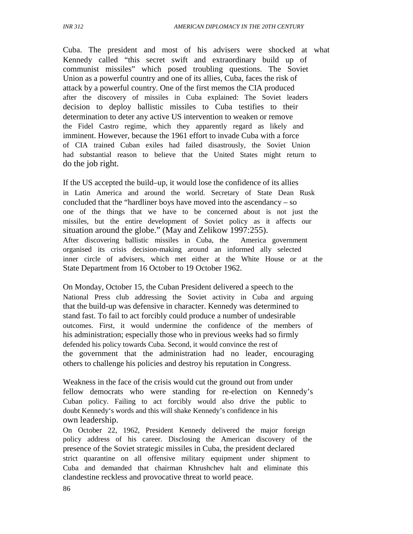Cuba. The president and most of his advisers were shocked at what Kennedy called "this secret swift and extraordinary build up of communist missiles" which posed troubling questions. The Soviet Union as a powerful country and one of its allies, Cuba, faces the risk of attack by a powerful country. One of the first memos the CIA produced after the discovery of missiles in Cuba explained: The Soviet leaders decision to deploy ballistic missiles to Cuba testifies to their determination to deter any active US intervention to weaken or remove the Fidel Castro regime, which they apparently regard as likely and imminent. However, because the 1961 effort to invade Cuba with a force of CIA trained Cuban exiles had failed disastrously, the Soviet Union had substantial reason to believe that the United States might return to do the job right.

If the US accepted the build–up, it would lose the confidence of its allies in Latin America and around the world. Secretary of State Dean Rusk concluded that the "hardliner boys have moved into the ascendancy – so one of the things that we have to be concerned about is not just the missiles, but the entire development of Soviet policy as it affects our situation around the globe." (May and Zelikow 1997:255). After discovering ballistic missiles in Cuba, the America government organised its crisis decision-making around an informed ally selected inner circle of advisers, which met either at the White House or at the State Department from 16 October to 19 October 1962.

On Monday, October 15, the Cuban President delivered a speech to the National Press club addressing the Soviet activity in Cuba and arguing that the build-up was defensive in character. Kennedy was determined to stand fast. To fail to act forcibly could produce a number of undesirable outcomes. First, it would undermine the confidence of the members of his administration; especially those who in previous weeks had so firmly defended his policy towards Cuba. Second, it would convince the rest of the government that the administration had no leader, encouraging others to challenge his policies and destroy his reputation in Congress.

Weakness in the face of the crisis would cut the ground out from under fellow democrats who were standing for re-election on Kennedy's Cuban policy. Failing to act forcibly would also drive the public to doubt Kennedy's words and this will shake Kennedy's confidence in his own leadership.

On October 22, 1962, President Kennedy delivered the major foreign policy address of his career. Disclosing the American discovery of the presence of the Soviet strategic missiles in Cuba, the president declared strict quarantine on all offensive military equipment under shipment to Cuba and demanded that chairman Khrushchev halt and eliminate this clandestine reckless and provocative threat to world peace.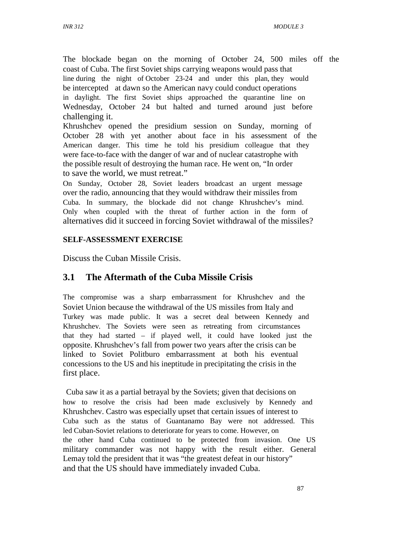The blockade began on the morning of October 24, 500 miles off the coast of Cuba. The first Soviet ships carrying weapons would pass that line during the night of October 23-24 and under this plan, they would be intercepted at dawn so the American navy could conduct operations in daylight. The first Soviet ships approached the quarantine line on Wednesday, October 24 but halted and turned around just before challenging it.

Khrushchev opened the presidium session on Sunday, morning of October 28 with yet another about face in his assessment of the American danger. This time he told his presidium colleague that they were face-to-face with the danger of war and of nuclear catastrophe with the possible result of destroying the human race. He went on, "In order to save the world, we must retreat."

On Sunday, October 28, Soviet leaders broadcast an urgent message over the radio, announcing that they would withdraw their missiles from Cuba. In summary, the blockade did not change Khrushchev's mind. Only when coupled with the threat of further action in the form of alternatives did it succeed in forcing Soviet withdrawal of the missiles?

### **SELF-ASSESSMENT EXERCISE**

Discuss the Cuban Missile Crisis.

# **3.1 The Aftermath of the Cuba Missile Crisis**

The compromise was a sharp embarrassment for Khrushchev and the Soviet Union because the withdrawal of the US missiles from Italy and Turkey was made public. It was a secret deal between Kennedy and Khrushchev. The Soviets were seen as retreating from circumstances that they had started – if played well, it could have looked just the opposite. Khrushchev's fall from power two years after the crisis can be linked to Soviet Politburo embarrassment at both his eventual concessions to the US and his ineptitude in precipitating the crisis in the first place.

 Cuba saw it as a partial betrayal by the Soviets; given that decisions on how to resolve the crisis had been made exclusively by Kennedy and Khrushchev. Castro was especially upset that certain issues of interest to Cuba such as the status of Guantanamo Bay were not addressed. This led Cuban-Soviet relations to deteriorate for years to come. However, on the other hand Cuba continued to be protected from invasion. One US military commander was not happy with the result either. General Lemay told the president that it was "the greatest defeat in our history" and that the US should have immediately invaded Cuba.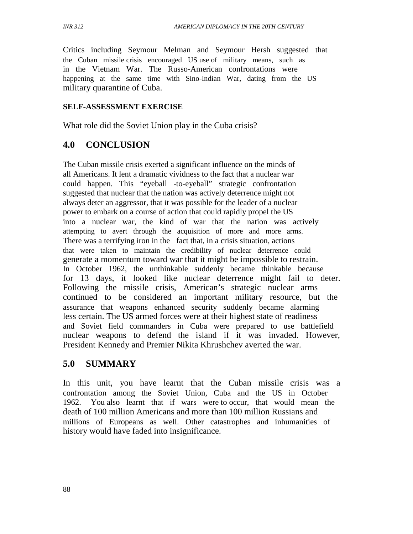Critics including Seymour Melman and Seymour Hersh suggested that the Cuban missile crisis encouraged US use of military means, such as in the Vietnam War. The Russo-American confrontations were happening at the same time with Sino-Indian War, dating from the US military quarantine of Cuba.

### **SELF-ASSESSMENT EXERCISE**

What role did the Soviet Union play in the Cuba crisis?

## **4.0 CONCLUSION**

The Cuban missile crisis exerted a significant influence on the minds of all Americans. It lent a dramatic vividness to the fact that a nuclear war could happen. This "eyeball -to-eyeball" strategic confrontation suggested that nuclear that the nation was actively deterrence might not always deter an aggressor, that it was possible for the leader of a nuclear power to embark on a course of action that could rapidly propel the US into a nuclear war, the kind of war that the nation was actively attempting to avert through the acquisition of more and more arms. There was a terrifying iron in the fact that, in a crisis situation, actions that were taken to maintain the credibility of nuclear deterrence could generate a momentum toward war that it might be impossible to restrain. In October 1962, the unthinkable suddenly became thinkable because for 13 days, it looked like nuclear deterrence might fail to deter. Following the missile crisis, American's strategic nuclear arms continued to be considered an important military resource, but the assurance that weapons enhanced security suddenly became alarming less certain. The US armed forces were at their highest state of readiness and Soviet field commanders in Cuba were prepared to use battlefield nuclear weapons to defend the island if it was invaded. However, President Kennedy and Premier Nikita Khrushchev averted the war.

## **5.0 SUMMARY**

In this unit, you have learnt that the Cuban missile crisis was a confrontation among the Soviet Union, Cuba and the US in October 1962. You also learnt that if wars were to occur, that would mean the death of 100 million Americans and more than 100 million Russians and millions of Europeans as well. Other catastrophes and inhumanities of history would have faded into insignificance.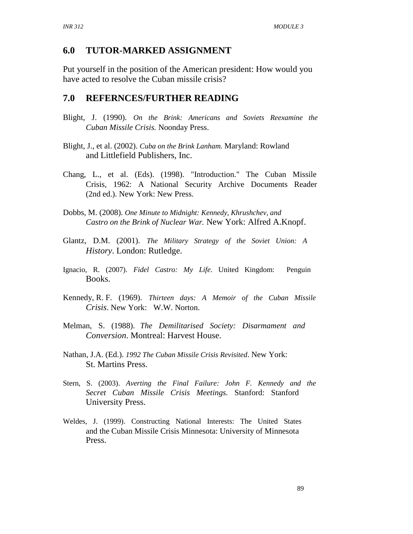## **6.0 TUTOR-MARKED ASSIGNMENT**

Put yourself in the position of the American president: How would you have acted to resolve the Cuban missile crisis?

### **7.0 REFERNCES/FURTHER READING**

- Blight, J. (1990). *On the Brink: Americans and Soviets Reexamine the Cuban Missile Crisis.* Noonday Press.
- Blight, J., et al. (2002). *Cuba on the Brink Lanham.* Maryland: Rowland and Littlefield Publishers, Inc.
- Chang, L., et al. (Eds). (1998). "Introduction." The Cuban Missile Crisis, 1962: A National Security Archive Documents Reader (2nd ed.). New York: New Press.
- Dobbs, M. (2008). *One Minute to Midnight: Kennedy, Khrushchev, and Castro on the Brink of Nuclear War.* New York: Alfred A.Knopf.
- Glantz, D.M. (2001). *The Military Strategy of the Soviet Union: A History*. London: Rutledge.
- Ignacio, R. (2007). *Fidel Castro: My Life*. United Kingdom: Penguin Books.
- Kennedy, R. F. (1969). *Thirteen days: A Memoir of the Cuban Missile Crisis*. New York: W.W. Norton.
- Melman, S. (1988). *The Demilitarised Society: Disarmament and Conversion*. Montreal: Harvest House.
- Nathan, J.A. (Ed.). *1992 The Cuban Missile Crisis Revisited*. New York: St. Martins Press.
- Stern, S. (2003). *Averting the Final Failure: John F. Kennedy and the Secret Cuban Missile Crisis Meetings.* Stanford: Stanford University Press.
- Weldes, J. (1999). Constructing National Interests: The United States and the Cuban Missile Crisis Minnesota: University of Minnesota Press.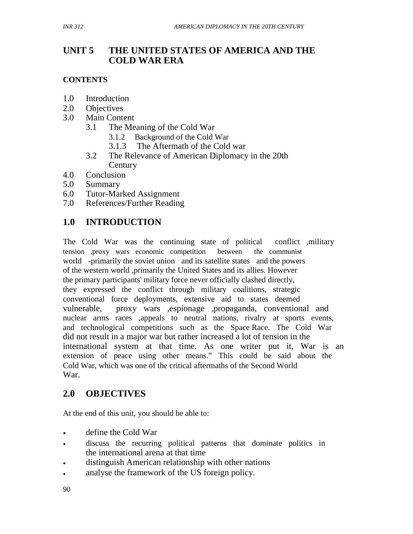### **UNIT 5 THE UNITED STATES OF AMERICA AND THE COLD WAR ERA**

## **CONTENTS**

- 1.0 Introduction
- 2.0 Objectives
- 3.0 Main Content
	- 3.1 The Meaning of the Cold War
		- 3.1.2 Background of the Cold War
		- 3.1.3 The Aftermath of the Cold war
	- 3.2 The Relevance of American Diplomacy in the 20th **Century**
- 4.0 Conclusion
- 5.0 Summary
- 6.0 Tutor-Marked Assignment
- 7.0 References/Further Reading

# **1.0 INTRODUCTION**

The Cold War was the continuing state of political conflict ,military tension ,proxy wars economic competition between the communist world -primarily the soviet union and its satellite states and the powers of the western world ,primarily the United States and its allies. However the primary participants' military force never officially clashed directly, they expressed the conflict through military coalitions, strategic conventional force deployments, extensive aid to states deemed vulnerable, proxy wars ,espionage ,propaganda, conventional and nuclear arms races ,appeals to neutral nations, rivalry at sports events, and technological competitions such as the Space Race. The Cold War did not result in a major war but rather increased a lot of tension in the international system at that time. As one writer put it, War is an extension of peace using other means." This could be said about the Cold War, which was one of the critical aftermaths of the Second World War.

# **2.0 OBJECTIVES**

At the end of this unit, you should be able to:

- define the Cold War
- discuss the recurring political patterns that dominate politics in the international arena at that time
- distinguish American relationship with other nations
- analyse the framework of the US foreign policy.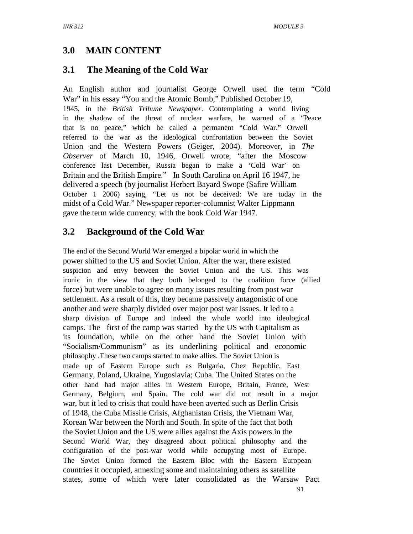# **3.0 MAIN CONTENT**

# **3.1 The Meaning of the Cold War**

An English author and journalist George Orwell used the term "Cold War" in his essay "You and the Atomic Bomb," Published October 19, 1945, in the *British Tribune Newspaper*. Contemplating a world living in the shadow of the threat of nuclear warfare, he warned of a "Peace that is no peace," which he called a permanent "Cold War." Orwell referred to the war as the ideological confrontation between the Soviet Union and the Western Powers (Geiger, 2004). Moreover, in *The Observer* of March 10, 1946, Orwell wrote, "after the Moscow conference last December, Russia began to make a 'Cold War' on Britain and the British Empire." In South Carolina on April 16 1947, he delivered a speech (by journalist Herbert Bayard Swope (Safire William October 1 2006) saying, "Let us not be deceived: We are today in the midst of a Cold War." Newspaper reporter-columnist Walter Lippmann gave the term wide currency, with the book Cold War 1947.

# **3.2 Background of the Cold War**

The end of the Second World War emerged a bipolar world in which the power shifted to the US and Soviet Union. After the war, there existed suspicion and envy between the Soviet Union and the US. This was ironic in the view that they both belonged to the coalition force (allied force) but were unable to agree on many issues resulting from post war settlement. As a result of this, they became passively antagonistic of one another and were sharply divided over major post war issues. It led to a sharp division of Europe and indeed the whole world into ideological camps. The first of the camp was started by the US with Capitalism as its foundation, while on the other hand the Soviet Union with "Socialism/Communism" as its underlining political and economic philosophy .These two camps started to make allies. The Soviet Union is made up of Eastern Europe such as Bulgaria, Chez Republic, East Germany, Poland, Ukraine, Yugoslavia; Cuba. The United States on the other hand had major allies in Western Europe, Britain, France, West Germany, Belgium, and Spain. The cold war did not result in a major war, but it led to crisis that could have been averted such as Berlin Crisis of 1948, the Cuba Missile Crisis, Afghanistan Crisis, the Vietnam War, Korean War between the North and South. In spite of the fact that both the Soviet Union and the US were allies against the Axis powers in the Second World War, they disagreed about political philosophy and the configuration of the post-war world while occupying most of Europe. The Soviet Union formed the Eastern Bloc with the Eastern European countries it occupied, annexing some and maintaining others as satellite states, some of which were later consolidated as the Warsaw Pact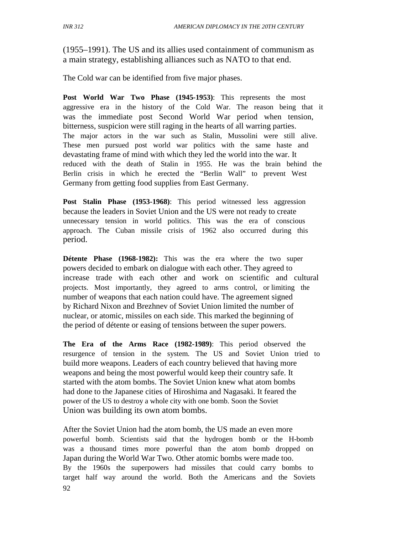(1955–1991). The US and its allies used containment of communism as a main strategy, establishing alliances such as NATO to that end.

The Cold war can be identified from five major phases.

**Post World War Two Phase (1945-1953)**: This represents the most aggressive era in the history of the Cold War. The reason being that it was the immediate post Second World War period when tension, bitterness, suspicion were still raging in the hearts of all warring parties. The major actors in the war such as Stalin, Mussolini were still alive. These men pursued post world war politics with the same haste and devastating frame of mind with which they led the world into the war. It reduced with the death of Stalin in 1955. He was the brain behind the Berlin crisis in which he erected the "Berlin Wall" to prevent West Germany from getting food supplies from East Germany.

**Post Stalin Phase (1953-1968)**: This period witnessed less aggression because the leaders in Soviet Union and the US were not ready to create unnecessary tension in world politics. This was the era of conscious approach. The Cuban missile crisis of 1962 also occurred during this period.

**Détente Phase (1968-1982):** This was the era where the two super powers decided to embark on dialogue with each other. They agreed to increase trade with each other and work on scientific and cultural projects. Most importantly, they agreed to arms control, or limiting the number of weapons that each nation could have. The agreement signed by Richard Nixon and Brezhnev of Soviet Union limited the number of nuclear, or atomic, missiles on each side. This marked the beginning of the period of détente or easing of tensions between the super powers.

**The Era of the Arms Race (1982-1989)**: This period observed the resurgence of tension in the system. The US and Soviet Union tried to build more weapons. Leaders of each country believed that having more weapons and being the most powerful would keep their country safe. It started with the atom bombs. The Soviet Union knew what atom bombs had done to the Japanese cities of Hiroshima and Nagasaki. It feared the power of the US to destroy a whole city with one bomb. Soon the Soviet Union was building its own atom bombs.

After the Soviet Union had the atom bomb, the US made an even more powerful bomb. Scientists said that the hydrogen bomb or the H-bomb was a thousand times more powerful than the atom bomb dropped on Japan during the World War Two. Other atomic bombs were made too. By the 1960s the superpowers had missiles that could carry bombs to target half way around the world. Both the Americans and the Soviets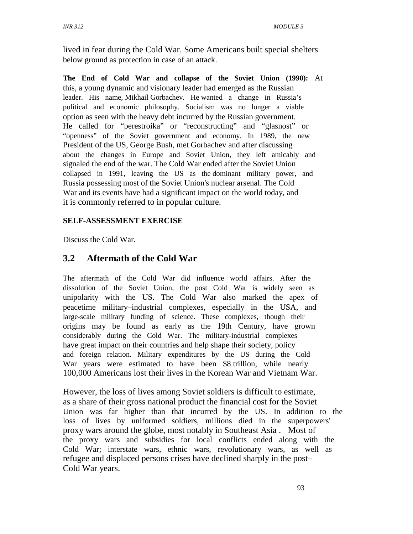lived in fear during the Cold War. Some Americans built special shelters below ground as protection in case of an attack.

**The End of Cold War and collapse of the Soviet Union (1990):** At this, a young dynamic and visionary leader had emerged as the Russian leader. His name, Mikhail Gorbachev. He wanted a change in Russia's political and economic philosophy. Socialism was no longer a viable option as seen with the heavy debt incurred by the Russian government. He called for "perestroika" or "reconstructing" and "glasnost" or "openness" of the Soviet government and economy. In 1989, the new President of the US, George Bush, met Gorbachev and after discussing about the changes in Europe and Soviet Union, they left amicably and signaled the end of the war. The Cold War ended after the Soviet Union collapsed in 1991, leaving the US as the dominant military power, and Russia possessing most of the Soviet Union's nuclear arsenal. The Cold War and its events have had a significant impact on the world today, and it is commonly referred to in popular culture.

## **SELF-ASSESSMENT EXERCISE**

Discuss the Cold War.

# **3.2 Aftermath of the Cold War**

The aftermath of the Cold War did influence world affairs. After the dissolution of the Soviet Union, the post Cold War is widely seen as unipolarity with the US. The Cold War also marked the apex of peacetime military–industrial complexes, especially in the USA, and large-scale military funding of science. These complexes, though their origins may be found as early as the 19th Century, have grown considerably during the Cold War. The military-industrial complexes have great impact on their countries and help shape their society, policy and foreign relation. Military expenditures by the US during the Cold War years were estimated to have been \$8 trillion, while nearly 100,000 Americans lost their lives in the Korean War and Vietnam War.

However, the loss of lives among Soviet soldiers is difficult to estimate, as a share of their gross national product the financial cost for the Soviet Union was far higher than that incurred by the US. In addition to the loss of lives by uniformed soldiers, millions died in the superpowers' proxy wars around the globe, most notably in Southeast Asia . Most of the proxy wars and subsidies for local conflicts ended along with the Cold War; interstate wars, ethnic wars, revolutionary wars, as well as refugee and displaced persons crises have declined sharply in the post– Cold War years.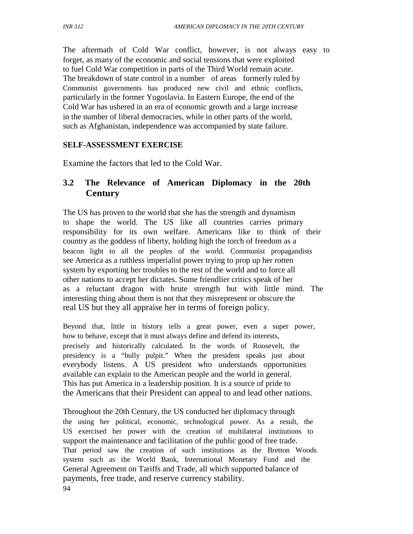The aftermath of Cold War conflict, however, is not always easy to forget, as many of the economic and social tensions that were exploited to fuel Cold War competition in parts of the Third World remain acute. The breakdown of state control in a number of areas formerly ruled by Communist governments has produced new civil and ethnic conflicts, particularly in the former Yugoslavia. In Eastern Europe, the end of the Cold War has ushered in an era of economic growth and a large increase in the number of liberal democracies, while in other parts of the world, such as Afghanistan, independence was accompanied by state failure.

### **SELF-ASSESSMENT EXERCISE**

Examine the factors that led to the Cold War.

## **3.2 The Relevance of American Diplomacy in the 20th Century**

The US has proven to the world that she has the strength and dynamism to shape the world. The US like all countries carries primary responsibility for its own welfare. Americans like to think of their country as the goddess of liberty, holding high the torch of freedom as a beacon light to all the peoples of the world. Communist propagandists see America as a ruthless imperialist power trying to prop up her rotten system by exporting her troubles to the rest of the world and to force all other nations to accept her dictates. Some friendlier critics speak of her as a reluctant dragon with brute strength but with little mind. The interesting thing about them is not that they misrepresent or obscure the real US but they all appraise her in terms of foreign policy.

Beyond that, little in history tells a great power, even a super power, how to behave, except that it must always define and defend its interests, precisely and historically calculated. In the words of Roosevelt, the presidency is a "bully pulpit." When the president speaks just about everybody listens. A US president who understands opportunities available can explain to the American people and the world in general. This has put America in a leadership position. It is a source of pride to the Americans that their President can appeal to and lead other nations.

Throughout the 20th Century, the US conducted her diplomacy through the using her political, economic, technological power. As a result, the US exercised her power with the creation of multilateral institutions to support the maintenance and facilitation of the public good of free trade. That period saw the creation of such institutions as the Bretton Woods system such as the World Bank, International Monetary Fund and the General Agreement on Tariffs and Trade, all which supported balance of payments, free trade, and reserve currency stability. 94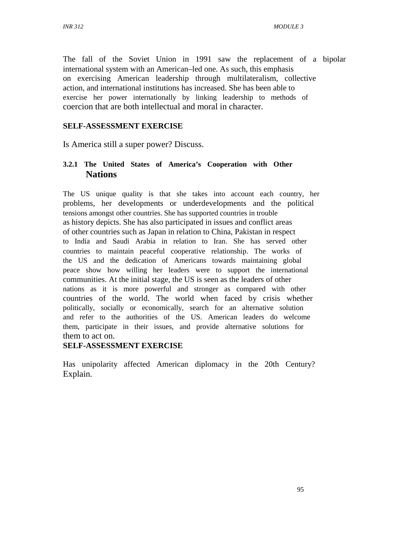The fall of the Soviet Union in 1991 saw the replacement of a bipolar international system with an American–led one. As such, this emphasis on exercising American leadership through multilateralism, collective action, and international institutions has increased. She has been able to exercise her power internationally by linking leadership to methods of coercion that are both intellectual and moral in character.

### **SELF-ASSESSMENT EXERCISE**

Is America still a super power? Discuss.

### **3.2.1 The United States of America's Cooperation with Other Nations**

The US unique quality is that she takes into account each country, her problems, her developments or underdevelopments and the political tensions amongst other countries. She has supported countries in trouble as history depicts. She has also participated in issues and conflict areas of other countries such as Japan in relation to China, Pakistan in respect to India and Saudi Arabia in relation to Iran. She has served other countries to maintain peaceful cooperative relationship. The works of the US and the dedication of Americans towards maintaining global peace show how willing her leaders were to support the international communities. At the initial stage, the US is seen as the leaders of other nations as it is more powerful and stronger as compared with other countries of the world. The world when faced by crisis whether politically, socially or economically, search for an alternative solution and refer to the authorities of the US. American leaders do welcome them, participate in their issues, and provide alternative solutions for them to act on.

### **SELF-ASSESSMENT EXERCISE**

Has unipolarity affected American diplomacy in the 20th Century? Explain.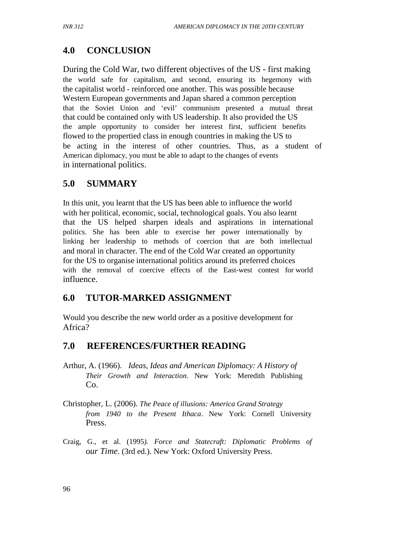# **4.0 CONCLUSION**

During the Cold War, two different objectives of the US - first making the world safe for capitalism, and second, ensuring its hegemony with the capitalist world - reinforced one another. This was possible because Western European governments and Japan shared a common perception that the Soviet Union and 'evil' communism presented a mutual threat that could be contained only with US leadership. It also provided the US the ample opportunity to consider her interest first, sufficient benefits flowed to the propertied class in enough countries in making the US to be acting in the interest of other countries. Thus, as a student of American diplomacy, you must be able to adapt to the changes of events in international politics.

# **5.0 SUMMARY**

In this unit, you learnt that the US has been able to influence the world with her political, economic, social, technological goals. You also learnt that the US helped sharpen ideals and aspirations in international politics. She has been able to exercise her power internationally by linking her leadership to methods of coercion that are both intellectual and moral in character. The end of the Cold War created an opportunity for the US to organise international politics around its preferred choices with the removal of coercive effects of the East-west contest for world influence.

# **6.0 TUTOR-MARKED ASSIGNMENT**

Would you describe the new world order as a positive development for Africa?

# **7.0 REFERENCES/FURTHER READING**

- Arthur, A. (1966). *Ideas, Ideas and American Diplomacy: A History of Their Growth and Interaction.* New York: Meredith Publishing Co.
- Christopher, L. (2006). *The Peace of illusions: America Grand Strategy from 1940 to the Present Ithaca*. New York: Cornell University Press.
- Craig, G., et al. (1995*). Force and Statecraft: Diplomatic Problems of our Time*. (3rd ed.). New York: Oxford University Press.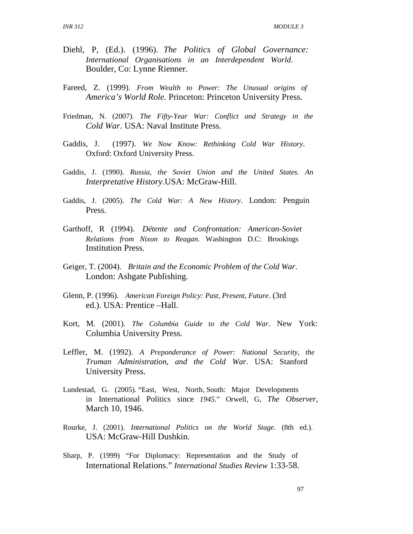- Diehl, P, (Ed.). (1996). *The Politics of Global Governance: International Organisations in an Interdependent World*. Boulder, Co: Lynne Rienner.
- Fareed, Z. (1999). *From Wealth to Power: The Unusual origins of America's World Role.* Princeton: Princeton University Press.
- Friedman, N. (2007). *The Fifty-Year War: Conflict and Strategy in the Cold War*. USA: Naval Institute Press.
- Gaddis, J. (1997). *We Now Know: Rethinking Cold War History*. Oxford: Oxford University Press.
- Gaddis, J. (1990). *Russia, the Soviet Union and the United States. An Interpretative History*.USA: McGraw-Hill.
- Gaddis, J. (2005). *The Cold War: A New History*. London: Penguin Press.
- Garthoff, R (1994). *Détente and Confrontation: American-Soviet Relations from Nixon to Reagan*. Washington D.C: Brookings Institution Press.
- Geiger, T. (2004). *Britain and the Economic Problem of the Cold War*. London: Ashgate Publishing.
- Glenn, P. (1996). *American Foreign Policy: Past, Present, Future*. (3rd ed.). USA: Prentice –Hall.
- Kort, M. (2001). *The Columbia Guide to the Cold War*. New York: Columbia University Press.
- Leffler, M. (1992). *A Preponderance of Power: National Security, the Truman Administration, and the Cold War*. USA: Stanford University Press.
- Lundestad, G. (2005). "East, West, North, South: Major Developments in International Politics since *1945*." Orwell, G, *The Observer*, March 10, 1946.
- Rourke, J. (2001). *International Politics on the World Stage*. (8th ed.). USA: McGraw-Hill Dushkin.
- Sharp, P. (1999) "For Diplomacy: Representation and the Study of International Relations." *International Studies Review* 1:33-58.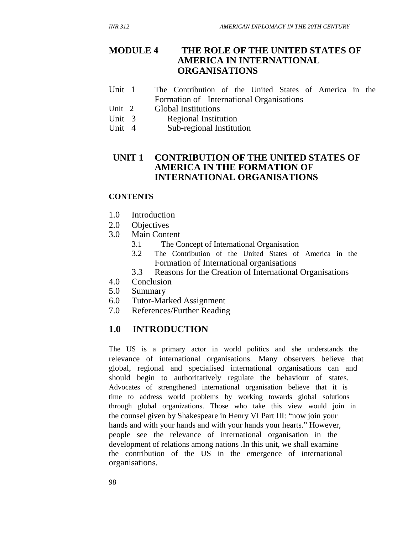#### **MODULE 4 THE ROLE OF THE UNITED STATES OF AMERICA IN INTERNATIONAL ORGANISATIONS**

- Unit 1 The Contribution of the United States of America in the Formation of International Organisations
- Unit 2 Global Institutions
- Unit 3 Regional Institution<br>Unit 4 Sub-regional Institut
- Sub-regional Institution

### **UNIT 1 CONTRIBUTION OF THE UNITED STATES OF AMERICA IN THE FORMATION OF INTERNATIONAL ORGANISATIONS**

#### **CONTENTS**

- 1.0 Introduction
- 2.0 Objectives
- 3.0 Main Content
	- 3.1 The Concept of International Organisation
	- 3.2 The Contribution of the United States of America in the Formation of International organisations
	- 3.3 Reasons for the Creation of International Organisations
- 4.0 Conclusion
- 5.0 Summary
- 6.0 Tutor-Marked Assignment
- 7.0 References/Further Reading

## **1.0 INTRODUCTION**

The US is a primary actor in world politics and she understands the relevance of international organisations. Many observers believe that global, regional and specialised international organisations can and should begin to authoritatively regulate the behaviour of states. Advocates of strengthened international organisation believe that it is time to address world problems by working towards global solutions through global organizations. Those who take this view would join in the counsel given by Shakespeare in Henry VI Part III: "now join your hands and with your hands and with your hands your hearts." However, people see the relevance of international organisation in the development of relations among nations .In this unit, we shall examine the contribution of the US in the emergence of international organisations.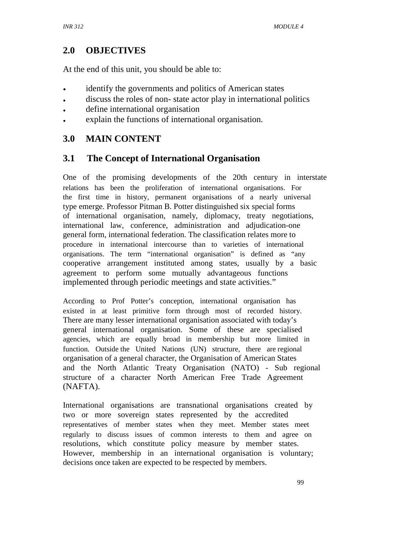## **2.0 OBJECTIVES**

At the end of this unit, you should be able to:

- identify the governments and politics of American states
- discuss the roles of non- state actor play in international politics
- define international organisation
- explain the functions of international organisation.

## **3.0 MAIN CONTENT**

## **3.1 The Concept of International Organisation**

One of the promising developments of the 20th century in interstate relations has been the proliferation of international organisations. For the first time in history, permanent organisations of a nearly universal type emerge. Professor Pitman B. Potter distinguished six special forms of international organisation, namely, diplomacy, treaty negotiations, international law, conference, administration and adjudication-one general form, international federation. The classification relates more to procedure in international intercourse than to varieties of international organisations. The term "international organisation" is defined as "any cooperative arrangement instituted among states, usually by a basic agreement to perform some mutually advantageous functions implemented through periodic meetings and state activities."

According to Prof Potter's conception, international organisation has existed in at least primitive form through most of recorded history. There are many lesser international organisation associated with today's general international organisation. Some of these are specialised agencies, which are equally broad in membership but more limited in function. Outside the United Nations (UN) structure, there are regional organisation of a general character, the Organisation of American States and the North Atlantic Treaty Organisation (NATO) - Sub regional structure of a character North American Free Trade Agreement (NAFTA).

International organisations are transnational organisations created by two or more sovereign states represented by the accredited representatives of member states when they meet. Member states meet regularly to discuss issues of common interests to them and agree on resolutions, which constitute policy measure by member states. However, membership in an international organisation is voluntary; decisions once taken are expected to be respected by members.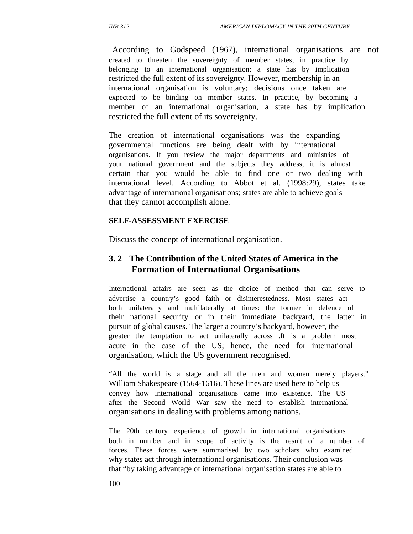According to Godspeed (1967), international organisations are not created to threaten the sovereignty of member states, in practice by belonging to an international organisation; a state has by implication restricted the full extent of its sovereignty. However, membership in an international organisation is voluntary; decisions once taken are expected to be binding on member states. In practice, by becoming a member of an international organisation, a state has by implication restricted the full extent of its sovereignty.

The creation of international organisations was the expanding governmental functions are being dealt with by international organisations. If you review the major departments and ministries of your national government and the subjects they address, it is almost certain that you would be able to find one or two dealing with international level. According to Abbot et al. (1998:29), states take advantage of international organisations; states are able to achieve goals that they cannot accomplish alone.

#### **SELF-ASSESSMENT EXERCISE**

Discuss the concept of international organisation.

### **3. 2 The Contribution of the United States of America in the Formation of International Organisations**

International affairs are seen as the choice of method that can serve to advertise a country's good faith or disinterestedness. Most states act both unilaterally and multilaterally at times: the former in defence of their national security or in their immediate backyard, the latter in pursuit of global causes. The larger a country's backyard, however, the greater the temptation to act unilaterally across .It is a problem most acute in the case of the US; hence, the need for international organisation, which the US government recognised.

"All the world is a stage and all the men and women merely players." William Shakespeare (1564-1616). These lines are used here to help us convey how international organisations came into existence. The US after the Second World War saw the need to establish international organisations in dealing with problems among nations.

The 20th century experience of growth in international organisations both in number and in scope of activity is the result of a number of forces. These forces were summarised by two scholars who examined why states act through international organisations. Their conclusion was that "by taking advantage of international organisation states are able to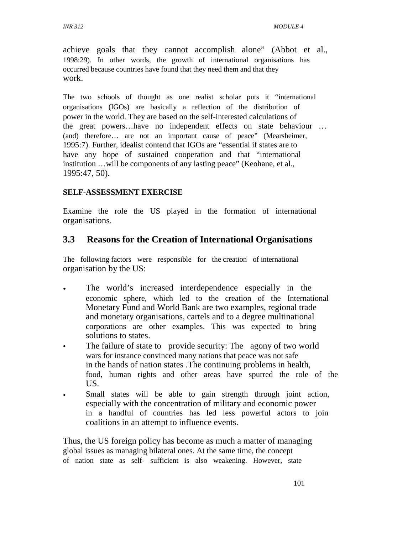achieve goals that they cannot accomplish alone" (Abbot et al., 1998:29). In other words, the growth of international organisations has occurred because countries have found that they need them and that they work.

The two schools of thought as one realist scholar puts it "international organisations (IGOs) are basically a reflection of the distribution of power in the world. They are based on the self-interested calculations of the great powers…have no independent effects on state behaviour … (and) therefore… are not an important cause of peace" (Mearsheimer, 1995:7). Further, idealist contend that IGOs are "essential if states are to have any hope of sustained cooperation and that "international" institution …will be components of any lasting peace" (Keohane, et al., 1995:47, 50).

#### **SELF-ASSESSMENT EXERCISE**

Examine the role the US played in the formation of international organisations.

### **3.3 Reasons for the Creation of International Organisations**

The following factors were responsible for the creation of international organisation by the US:

- The world's increased interdependence especially in the economic sphere, which led to the creation of the International Monetary Fund and World Bank are two examples, regional trade and monetary organisations, cartels and to a degree multinational corporations are other examples. This was expected to bring solutions to states.
- The failure of state to provide security: The agony of two world wars for instance convinced many nations that peace was not safe in the hands of nation states .The continuing problems in health, food, human rights and other areas have spurred the role of the US.
- Small states will be able to gain strength through joint action, especially with the concentration of military and economic power in a handful of countries has led less powerful actors to join coalitions in an attempt to influence events.

Thus, the US foreign policy has become as much a matter of managing global issues as managing bilateral ones. At the same time, the concept of nation state as self- sufficient is also weakening. However, state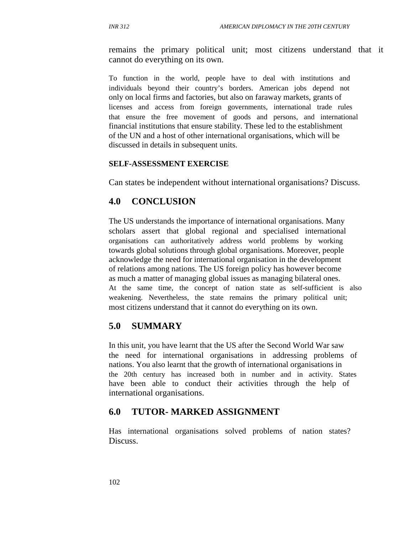remains the primary political unit; most citizens understand that it cannot do everything on its own.

To function in the world, people have to deal with institutions and individuals beyond their country's borders. American jobs depend not only on local firms and factories, but also on faraway markets, grants of licenses and access from foreign governments, international trade rules that ensure the free movement of goods and persons, and international financial institutions that ensure stability. These led to the establishment of the UN and a host of other international organisations, which will be discussed in details in subsequent units.

#### **SELF-ASSESSMENT EXERCISE**

Can states be independent without international organisations? Discuss.

#### **4.0 CONCLUSION**

The US understands the importance of international organisations. Many scholars assert that global regional and specialised international organisations can authoritatively address world problems by working towards global solutions through global organisations. Moreover, people acknowledge the need for international organisation in the development of relations among nations. The US foreign policy has however become as much a matter of managing global issues as managing bilateral ones. At the same time, the concept of nation state as self-sufficient is also weakening. Nevertheless, the state remains the primary political unit; most citizens understand that it cannot do everything on its own.

#### **5.0 SUMMARY**

In this unit, you have learnt that the US after the Second World War saw the need for international organisations in addressing problems of nations. You also learnt that the growth of international organisations in the 20th century has increased both in number and in activity. States have been able to conduct their activities through the help of international organisations.

#### **6.0 TUTOR- MARKED ASSIGNMENT**

Has international organisations solved problems of nation states? Discuss.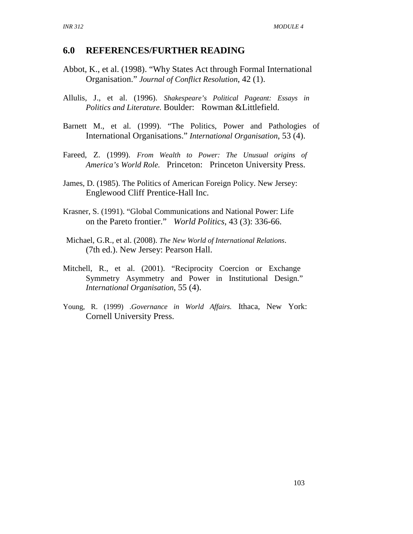#### **6.0 REFERENCES/FURTHER READING**

- Abbot, K., et al. (1998). "Why States Act through Formal International Organisation." *Journal of Conflict Resolution*, 42 (1).
- Allulis, J., et al. (1996). *Shakespeare's Political Pageant: Essays in Politics and Literature.* Boulder: Rowman &Littlefield.
- Barnett M., et al. (1999). "The Politics, Power and Pathologies of International Organisations." *International Organisation*, 53 (4).
- Fareed, Z. (1999). *From Wealth to Power: The Unusual origins of America's World Role.* Princeton: Princeton University Press.
- James, D. (1985). The Politics of American Foreign Policy. New Jersey: Englewood Cliff Prentice-Hall Inc.
- Krasner, S. (1991). "Global Communications and National Power: Life on the Pareto frontier." *World Politics*, 43 (3): 336-66.
- Michael, G.R., et al. (2008). *The New World of International Relations*. (7th ed.). New Jersey: Pearson Hall.
- Mitchell, R., et al. (2001). "Reciprocity Coercion or Exchange Symmetry Asymmetry and Power in Institutional Design." *International Organisation*, 55 (4).
- Young, R. (1999) .*Governance in World Affairs.* Ithaca, New York: Cornell University Press.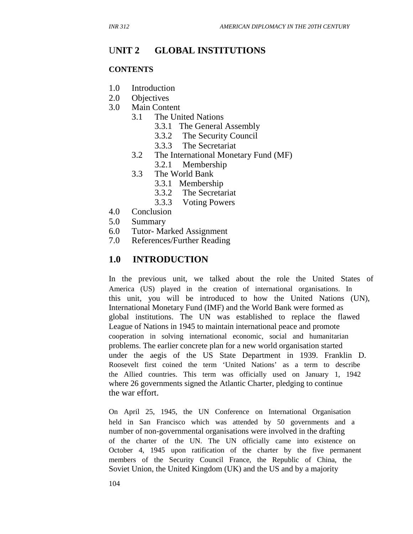## U**NIT 2 GLOBAL INSTITUTIONS**

#### **CONTENTS**

- 1.0 Introduction
- 2.0 Objectives
- 3.0 Main Content
	- 3.1 The United Nations
		- 3.3.1 The General Assembly
		- 3.3.2 The Security Council
		- 3.3.3 The Secretariat
		- 3.2 The International Monetary Fund (MF) 3.2.1 Membership
		- 3.3 The World Bank
			- - 3.3.1 Membership
					- 3.3.2 The Secretariat
					- 3.3.3 Voting Powers
- 4.0 Conclusion
- 5.0 Summary
- 6.0 Tutor- Marked Assignment
- 7.0 References/Further Reading

### **1.0 INTRODUCTION**

In the previous unit, we talked about the role the United States of America (US) played in the creation of international organisations. In this unit, you will be introduced to how the United Nations (UN), International Monetary Fund (IMF) and the World Bank were formed as global institutions. The UN was established to replace the flawed League of Nations in 1945 to maintain international peace and promote cooperation in solving international economic, social and humanitarian problems. The earlier concrete plan for a new world organisation started under the aegis of the US State Department in 1939. Franklin D. Roosevelt first coined the term 'United Nations' as a term to describe the Allied countries. This term was officially used on January 1, 1942 where 26 governments signed the Atlantic Charter, pledging to continue the war effort.

On April 25, 1945, the UN Conference on International Organisation held in San Francisco which was attended by 50 governments and a number of non-governmental organisations were involved in the drafting of the charter of the UN. The UN officially came into existence on October 4, 1945 upon ratification of the charter by the five permanent members of the Security Council France, the Republic of China, the Soviet Union, the United Kingdom (UK) and the US and by a majority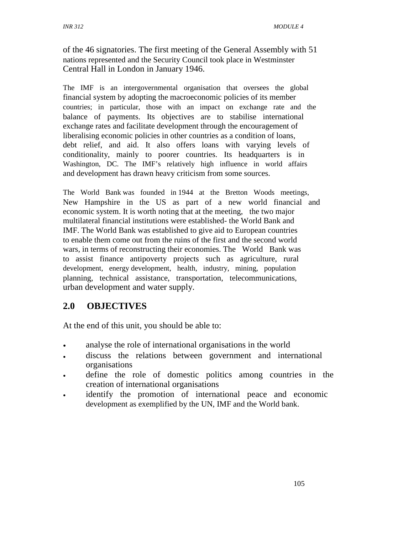of the 46 signatories. The first meeting of the General Assembly with 51 nations represented and the Security Council took place in Westminster Central Hall in London in January 1946.

The IMF is an intergovernmental organisation that oversees the global financial system by adopting the macroeconomic policies of its member countries; in particular, those with an impact on exchange rate and the balance of payments. Its objectives are to stabilise international exchange rates and facilitate development through the encouragement of liberalising economic policies in other countries as a condition of loans, debt relief, and aid. It also offers loans with varying levels of conditionality, mainly to poorer countries. Its headquarters is in Washington, DC. The IMF's relatively high influence in world affairs and development has drawn heavy criticism from some sources.

The World Bank was founded in 1944 at the Bretton Woods meetings, New Hampshire in the US as part of a new world financial and economic system. It is worth noting that at the meeting, the two major multilateral financial institutions were established- the World Bank and IMF. The World Bank was established to give aid to European countries to enable them come out from the ruins of the first and the second world wars, in terms of reconstructing their economies. The World Bank was to assist finance antipoverty projects such as agriculture, rural development, energy development, health, industry, mining, population planning, technical assistance, transportation, telecommunications, urban development and water supply.

## **2.0 OBJECTIVES**

At the end of this unit, you should be able to:

- analyse the role of international organisations in the world
- discuss the relations between government and international organisations
- define the role of domestic politics among countries in the creation of international organisations
- identify the promotion of international peace and economic development as exemplified by the UN, IMF and the World bank.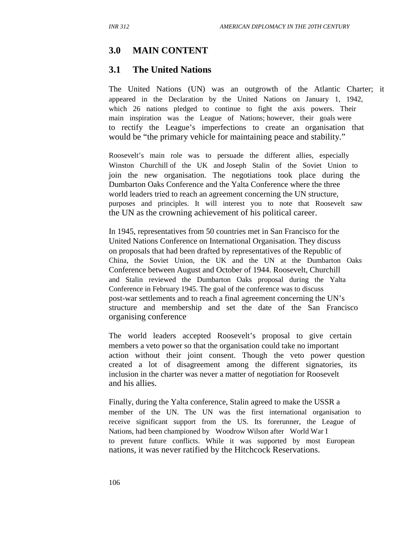## **3.0 MAIN CONTENT**

### **3.1 The United Nations**

The United Nations (UN) was an outgrowth of the Atlantic Charter; it appeared in the Declaration by the United Nations on January 1, 1942, which 26 nations pledged to continue to fight the axis powers. Their main inspiration was the League of Nations; however, their goals were to rectify the League's imperfections to create an organisation that would be "the primary vehicle for maintaining peace and stability."

Roosevelt's main role was to persuade the different allies, especially Winston Churchill of the UK and Joseph Stalin of the Soviet Union to join the new organisation. The negotiations took place during the Dumbarton Oaks Conference and the Yalta Conference where the three world leaders tried to reach an agreement concerning the UN structure, purposes and principles. It will interest you to note that Roosevelt saw the UN as the crowning achievement of his political career.

In 1945, representatives from 50 countries met in San Francisco for the United Nations Conference on International Organisation. They discuss on proposals that had been drafted by representatives of the Republic of China, the Soviet Union, the UK and the UN at the Dumbarton Oaks Conference between August and October of 1944. Roosevelt, Churchill and Stalin reviewed the Dumbarton Oaks proposal during the Yalta Conference in February 1945. The goal of the conference was to discuss post-war settlements and to reach a final agreement concerning the UN's structure and membership and set the date of the San Francisco organising conference.

The world leaders accepted Roosevelt's proposal to give certain members a veto power so that the organisation could take no important action without their joint consent. Though the veto power question created a lot of disagreement among the different signatories, its inclusion in the charter was never a matter of negotiation for Roosevelt and his allies.

Finally, during the Yalta conference, Stalin agreed to make the USSR a member of the UN. The UN was the first international organisation to receive significant support from the US. Its forerunner, the League of Nations, had been championed by Woodrow Wilson after World War I to prevent future conflicts. While it was supported by most European nations, it was never ratified by the Hitchcock Reservations.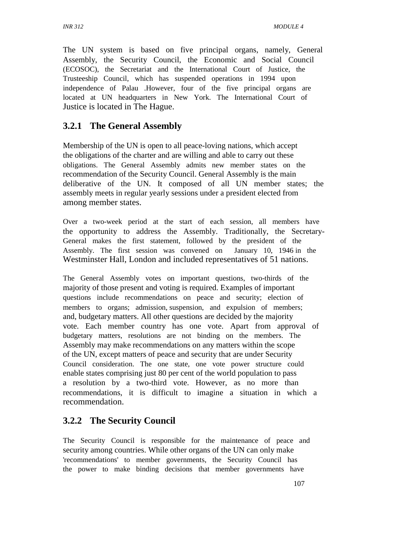The UN system is based on five principal organs, namely, General Assembly, the Security Council, the Economic and Social Council (ECOSOC), the Secretariat and the International Court of Justice, the Trusteeship Council, which has suspended operations in 1994 upon independence of Palau .However, four of the five principal organs are located at UN headquarters in New York. The International Court of Justice is located in The Hague.

## **3.2.1 The General Assembly**

Membership of the UN is open to all peace-loving nations, which accept the obligations of the charter and are willing and able to carry out these obligations. The General Assembly admits new member states on the recommendation of the Security Council. General Assembly is the main deliberative of the UN. It composed of all UN member states; the assembly meets in regular yearly sessions under a president elected from among member states.

Over a two-week period at the start of each session, all members have the opportunity to address the Assembly. Traditionally, the Secretary-General makes the first statement, followed by the president of the Assembly. The first session was convened on January 10, 1946 in the Westminster Hall, London and included representatives of 51 nations.

The General Assembly votes on important questions, two-thirds of the majority of those present and voting is required. Examples of important questions include recommendations on peace and security; election of members to organs; admission, suspension, and expulsion of members; and, budgetary matters. All other questions are decided by the majority vote. Each member country has one vote. Apart from approval of budgetary matters, resolutions are not binding on the members. The Assembly may make recommendations on any matters within the scope of the UN, except matters of peace and security that are under Security Council consideration. The one state, one vote power structure could enable states comprising just 80 per cent of the world population to pass a resolution by a two-third vote. However, as no more than recommendations, it is difficult to imagine a situation in which a recommendation.

## **3.2.2 The Security Council**

The Security Council is responsible for the maintenance of peace and security among countries. While other organs of the UN can only make 'recommendations' to member governments, the Security Council has the power to make binding decisions that member governments have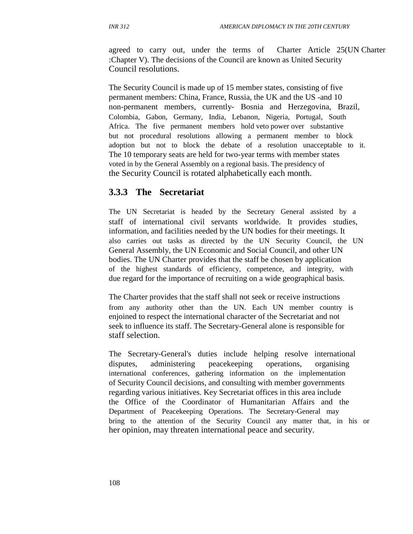agreed to carry out, under the terms of Charter Article 25(UN Charter :Chapter V). The decisions of the Council are known as United Security Council resolutions.

The Security Council is made up of 15 member states, consisting of five permanent members: China, France, Russia, the UK and the US -and 10 non-permanent members, currently- Bosnia and Herzegovina, Brazil, Colombia, Gabon, Germany, India, Lebanon, Nigeria, Portugal, South Africa. The five permanent members hold veto power over substantive but not procedural resolutions allowing a permanent member to block adoption but not to block the debate of a resolution unacceptable to it. The 10 temporary seats are held for two-year terms with member states voted in by the General Assembly on a regional basis. The presidency of the Security Council is rotated alphabetically each month.

### **3.3.3 The Secretariat**

The UN Secretariat is headed by the Secretary General assisted by a staff of international civil servants worldwide. It provides studies, information, and facilities needed by the UN bodies for their meetings. It also carries out tasks as directed by the UN Security Council, the UN General Assembly, the UN Economic and Social Council, and other UN bodies. The UN Charter provides that the staff be chosen by application of the highest standards of efficiency, competence, and integrity, with due regard for the importance of recruiting on a wide geographical basis.

The Charter provides that the staff shall not seek or receive instructions from any authority other than the UN. Each UN member country is enjoined to respect the international character of the Secretariat and not seek to influence its staff. The Secretary-General alone is responsible for staff selection.

The Secretary-General's duties include helping resolve international disputes, administering peacekeeping operations, organising international conferences, gathering information on the implementation of Security Council decisions, and consulting with member governments regarding various initiatives. Key Secretariat offices in this area include the Office of the Coordinator of Humanitarian Affairs and the Department of Peacekeeping Operations. The Secretary-General may bring to the attention of the Security Council any matter that, in his or her opinion, may threaten international peace and security.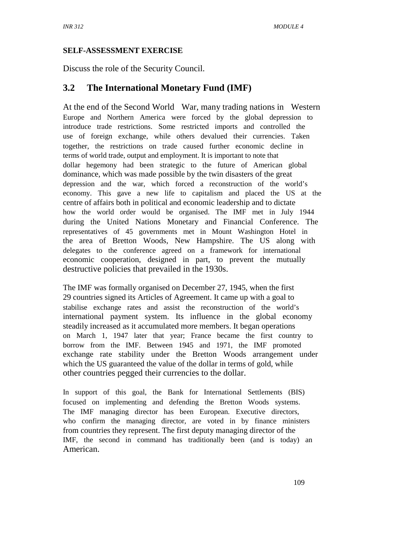#### **SELF-ASSESSMENT EXERCISE**

Discuss the role of the Security Council.

## **3.2 The International Monetary Fund (IMF)**

At the end of the Second World War, many trading nations in Western Europe and Northern America were forced by the global depression to introduce trade restrictions. Some restricted imports and controlled the use of foreign exchange, while others devalued their currencies. Taken together, the restrictions on trade caused further economic decline in terms of world trade, output and employment. It is important to note that dollar hegemony had been strategic to the future of American global dominance, which was made possible by the twin disasters of the great depression and the war, which forced a reconstruction of the world's economy. This gave a new life to capitalism and placed the US at the centre of affairs both in political and economic leadership and to dictate how the world order would be organised. The IMF met in July 1944 during the United Nations Monetary and Financial Conference. The representatives of 45 governments met in Mount Washington Hotel in the area of Bretton Woods, New Hampshire. The US along with delegates to the conference agreed on a framework for international economic cooperation, designed in part, to prevent the mutually destructive policies that prevailed in the 1930s.

The IMF was formally organised on December 27, 1945, when the first 29 countries signed its Articles of Agreement. It came up with a goal to stabilise exchange rates and assist the reconstruction of the world's international payment system. Its influence in the global economy steadily increased as it accumulated more members. It began operations on March 1, 1947 later that year; France became the first country to borrow from the IMF. Between 1945 and 1971, the IMF promoted exchange rate stability under the Bretton Woods arrangement under which the US guaranteed the value of the dollar in terms of gold, while other countries pegged their currencies to the dollar.

In support of this goal, the Bank for International Settlements (BIS) focused on implementing and defending the Bretton Woods systems. The IMF managing director has been European. Executive directors, who confirm the managing director, are voted in by finance ministers from countries they represent. The first deputy managing director of the IMF, the second in command has traditionally been (and is today) an American.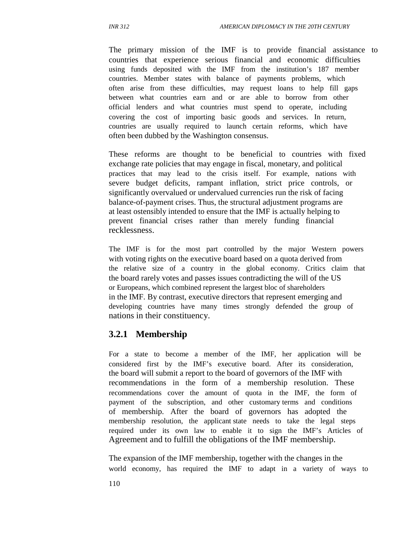The primary mission of the IMF is to provide financial assistance to countries that experience serious financial and economic difficulties using funds deposited with the IMF from the institution's 187 member countries. Member states with balance of payments problems, which often arise from these difficulties, may request loans to help fill gaps between what countries earn and or are able to borrow from other official lenders and what countries must spend to operate, including covering the cost of importing basic goods and services. In return, countries are usually required to launch certain reforms, which have often been dubbed by the Washington consensus.

These reforms are thought to be beneficial to countries with fixed exchange rate policies that may engage in fiscal, monetary, and political practices that may lead to the crisis itself. For example, nations with severe budget deficits, rampant inflation, strict price controls, or significantly overvalued or undervalued currencies run the risk of facing balance-of-payment crises. Thus, the structural adjustment programs are at least ostensibly intended to ensure that the IMF is actually helping to prevent financial crises rather than merely funding financial recklessness.

The IMF is for the most part controlled by the major Western powers with voting rights on the executive board based on a quota derived from the relative size of a country in the global economy. Critics claim that the board rarely votes and passes issues contradicting the will of the US or Europeans, which combined represent the largest bloc of shareholders in the IMF. By contrast, executive directors that represent emerging and developing countries have many times strongly defended the group of nations in their constituency.

### **3.2.1 Membership**

For a state to become a member of the IMF, her application will be considered first by the IMF's executive board. After its consideration, the board will submit a report to the board of governors of the IMF with recommendations in the form of a membership resolution. These recommendations cover the amount of quota in the IMF, the form of payment of the subscription, and other customary terms and conditions of membership. After the board of governors has adopted the membership resolution, the applicant state needs to take the legal steps required under its own law to enable it to sign the IMF's Articles of Agreement and to fulfill the obligations of the IMF membership.

The expansion of the IMF membership, together with the changes in the world economy, has required the IMF to adapt in a variety of ways to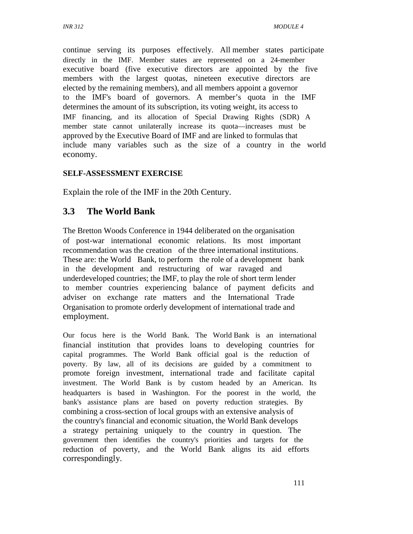continue serving its purposes effectively. All member states participate directly in the IMF. Member states are represented on a 24-member executive board (five executive directors are appointed by the five members with the largest quotas, nineteen executive directors are elected by the remaining members), and all members appoint a governor to the IMF's board of governors. A member's quota in the IMF determines the amount of its subscription, its voting weight, its access to IMF financing, and its allocation of Special Drawing Rights (SDR) A member state cannot unilaterally increase its quota—increases must be approved by the Executive Board of IMF and are linked to formulas that include many variables such as the size of a country in the world economy.

#### **SELF-ASSESSMENT EXERCISE**

Explain the role of the IMF in the 20th Century.

### **3.3 The World Bank**

The Bretton Woods Conference in 1944 deliberated on the organisation of post-war international economic relations. Its most important recommendation was the creation of the three international institutions. These are: the World Bank, to perform the role of a development bank in the development and restructuring of war ravaged and underdeveloped countries; the IMF, to play the role of short term lender to member countries experiencing balance of payment deficits and adviser on exchange rate matters and the International Trade Organisation to promote orderly development of international trade and employment.

Our focus here is the World Bank. The World Bank is an international financial institution that provides loans to developing countries for capital programmes. The World Bank official goal is the reduction of poverty. By law, all of its decisions are guided by a commitment to promote foreign investment, international trade and facilitate capital investment. The World Bank is by custom headed by an American. Its headquarters is based in Washington. For the poorest in the world, the bank's assistance plans are based on poverty reduction strategies. By combining a cross-section of local groups with an extensive analysis of the country's financial and economic situation, the World Bank develops a strategy pertaining uniquely to the country in question. The government then identifies the country's priorities and targets for the reduction of poverty, and the World Bank aligns its aid efforts correspondingly.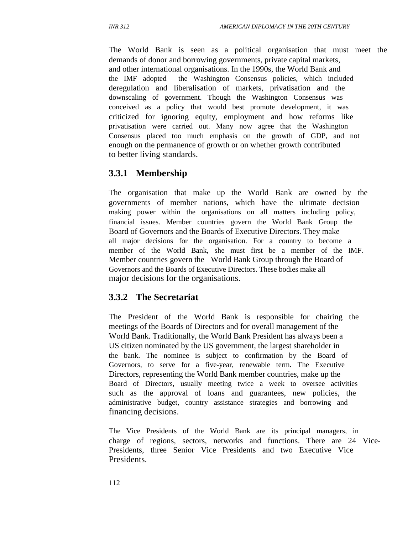The World Bank is seen as a political organisation that must meet the demands of donor and borrowing governments, private capital markets, and other international organisations. In the 1990s, the World Bank and the IMF adopted the Washington Consensus policies, which included deregulation and liberalisation of markets, privatisation and the downscaling of government. Though the Washington Consensus was conceived as a policy that would best promote development, it was criticized for ignoring equity, employment and how reforms like privatisation were carried out. Many now agree that the Washington Consensus placed too much emphasis on the growth of GDP, and not enough on the permanence of growth or on whether growth contributed to better living standards.

## **3.3.1 Membership**

The organisation that make up the World Bank are owned by the governments of member nations, which have the ultimate decision making power within the organisations on all matters including policy, financial issues. Member countries govern the World Bank Group the Board of Governors and the Boards of Executive Directors. They make all major decisions for the organisation. For a country to become a member of the World Bank, she must first be a member of the IMF. Member countries govern the World Bank Group through the Board of Governors and the Boards of Executive Directors. These bodies make all major decisions for the organisations.

#### **3.3.2 The Secretariat**

The President of the World Bank is responsible for chairing the meetings of the Boards of Directors and for overall management of the World Bank. Traditionally, the World Bank President has always been a US citizen nominated by the US government, the largest shareholder in the bank. The nominee is subject to confirmation by the Board of Governors, to serve for a five-year, renewable term. The Executive Directors, representing the World Bank member countries, make up the Board of Directors, usually meeting twice a week to oversee activities such as the approval of loans and guarantees, new policies, the administrative budget, country assistance strategies and borrowing and financing decisions.

The Vice Presidents of the World Bank are its principal managers, in charge of regions, sectors, networks and functions. There are 24 Vice-Presidents, three Senior Vice Presidents and two Executive Vice Presidents.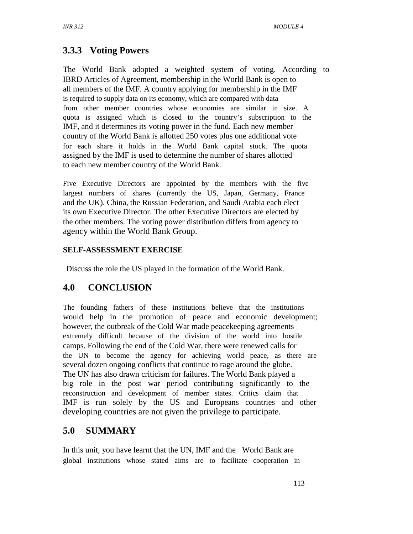# **3.3.3 Voting Powers**

The World Bank adopted a weighted system of voting. According to IBRD Articles of Agreement, membership in the World Bank is open to all members of the IMF. A country applying for membership in the IMF is required to supply data on its economy, which are compared with data from other member countries whose economies are similar in size. A quota is assigned which is closed to the country's subscription to the IMF, and it determines its voting power in the fund. Each new member country of the World Bank is allotted 250 votes plus one additional vote for each share it holds in the World Bank capital stock. The quota assigned by the IMF is used to determine the number of shares allotted to each new member country of the World Bank.

Five Executive Directors are appointed by the members with the five largest numbers of shares (currently the US, Japan, Germany, France and the UK). China, the Russian Federation, and Saudi Arabia each elect its own Executive Director. The other Executive Directors are elected by the other members. The voting power distribution differs from agency to agency within the World Bank Group.

#### **SELF-ASSESSMENT EXERCISE**

Discuss the role the US played in the formation of the World Bank.

## **4.0 CONCLUSION**

The founding fathers of these institutions believe that the institutions would help in the promotion of peace and economic development; however, the outbreak of the Cold War made peacekeeping agreements extremely difficult because of the division of the world into hostile camps. Following the end of the Cold War, there were renewed calls for the UN to become the agency for achieving world peace, as there are several dozen ongoing conflicts that continue to rage around the globe. The UN has also drawn criticism for failures. The World Bank played a big role in the post war period contributing significantly to the reconstruction and development of member states. Critics claim that IMF is run solely by the US and Europeans countries and other developing countries are not given the privilege to participate.

## **5.0 SUMMARY**

In this unit, you have learnt that the UN, IMF and the World Bank are global institutions whose stated aims are to facilitate cooperation in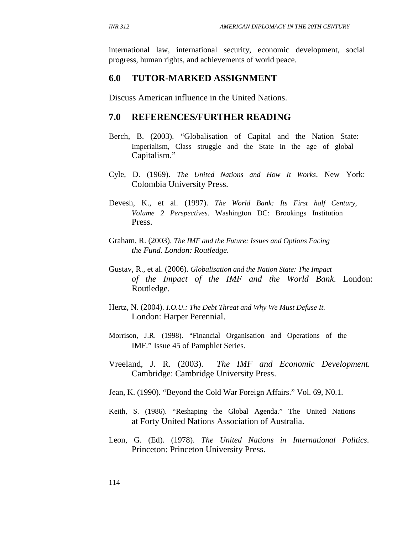international law, international security, economic development, social progress, human rights, and achievements of world peace.

#### **6.0 TUTOR-MARKED ASSIGNMENT**

Discuss American influence in the United Nations.

#### **7.0 REFERENCES/FURTHER READING**

- Berch, B. (2003). "Globalisation of Capital and the Nation State: Imperialism, Class struggle and the State in the age of global Capitalism."
- Cyle, D. (1969). *The United Nations and How It Works*. New York: Colombia University Press.
- Devesh, K., et al. (1997). *The World Bank: Its First half Century, Volume 2 Perspectives*. Washington DC: Brookings Institution Press.
- Graham, R. (2003). *The IMF and the Future: Issues and Options Facing the Fund. London: Routledge.*
- Gustav, R., et al. (2006). *Globalisation and the Nation State: The Impact of the Impact of the IMF and the World Bank*. London: Routledge.
- Hertz, N. (2004). *I.O.U.: The Debt Threat and Why We Must Defuse It.*  London: Harper Perennial.
- Morrison, J.R. (1998). "Financial Organisation and Operations of the IMF." Issue 45 of Pamphlet Series.
- Vreeland, J. R. (2003). *The IMF and Economic Development.* Cambridge: Cambridge University Press.
- Jean, K. (1990). "Beyond the Cold War Foreign Affairs." Vol. 69, N0.1.
- Keith, S. (1986). "Reshaping the Global Agenda." The United Nations at Forty United Nations Association of Australia.
- Leon, G. (Ed). (1978). *The United Nations in International Politics*. Princeton: Princeton University Press.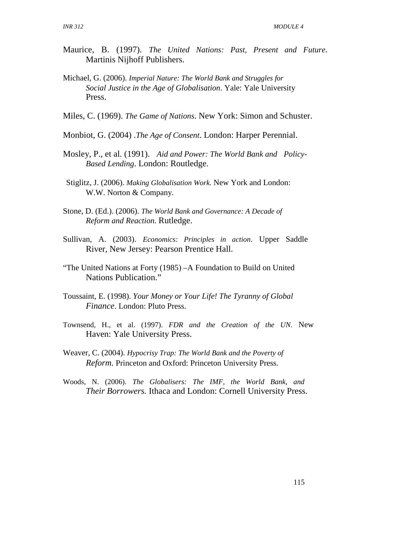- Maurice, B. (1997). *The United Nations: Past, Present and Future*. Martinis Nijhoff Publishers.
- Michael, G. (2006). *Imperial Nature: The World Bank and Struggles for Social Justice in the Age of Globalisation*. Yale: Yale University Press.
- Miles, C. (1969). *The Game of Nations*. New York: Simon and Schuster.
- Monbiot, G. (2004) .*The Age of Consent*. London: Harper Perennial.
- Mosley, P., et al. (1991). *Aid and Power: The World Bank and Policy-Based Lending*. London: Routledge.
- Stiglitz, J. (2006). *Making Globalisation Work.* New York and London: W.W. Norton & Company.
- Stone, D. (Ed.). (2006). *The World Bank and Governance: A Decade of Reform and Reaction.* Rutledge.
- Sullivan, A. (2003). *Economics: Principles in action*. Upper Saddle River, New Jersey: Pearson Prentice Hall.
- "The United Nations at Forty (1985) –A Foundation to Build on United Nations Publication."
- Toussaint, E. (1998). *Your Money or Your Life! The Tyranny of Global Finance*. London: Pluto Press.
- Townsend, H., et al. (1997). *FDR and the Creation of the UN.* New Haven: Yale University Press.
- Weaver, C. (2004). *Hypocrisy Trap: The World Bank and the Poverty of Reform.* Princeton and Oxford: Princeton University Press.
- Woods, N. (2006). *The Globalisers: The IMF, the World Bank, and Their Borrowers.* Ithaca and London: Cornell University Press.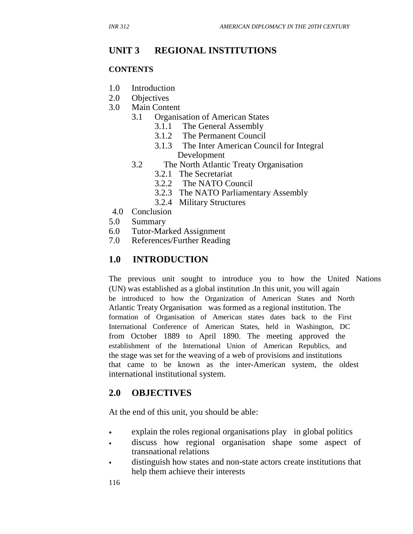#### **UNIT 3 REGIONAL INSTITUTIONS**

#### **CONTENTS**

- 1.0 Introduction
- 2.0 Objectives
- 3.0 Main Content
	- 3.1 Organisation of American States
		- 3.1.1 The General Assembly
		- 3.1.2 The Permanent Council
		- 3.1.3 The Inter American Council for Integral Development
	- 3.2 The North Atlantic Treaty Organisation
		- 3.2.1 The Secretariat
		- 3.2.2 The NATO Council
		- 3.2.3 The NATO Parliamentary Assembly
		- 3.2.4 Military Structures
- 4.0 Conclusion
- 5.0 Summary
- 6.0 Tutor-Marked Assignment
- 7.0 References/Further Reading

## **1.0 INTRODUCTION**

The previous unit sought to introduce you to how the United Nations (UN) was established as a global institution .In this unit, you will again be introduced to how the Organization of American States and North Atlantic Treaty Organisation was formed as a regional institution. The formation of Organisation of American states dates back to the First International Conference of American States, held in Washington, DC from October 1889 to April 1890. The meeting approved the establishment of the International Union of American Republics, and the stage was set for the weaving of a web of provisions and institutions that came to be known as the inter-American system, the oldest international institutional system.

### **2.0 OBJECTIVES**

At the end of this unit, you should be able:

- explain the roles regional organisations play in global politics
- discuss how regional organisation shape some aspect of transnational relations
- distinguish how states and non-state actors create institutions that help them achieve their interests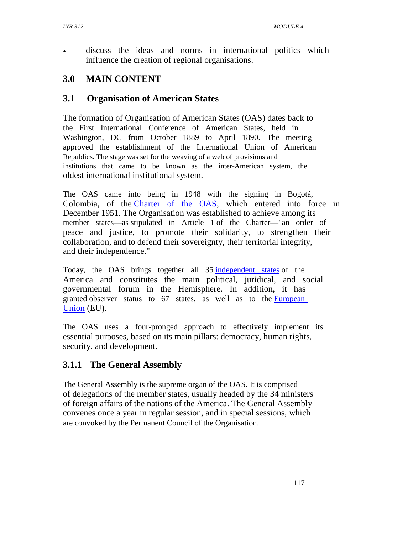discuss the ideas and norms in international politics which influence the creation of regional organisations.

# **3.0 MAIN CONTENT**

## **3.1 Organisation of American States**

The formation of Organisation of American States (OAS) dates back to the First International Conference of American States, held in Washington, DC from October 1889 to April 1890. The meeting approved the establishment of the International Union of American Republics. The stage was set for the weaving of a web of provisions and institutions that came to be known as the inter-American system, the oldest international institutional system.

The OAS came into being in 1948 with the signing in Bogotá, Colombia, of the Charter of the OAS, which entered into force in December 1951. The Organisation was established to achieve among its member states—as stipulated in Article 1 of the Charter—"an order of peace and justice, to promote their solidarity, to strengthen their collaboration, and to defend their sovereignty, their territorial integrity, and their independence."

Today, the OAS brings together all 35 independent states of the America and constitutes the main political, juridical, and social governmental forum in the Hemisphere. In addition, it has granted observer status to 67 states, as well as to the **European** Union (EU).

The OAS uses a four-pronged approach to effectively implement its essential purposes, based on its main pillars: democracy, human rights, security, and development.

## **3.1.1 The General Assembly**

The General Assembly is the supreme organ of the OAS. It is comprised of delegations of the member states, usually headed by the 34 ministers of foreign affairs of the nations of the America. The General Assembly convenes once a year in regular session, and in special sessions, which are convoked by the Permanent Council of the Organisation.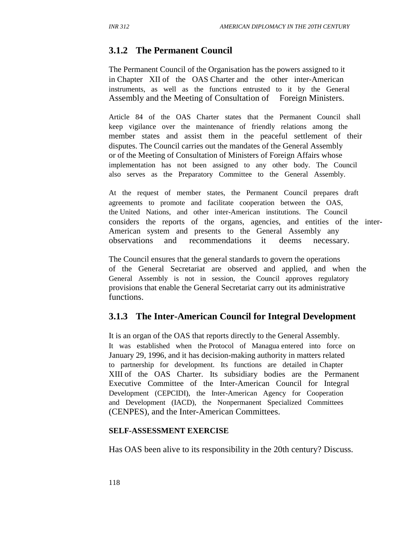### **3.1.2 The Permanent Council**

The Permanent Council of the Organisation has the powers assigned to it in Chapter XII of the OAS Charter and the other inter-American instruments, as well as the functions entrusted to it by the General Assembly and the Meeting of Consultation of Foreign Ministers.

Article 84 of the OAS Charter states that the Permanent Council shall keep vigilance over the maintenance of friendly relations among the member states and assist them in the peaceful settlement of their disputes. The Council carries out the mandates of the General Assembly or of the Meeting of Consultation of Ministers of Foreign Affairs whose implementation has not been assigned to any other body. The Council also serves as the Preparatory Committee to the General Assembly.

At the request of member states, the Permanent Council prepares draft agreements to promote and facilitate cooperation between the OAS, the United Nations, and other inter-American institutions. The Council considers the reports of the organs, agencies, and entities of the inter-American system and presents to the General Assembly any observations and recommendations it deems necessary.

The Council ensures that the general standards to govern the operations of the General Secretariat are observed and applied, and when the General Assembly is not in session, the Council approves regulatory provisions that enable the General Secretariat carry out its administrative functions.

### **3.1.3 The Inter-American Council for Integral Development**

It is an organ of the OAS that reports directly to the General Assembly. It was established when the Protocol of Managua entered into force on January 29, 1996, and it has decision-making authority in matters related to partnership for development. Its functions are detailed in Chapter XIII of the OAS Charter. Its subsidiary bodies are the Permanent Executive Committee of the Inter-American Council for Integral Development (CEPCIDI), the Inter-American Agency for Cooperation and Development (IACD), the Nonpermanent Specialized Committees (CENPES), and the Inter-American Committees.

#### **SELF-ASSESSMENT EXERCISE**

Has OAS been alive to its responsibility in the 20th century? Discuss.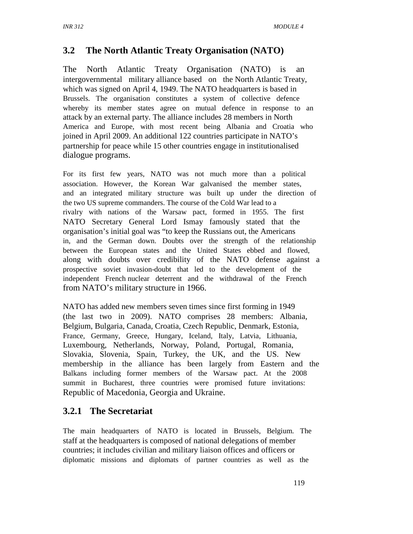## **3.2 The North Atlantic Treaty Organisation (NATO)**

The North Atlantic Treaty Organisation (NATO) is an intergovernmental military alliance based on the North Atlantic Treaty, which was signed on April 4, 1949. The NATO headquarters is based in Brussels. The organisation constitutes a system of collective defence whereby its member states agree on mutual defence in response to an attack by an external party. The alliance includes 28 members in North America and Europe, with most recent being Albania and Croatia who joined in April 2009. An additional 122 countries participate in NATO's partnership for peace while 15 other countries engage in institutionalised dialogue programs.

For its first few years, NATO was not much more than a political association. However, the Korean War galvanised the member states, and an integrated military structure was built up under the direction of the two US supreme commanders. The course of the Cold War lead to a rivalry with nations of the Warsaw pact, formed in 1955. The first NATO Secretary General Lord Ismay famously stated that the organisation's initial goal was "to keep the Russians out, the Americans in, and the German down. Doubts over the strength of the relationship between the European states and the United States ebbed and flowed, along with doubts over credibility of the NATO defense against a prospective soviet invasion-doubt that led to the development of the independent French nuclear deterrent and the withdrawal of the French from NATO's military structure in 1966.

NATO has added new members seven times since first forming in 1949 (the last two in 2009). NATO comprises 28 members: Albania, Belgium, Bulgaria, Canada, Croatia, Czech Republic, Denmark, Estonia, France, Germany, Greece, Hungary, Iceland, Italy, Latvia, Lithuania, Luxembourg, Netherlands, Norway, Poland, Portugal, Romania, Slovakia, Slovenia, Spain, Turkey, the UK, and the US. New membership in the alliance has been largely from Eastern and the Balkans including former members of the Warsaw pact. At the 2008 summit in Bucharest, three countries were promised future invitations: Republic of Macedonia, Georgia and Ukraine.

## **3.2.1 The Secretariat**

The main headquarters of NATO is located in Brussels, Belgium. The staff at the headquarters is composed of national delegations of member countries; it includes civilian and military liaison offices and officers or diplomatic missions and diplomats of partner countries as well as the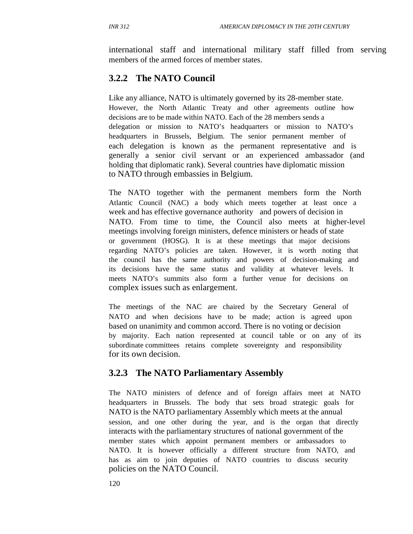international staff and international military staff filled from serving members of the armed forces of member states.

## **3.2.2 The NATO Council**

Like any alliance, NATO is ultimately governed by its 28-member state. However, the North Atlantic Treaty and other agreements outline how decisions are to be made within NATO. Each of the 28 members sends a delegation or mission to NATO's headquarters or mission to NATO's headquarters in Brussels, Belgium. The senior permanent member of each delegation is known as the permanent representative and is generally a senior civil servant or an experienced ambassador (and holding that diplomatic rank). Several countries have diplomatic mission to NATO through embassies in Belgium.

The NATO together with the permanent members form the North Atlantic Council (NAC) a body which meets together at least once a week and has effective governance authority and powers of decision in NATO. From time to time, the Council also meets at higher-level meetings involving foreign ministers, defence ministers or heads of state or government (HOSG). It is at these meetings that major decisions regarding NATO's policies are taken. However, it is worth noting that the council has the same authority and powers of decision-making and its decisions have the same status and validity at whatever levels. It meets NATO's summits also form a further venue for decisions on complex issues such as enlargement.

The meetings of the NAC are chaired by the Secretary General of NATO and when decisions have to be made; action is agreed upon based on unanimity and common accord. There is no voting or decision by majority. Each nation represented at council table or on any of its subordinate committees retains complete sovereignty and responsibility for its own decision.

### **3.2.3 The NATO Parliamentary Assembly**

The NATO ministers of defence and of foreign affairs meet at NATO headquarters in Brussels. The body that sets broad strategic goals for NATO is the NATO parliamentary Assembly which meets at the annual session, and one other during the year, and is the organ that directly interacts with the parliamentary structures of national government of the member states which appoint permanent members or ambassadors to NATO. It is however officially a different structure from NATO, and has as aim to join deputies of NATO countries to discuss security policies on the NATO Council.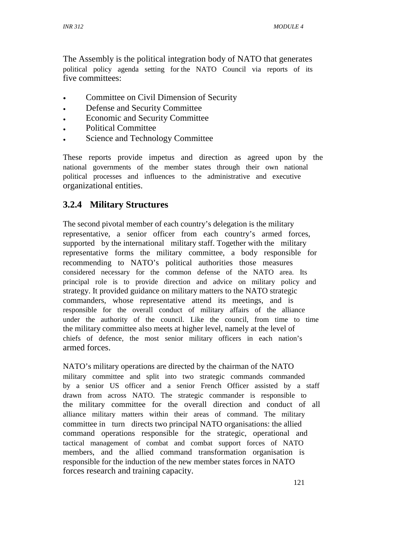The Assembly is the political integration body of NATO that generates political policy agenda setting for the NATO Council via reports of its five committees:

- Committee on Civil Dimension of Security
- Defense and Security Committee
- Economic and Security Committee
- Political Committee
- Science and Technology Committee

These reports provide impetus and direction as agreed upon by the national governments of the member states through their own national political processes and influences to the administrative and executive organizational entities.

# **3.2.4 Military Structures**

The second pivotal member of each country's delegation is the military representative, a senior officer from each country's armed forces, supported by the international military staff. Together with the military representative forms the military committee, a body responsible for recommending to NATO's political authorities those measures considered necessary for the common defense of the NATO area. Its principal role is to provide direction and advice on military policy and strategy. It provided guidance on military matters to the NATO strategic commanders, whose representative attend its meetings, and is responsible for the overall conduct of military affairs of the alliance under the authority of the council. Like the council, from time to time the military committee also meets at higher level, namely at the level of chiefs of defence, the most senior military officers in each nation's armed forces.

NATO's military operations are directed by the chairman of the NATO military committee and split into two strategic commands commanded by a senior US officer and a senior French Officer assisted by a staff drawn from across NATO. The strategic commander is responsible to the military committee for the overall direction and conduct of all alliance military matters within their areas of command. The military committee in turn directs two principal NATO organisations: the allied command operations responsible for the strategic, operational and tactical management of combat and combat support forces of NATO members, and the allied command transformation organisation is responsible for the induction of the new member states forces in NATO forces research and training capacity.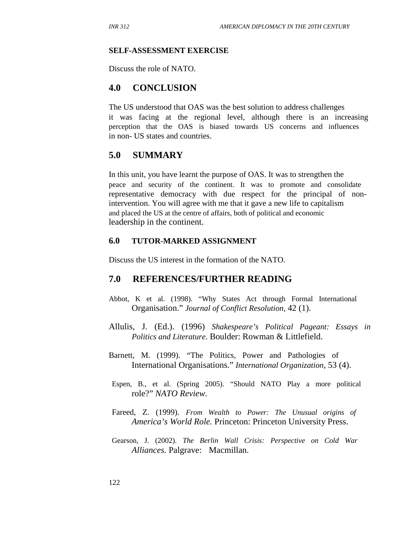#### **SELF-ASSESSMENT EXERCISE**

Discuss the role of NATO.

#### **4.0 CONCLUSION**

The US understood that OAS was the best solution to address challenges it was facing at the regional level, although there is an increasing perception that the OAS is biased towards US concerns and influences in non- US states and countries.

#### **5.0 SUMMARY**

In this unit, you have learnt the purpose of OAS. It was to strengthen the peace and security of the continent. It was to promote and consolidate representative democracy with due respect for the principal of nonintervention. You will agree with me that it gave a new life to capitalism and placed the US at the centre of affairs, both of political and economic leadership in the continent.

#### **6.0 TUTOR-MARKED ASSIGNMENT**

Discuss the US interest in the formation of the NATO.

#### **7.0 REFERENCES/FURTHER READING**

- Abbot, K et al. (1998). "Why States Act through Formal International Organisation." *Journal of Conflict Resolution,* 42 (1).
- Allulis, J. (Ed.). (1996) *Shakespeare's Political Pageant: Essays in Politics and Literature*. Boulder: Rowman & Littlefield.
- Barnett, M. (1999). "The Politics, Power and Pathologies of International Organisations." *International Organization*, 53 (4).
- Espen, B., et al. (Spring 2005). "Should NATO Play a more political role?" *NATO Review.*
- Fareed, Z. (1999). *From Wealth to Power: The Unusual origins of America's World Role.* Princeton: Princeton University Press.
- Gearson, J. (2002). *The Berlin Wall Crisis: Perspective on Cold War Alliances.* Palgrave: Macmillan.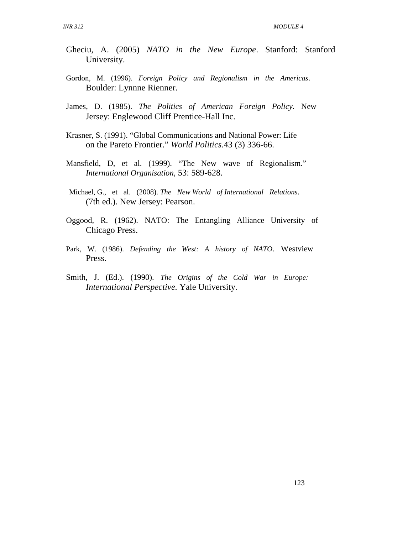- Gheciu, A. (2005) *NATO in the New Europe*. Stanford: Stanford University.
- Gordon, M. (1996). *Foreign Policy and Regionalism in the Americas*. Boulder: Lynnne Rienner.
- James, D. (1985). *The Politics of American Foreign Policy.* New Jersey: Englewood Cliff Prentice-Hall Inc.
- Krasner, S. (1991). "Global Communications and National Power: Life on the Pareto Frontier." *World Politics*.43 (3) 336-66.
- Mansfield, D, et al. (1999). "The New wave of Regionalism." *International Organisation,* 53: 589-628.
- Michael, G., et al. (2008). *The New World of International Relations*. (7th ed.). New Jersey: Pearson.
- Oggood, R. (1962). NATO: The Entangling Alliance University of Chicago Press.
- Park, W. (1986). *Defending the West: A history of NATO*. Westview Press.
- Smith, J. (Ed.). (1990). *The Origins of the Cold War in Europe: International Perspective.* Yale University.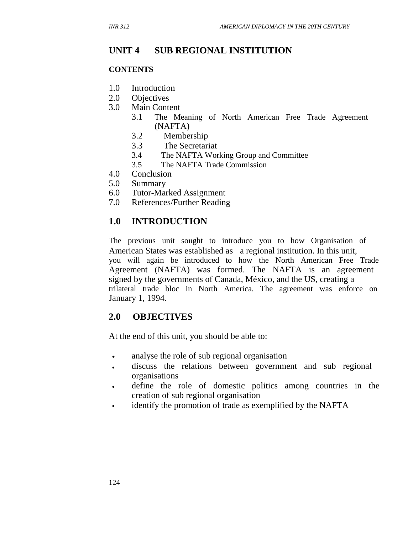## **UNIT 4 SUB REGIONAL INSTITUTION**

#### **CONTENTS**

- 1.0 Introduction
- 2.0 Objectives
- 3.0 Main Content
	- 3.1 The Meaning of North American Free Trade Agreement (NAFTA)
	- 3.2 Membership
	- 3.3 The Secretariat
	- 3.4 The NAFTA Working Group and Committee
	- 3.5 The NAFTA Trade Commission
- 4.0 Conclusion
- 5.0 Summary
- 6.0 Tutor-Marked Assignment
- 7.0 References/Further Reading

## **1.0 INTRODUCTION**

The previous unit sought to introduce you to how Organisation of American States was established as a regional institution. In this unit, you will again be introduced to how the North American Free Trade Agreement (NAFTA) was formed. The NAFTA is an agreement signed by the governments of Canada, México, and the US, creating a trilateral trade bloc in North America. The agreement was enforce on January 1, 1994.

### **2.0 OBJECTIVES**

At the end of this unit, you should be able to:

- analyse the role of sub regional organisation
- discuss the relations between government and sub regional organisations
- define the role of domestic politics among countries in the creation of sub regional organisation
- identify the promotion of trade as exemplified by the NAFTA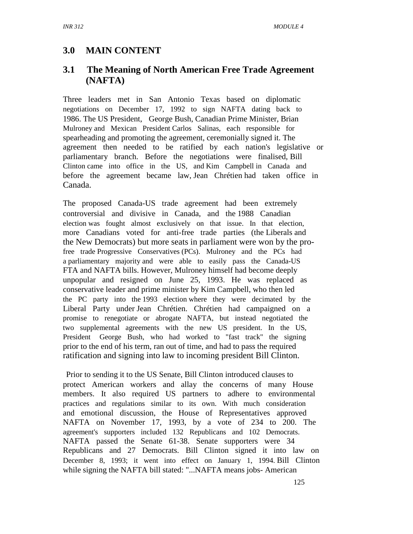## **3.0 MAIN CONTENT**

## **3.1 The Meaning of North American Free Trade Agreement (NAFTA)**

Three leaders met in San Antonio Texas based on diplomatic negotiations on December 17, 1992 to sign NAFTA dating back to 1986. The US President, George Bush, Canadian Prime Minister, Brian Mulroney and Mexican President Carlos Salinas, each responsible for spearheading and promoting the agreement, ceremonially signed it. The agreement then needed to be ratified by each nation's legislative or parliamentary branch. Before the negotiations were finalised, Bill Clinton came into office in the US, and Kim Campbell in Canada and before the agreement became law, Jean Chrétien had taken office in Canada.

The proposed Canada-US trade agreement had been extremely controversial and divisive in Canada, and the 1988 Canadian election was fought almost exclusively on that issue. In that election, more Canadians voted for anti-free trade parties (the Liberals and the New Democrats) but more seats in parliament were won by the profree trade Progressive Conservatives (PCs). Mulroney and the PCs had a parliamentary majority and were able to easily pass the Canada-US FTA and NAFTA bills. However, Mulroney himself had become deeply unpopular and resigned on June 25, 1993. He was replaced as conservative leader and prime minister by Kim Campbell, who then led the PC party into the 1993 election where they were decimated by the Liberal Party under Jean Chrétien. Chrétien had campaigned on a promise to renegotiate or abrogate NAFTA, but instead negotiated the two supplemental agreements with the new US president. In the US, President George Bush, who had worked to "fast track" the signing prior to the end of his term, ran out of time, and had to pass the required ratification and signing into law to incoming president Bill Clinton.

 Prior to sending it to the US Senate, Bill Clinton introduced clauses to protect American workers and allay the concerns of many House members. It also required US partners to adhere to environmental practices and regulations similar to its own. With much consideration and emotional discussion, the House of Representatives approved NAFTA on November 17, 1993, by a vote of 234 to 200. The agreement's supporters included 132 Republicans and 102 Democrats. NAFTA passed the Senate 61-38. Senate supporters were 34 Republicans and 27 Democrats. Bill Clinton signed it into law on December 8, 1993; it went into effect on January 1, 1994. Bill Clinton while signing the NAFTA bill stated: "...NAFTA means jobs- American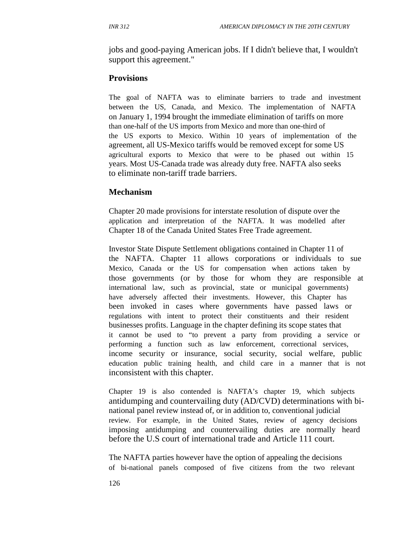jobs and good-paying American jobs. If I didn't believe that, I wouldn't support this agreement."

#### **Provisions**

The goal of NAFTA was to eliminate barriers to trade and investment between the US, Canada, and Mexico. The implementation of NAFTA on January 1, 1994 brought the immediate elimination of tariffs on more than one-half of the US imports from Mexico and more than one-third of the US exports to Mexico. Within 10 years of implementation of the agreement, all US-Mexico tariffs would be removed except for some US agricultural exports to Mexico that were to be phased out within 15 years. Most US-Canada trade was already duty free. NAFTA also seeks to eliminate non-tariff trade barriers.

#### **Mechanism**

Chapter 20 made provisions for interstate resolution of dispute over the application and interpretation of the NAFTA. It was modelled after Chapter 18 of the Canada United States Free Trade agreement.

Investor State Dispute Settlement obligations contained in Chapter 11 of the NAFTA. Chapter 11 allows corporations or individuals to sue Mexico, Canada or the US for compensation when actions taken by those governments (or by those for whom they are responsible at international law, such as provincial, state or municipal governments) have adversely affected their investments. However, this Chapter has been invoked in cases where governments have passed laws or regulations with intent to protect their constituents and their resident businesses profits. Language in the chapter defining its scope states that it cannot be used to "to prevent a party from providing a service or performing a function such as law enforcement, correctional services, income security or insurance, social security, social welfare, public education public training health, and child care in a manner that is not inconsistent with this chapter.

Chapter 19 is also contended is NAFTA's chapter 19, which subjects antidumping and countervailing duty (AD/CVD) determinations with binational panel review instead of, or in addition to, conventional judicial review. For example, in the United States, review of agency decisions imposing antidumping and countervailing duties are normally heard before the U.S court of international trade and Article 111 court.

The NAFTA parties however have the option of appealing the decisions of bi-national panels composed of five citizens from the two relevant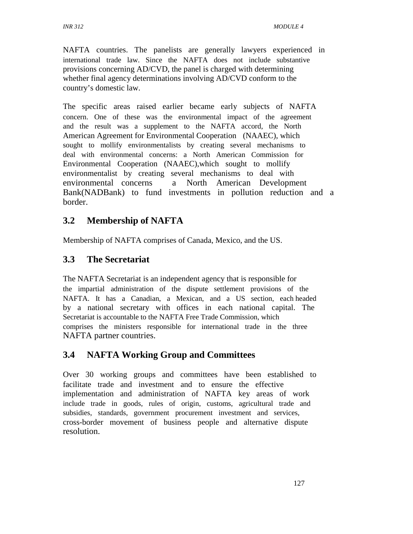NAFTA countries. The panelists are generally lawyers experienced in international trade law. Since the NAFTA does not include substantive provisions concerning AD/CVD, the panel is charged with determining whether final agency determinations involving AD/CVD conform to the country's domestic law.

The specific areas raised earlier became early subjects of NAFTA concern. One of these was the environmental impact of the agreement and the result was a supplement to the NAFTA accord, the North American Agreement for Environmental Cooperation (NAAEC), which sought to mollify environmentalists by creating several mechanisms to deal with environmental concerns: a North American Commission for Environmental Cooperation (NAAEC),which sought to mollify environmentalist by creating several mechanisms to deal with environmental concerns a North American Development Bank(NADBank) to fund investments in pollution reduction and a border.

## **3.2 Membership of NAFTA**

Membership of NAFTA comprises of Canada, Mexico, and the US.

## **3.3 The Secretariat**

The NAFTA Secretariat is an independent agency that is responsible for the impartial administration of the dispute settlement provisions of the NAFTA. It has a Canadian, a Mexican, and a US section, each headed by a national secretary with offices in each national capital. The Secretariat is accountable to the NAFTA Free Trade Commission, which comprises the ministers responsible for international trade in the three NAFTA partner countries.

## **3.4 NAFTA Working Group and Committees**

Over 30 working groups and committees have been established to facilitate trade and investment and to ensure the effective implementation and administration of NAFTA key areas of work include trade in goods, rules of origin, customs, agricultural trade and subsidies, standards, government procurement investment and services, cross-border movement of business people and alternative dispute resolution.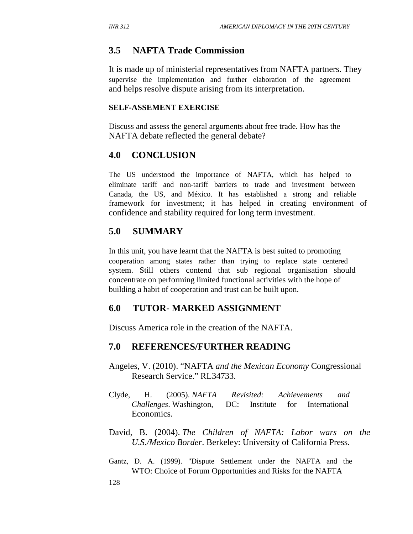#### **3.5 NAFTA Trade Commission**

It is made up of ministerial representatives from NAFTA partners. They supervise the implementation and further elaboration of the agreement and helps resolve dispute arising from its interpretation.

#### **SELF-ASSEMENT EXERCISE**

Discuss and assess the general arguments about free trade. How has the NAFTA debate reflected the general debate?

#### **4.0 CONCLUSION**

The US understood the importance of NAFTA, which has helped to eliminate tariff and non-tariff barriers to trade and investment between Canada, the US, and México. It has established a strong and reliable framework for investment; it has helped in creating environment of confidence and stability required for long term investment.

#### **5.0 SUMMARY**

In this unit, you have learnt that the NAFTA is best suited to promoting cooperation among states rather than trying to replace state centered system. Still others contend that sub regional organisation should concentrate on performing limited functional activities with the hope of building a habit of cooperation and trust can be built upon.

#### **6.0 TUTOR- MARKED ASSIGNMENT**

Discuss America role in the creation of the NAFTA.

#### **7.0 REFERENCES/FURTHER READING**

- Angeles, V. (2010). "NAFTA *and the Mexican Economy* Congressional Research Service." RL34733.
- Clyde, H. (2005). *NAFTA Revisited: Achievements and Challenges*. Washington, DC: Institute for International Economics.
- David, B. (2004). *The Children of NAFTA: Labor wars on the U.S./Mexico Border*. Berkeley: University of California Press.
- Gantz, D. A. (1999). "Dispute Settlement under the NAFTA and the WTO: Choice of Forum Opportunities and Risks for the NAFTA